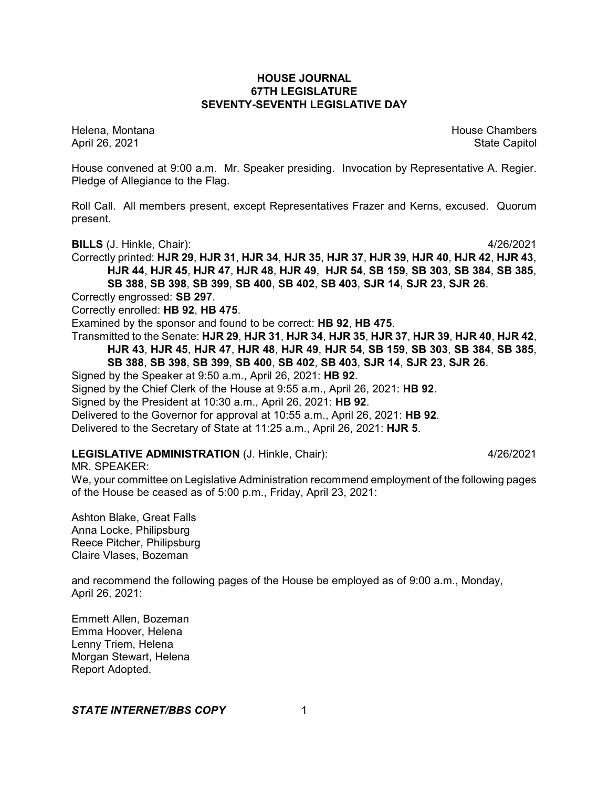# **HOUSE JOURNAL 67TH LEGISLATURE SEVENTY-SEVENTH LEGISLATIVE DAY**

Helena, Montana House Chambers Chambers Chambers Chambers Chambers Chambers Chambers Chambers Chambers Chambers April 26, 2021 State Capitol

House convened at 9:00 a.m. Mr. Speaker presiding. Invocation by Representative A. Regier. Pledge of Allegiance to the Flag.

Roll Call. All members present, except Representatives Frazer and Kerns, excused. Quorum present.

**BILLS** (J. Hinkle, Chair): 4/26/2021

Correctly printed: **HJR 29**, **HJR 31**, **HJR 34**, **HJR 35**, **HJR 37**, **HJR 39**, **HJR 40**, **HJR 42**, **HJR 43**, **HJR 44**, **HJR 45**, **HJR 47**, **HJR 48**, **HJR 49**, **HJR 54**, **SB 159**, **SB 303**, **SB 384**, **SB 385**, **SB 388**, **SB 398**, **SB 399**, **SB 400**, **SB 402**, **SB 403**, **SJR 14**, **SJR 23**, **SJR 26**.

Correctly engrossed: **SB 297**.

Correctly enrolled: **HB 92**, **HB 475**.

Examined by the sponsor and found to be correct: **HB 92**, **HB 475**.

Transmitted to the Senate: **HJR 29**, **HJR 31**, **HJR 34**, **HJR 35**, **HJR 37**, **HJR 39**, **HJR 40**, **HJR 42**, **HJR 43**, **HJR 45**, **HJR 47**, **HJR 48**, **HJR 49**, **HJR 54**, **SB 159**, **SB 303**, **SB 384**, **SB 385**, **SB 388**, **SB 398**, **SB 399**, **SB 400**, **SB 402**, **SB 403**, **SJR 14**, **SJR 23**, **SJR 26**.

Signed by the Speaker at 9:50 a.m., April 26, 2021: **HB 92**.

Signed by the Chief Clerk of the House at 9:55 a.m., April 26, 2021: **HB 92**.

Signed by the President at 10:30 a.m., April 26, 2021: **HB 92**.

Delivered to the Governor for approval at 10:55 a.m., April 26, 2021: **HB 92**.

Delivered to the Secretary of State at 11:25 a.m., April 26, 2021: **HJR 5**.

# **LEGISLATIVE ADMINISTRATION** (J. Hinkle, Chair): 4/26/2021

MR. SPEAKER:

We, your committee on Legislative Administration recommend employment of the following pages of the House be ceased as of 5:00 p.m., Friday, April 23, 2021:

Ashton Blake, Great Falls Anna Locke, Philipsburg Reece Pitcher, Philipsburg Claire Vlases, Bozeman

and recommend the following pages of the House be employed as of 9:00 a.m., Monday, April 26, 2021:

Emmett Allen, Bozeman Emma Hoover, Helena Lenny Triem, Helena Morgan Stewart, Helena Report Adopted.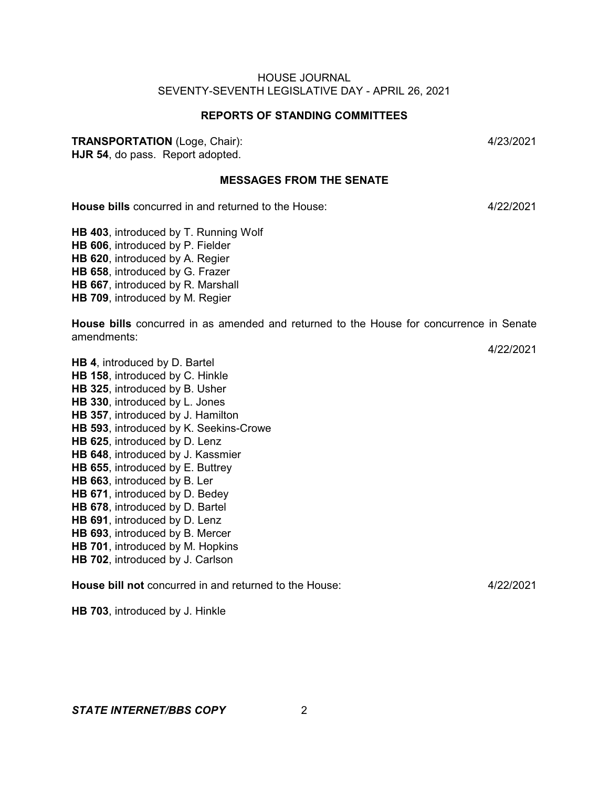# **REPORTS OF STANDING COMMITTEES**

# **TRANSPORTATION** (Loge, Chair): 4/23/2021

**HJR 54**, do pass. Report adopted.

# **MESSAGES FROM THE SENATE**

**House bills** concurred in and returned to the House: 4/22/2021

**HB 403**, introduced by T. Running Wolf **HB 606**, introduced by P. Fielder **HB 620**, introduced by A. Regier **HB 658**, introduced by G. Frazer **HB 667**, introduced by R. Marshall **HB 709**, introduced by M. Regier

**House bills** concurred in as amended and returned to the House for concurrence in Senate amendments:

**HB 593**, introduced by K. Seekins-Crowe

**HB 625**, introduced by D. Lenz

**HB 4**, introduced by D. Bartel **HB 158**, introduced by C. Hinkle **HB 325**, introduced by B. Usher **HB 330**, introduced by L. Jones **HB 357**, introduced by J. Hamilton

- **HB 648**, introduced by J. Kassmier
- **HB 655**, introduced by E. Buttrey
- **HB 663**, introduced by B. Ler
- **HB 671**, introduced by D. Bedey
- **HB 678**, introduced by D. Bartel **HB 691**, introduced by D. Lenz
- 
- **HB 693**, introduced by B. Mercer
- **HB 701**, introduced by M. Hopkins
- **HB 702**, introduced by J. Carlson

**House bill not** concurred in and returned to the House: 4/22/2021

**HB 703**, introduced by J. Hinkle

4/22/2021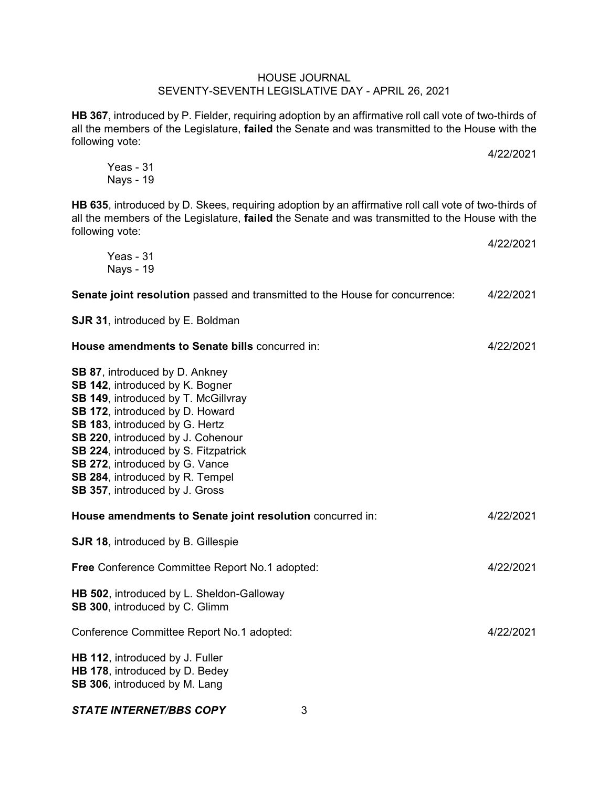**HB 367**, introduced by P. Fielder, requiring adoption by an affirmative roll call vote of two-thirds of all the members of the Legislature, **failed** the Senate and was transmitted to the House with the following vote:

4/22/2021

Yeas - 31 Nays - 19

**HB 635**, introduced by D. Skees, requiring adoption by an affirmative roll call vote of two-thirds of all the members of the Legislature, **failed** the Senate and was transmitted to the House with the following vote: 4/22/2021

| Yeas - 31<br><b>Nays - 19</b>                                                                                                                                                                                                                                                                                                                                     | 7447494 T |
|-------------------------------------------------------------------------------------------------------------------------------------------------------------------------------------------------------------------------------------------------------------------------------------------------------------------------------------------------------------------|-----------|
| Senate joint resolution passed and transmitted to the House for concurrence:                                                                                                                                                                                                                                                                                      | 4/22/2021 |
| SJR 31, introduced by E. Boldman                                                                                                                                                                                                                                                                                                                                  |           |
| House amendments to Senate bills concurred in:                                                                                                                                                                                                                                                                                                                    | 4/22/2021 |
| SB 87, introduced by D. Ankney<br>SB 142, introduced by K. Bogner<br>SB 149, introduced by T. McGillvray<br>SB 172, introduced by D. Howard<br>SB 183, introduced by G. Hertz<br>SB 220, introduced by J. Cohenour<br>SB 224, introduced by S. Fitzpatrick<br>SB 272, introduced by G. Vance<br>SB 284, introduced by R. Tempel<br>SB 357, introduced by J. Gross |           |
| House amendments to Senate joint resolution concurred in:                                                                                                                                                                                                                                                                                                         | 4/22/2021 |
| <b>SJR 18, introduced by B. Gillespie</b>                                                                                                                                                                                                                                                                                                                         |           |
| Free Conference Committee Report No.1 adopted:                                                                                                                                                                                                                                                                                                                    | 4/22/2021 |
| HB 502, introduced by L. Sheldon-Galloway<br>SB 300, introduced by C. Glimm                                                                                                                                                                                                                                                                                       |           |
| Conference Committee Report No.1 adopted:                                                                                                                                                                                                                                                                                                                         | 4/22/2021 |
| HB 112, introduced by J. Fuller<br>HB 178, introduced by D. Bedey<br>SB 306, introduced by M. Lang                                                                                                                                                                                                                                                                |           |
| <b>STATE INTERNET/BBS COPY</b><br>3                                                                                                                                                                                                                                                                                                                               |           |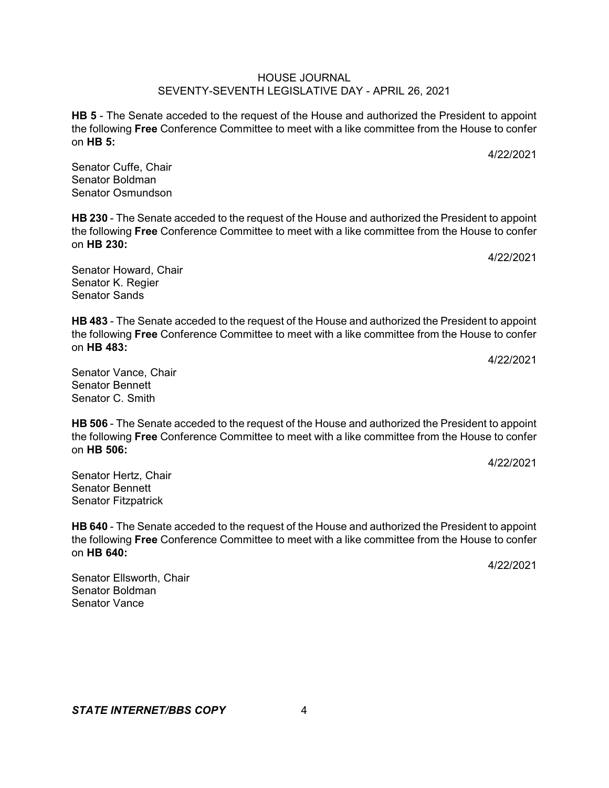**HB 5** - The Senate acceded to the request of the House and authorized the President to appoint the following **Free** Conference Committee to meet with a like committee from the House to confer on **HB 5:**

Senator Cuffe, Chair Senator Boldman Senator Osmundson

**HB 230** - The Senate acceded to the request of the House and authorized the President to appoint the following **Free** Conference Committee to meet with a like committee from the House to confer on **HB 230:**

Senator Howard, Chair Senator K. Regier Senator Sands

**HB 483** - The Senate acceded to the request of the House and authorized the President to appoint the following **Free** Conference Committee to meet with a like committee from the House to confer on **HB 483:**

Senator Vance, Chair Senator Bennett Senator C. Smith

**HB 506** - The Senate acceded to the request of the House and authorized the President to appoint the following **Free** Conference Committee to meet with a like committee from the House to confer on **HB 506:**

Senator Hertz, Chair Senator Bennett Senator Fitzpatrick

**HB 640** - The Senate acceded to the request of the House and authorized the President to appoint the following **Free** Conference Committee to meet with a like committee from the House to confer on **HB 640:**

Senator Ellsworth, Chair Senator Boldman Senator Vance

4/22/2021

4/22/2021

4/22/2021

4/22/2021

4/22/2021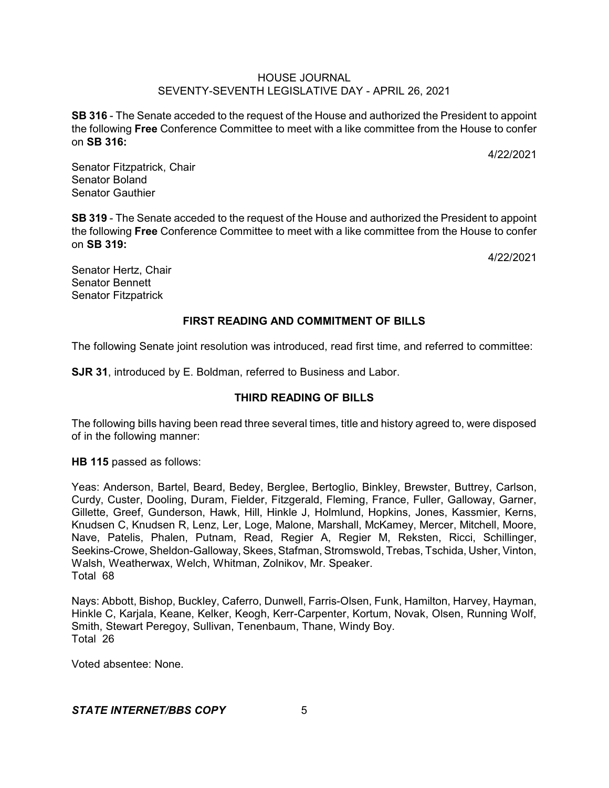**SB 316** - The Senate acceded to the request of the House and authorized the President to appoint the following **Free** Conference Committee to meet with a like committee from the House to confer on **SB 316:**

4/22/2021

Senator Fitzpatrick, Chair Senator Boland Senator Gauthier

**SB 319** - The Senate acceded to the request of the House and authorized the President to appoint the following **Free** Conference Committee to meet with a like committee from the House to confer on **SB 319:**

4/22/2021

Senator Hertz, Chair Senator Bennett Senator Fitzpatrick

# **FIRST READING AND COMMITMENT OF BILLS**

The following Senate joint resolution was introduced, read first time, and referred to committee:

**SJR 31**, introduced by E. Boldman, referred to Business and Labor.

# **THIRD READING OF BILLS**

The following bills having been read three several times, title and history agreed to, were disposed of in the following manner:

**HB 115** passed as follows:

Yeas: Anderson, Bartel, Beard, Bedey, Berglee, Bertoglio, Binkley, Brewster, Buttrey, Carlson, Curdy, Custer, Dooling, Duram, Fielder, Fitzgerald, Fleming, France, Fuller, Galloway, Garner, Gillette, Greef, Gunderson, Hawk, Hill, Hinkle J, Holmlund, Hopkins, Jones, Kassmier, Kerns, Knudsen C, Knudsen R, Lenz, Ler, Loge, Malone, Marshall, McKamey, Mercer, Mitchell, Moore, Nave, Patelis, Phalen, Putnam, Read, Regier A, Regier M, Reksten, Ricci, Schillinger, Seekins-Crowe, Sheldon-Galloway, Skees, Stafman, Stromswold, Trebas, Tschida, Usher, Vinton, Walsh, Weatherwax, Welch, Whitman, Zolnikov, Mr. Speaker. Total 68

Nays: Abbott, Bishop, Buckley, Caferro, Dunwell, Farris-Olsen, Funk, Hamilton, Harvey, Hayman, Hinkle C, Karjala, Keane, Kelker, Keogh, Kerr-Carpenter, Kortum, Novak, Olsen, Running Wolf, Smith, Stewart Peregoy, Sullivan, Tenenbaum, Thane, Windy Boy. Total 26

Voted absentee: None.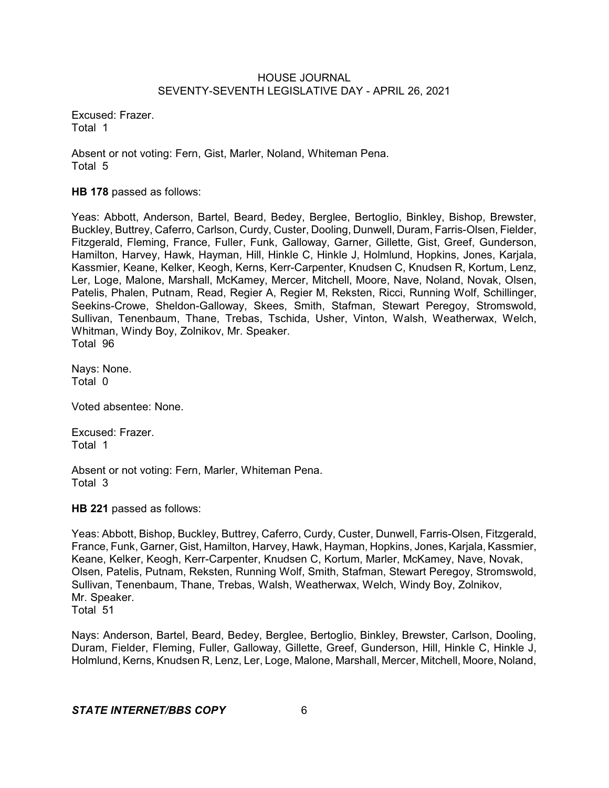Excused: Frazer. Total 1

Absent or not voting: Fern, Gist, Marler, Noland, Whiteman Pena. Total 5

**HB 178** passed as follows:

Yeas: Abbott, Anderson, Bartel, Beard, Bedey, Berglee, Bertoglio, Binkley, Bishop, Brewster, Buckley, Buttrey, Caferro, Carlson, Curdy, Custer, Dooling, Dunwell, Duram, Farris-Olsen, Fielder, Fitzgerald, Fleming, France, Fuller, Funk, Galloway, Garner, Gillette, Gist, Greef, Gunderson, Hamilton, Harvey, Hawk, Hayman, Hill, Hinkle C, Hinkle J, Holmlund, Hopkins, Jones, Karjala, Kassmier, Keane, Kelker, Keogh, Kerns, Kerr-Carpenter, Knudsen C, Knudsen R, Kortum, Lenz, Ler, Loge, Malone, Marshall, McKamey, Mercer, Mitchell, Moore, Nave, Noland, Novak, Olsen, Patelis, Phalen, Putnam, Read, Regier A, Regier M, Reksten, Ricci, Running Wolf, Schillinger, Seekins-Crowe, Sheldon-Galloway, Skees, Smith, Stafman, Stewart Peregoy, Stromswold, Sullivan, Tenenbaum, Thane, Trebas, Tschida, Usher, Vinton, Walsh, Weatherwax, Welch, Whitman, Windy Boy, Zolnikov, Mr. Speaker. Total 96

Nays: None. Total 0

Voted absentee: None.

Excused: Frazer. Total 1

Absent or not voting: Fern, Marler, Whiteman Pena. Total 3

**HB 221** passed as follows:

Yeas: Abbott, Bishop, Buckley, Buttrey, Caferro, Curdy, Custer, Dunwell, Farris-Olsen, Fitzgerald, France, Funk, Garner, Gist, Hamilton, Harvey, Hawk, Hayman, Hopkins, Jones, Karjala, Kassmier, Keane, Kelker, Keogh, Kerr-Carpenter, Knudsen C, Kortum, Marler, McKamey, Nave, Novak, Olsen, Patelis, Putnam, Reksten, Running Wolf, Smith, Stafman, Stewart Peregoy, Stromswold, Sullivan, Tenenbaum, Thane, Trebas, Walsh, Weatherwax, Welch, Windy Boy, Zolnikov, Mr. Speaker. Total 51

Nays: Anderson, Bartel, Beard, Bedey, Berglee, Bertoglio, Binkley, Brewster, Carlson, Dooling, Duram, Fielder, Fleming, Fuller, Galloway, Gillette, Greef, Gunderson, Hill, Hinkle C, Hinkle J, Holmlund, Kerns, Knudsen R, Lenz, Ler, Loge, Malone, Marshall, Mercer, Mitchell, Moore, Noland,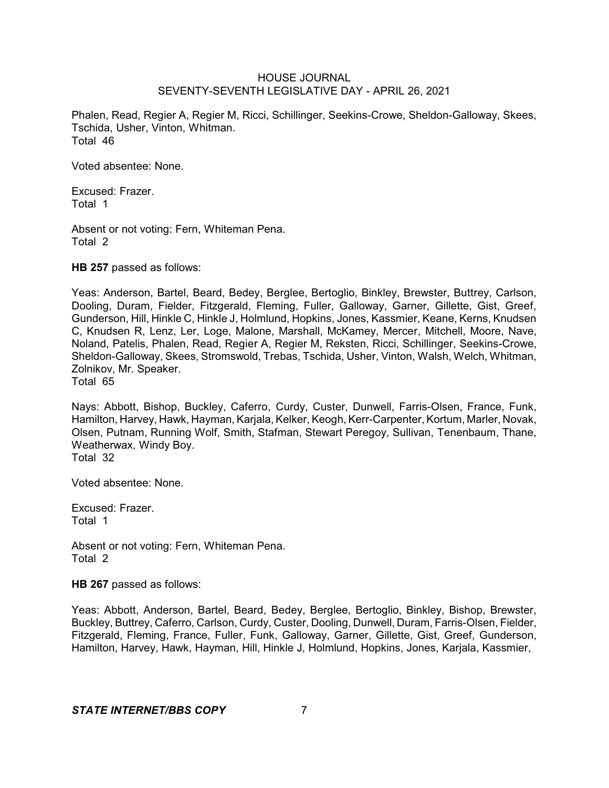Phalen, Read, Regier A, Regier M, Ricci, Schillinger, Seekins-Crowe, Sheldon-Galloway, Skees, Tschida, Usher, Vinton, Whitman. Total 46

Voted absentee: None.

Excused: Frazer. Total 1

Absent or not voting: Fern, Whiteman Pena. Total 2

**HB 257** passed as follows:

Yeas: Anderson, Bartel, Beard, Bedey, Berglee, Bertoglio, Binkley, Brewster, Buttrey, Carlson, Dooling, Duram, Fielder, Fitzgerald, Fleming, Fuller, Galloway, Garner, Gillette, Gist, Greef, Gunderson, Hill, Hinkle C, Hinkle J, Holmlund, Hopkins, Jones, Kassmier, Keane, Kerns, Knudsen C, Knudsen R, Lenz, Ler, Loge, Malone, Marshall, McKamey, Mercer, Mitchell, Moore, Nave, Noland, Patelis, Phalen, Read, Regier A, Regier M, Reksten, Ricci, Schillinger, Seekins-Crowe, Sheldon-Galloway, Skees, Stromswold, Trebas, Tschida, Usher, Vinton, Walsh, Welch, Whitman, Zolnikov, Mr. Speaker. Total 65

Nays: Abbott, Bishop, Buckley, Caferro, Curdy, Custer, Dunwell, Farris-Olsen, France, Funk, Hamilton, Harvey, Hawk, Hayman, Karjala, Kelker, Keogh, Kerr-Carpenter, Kortum, Marler, Novak, Olsen, Putnam, Running Wolf, Smith, Stafman, Stewart Peregoy, Sullivan, Tenenbaum, Thane, Weatherwax, Windy Boy. Total 32

Voted absentee: None.

Excused: Frazer. Total 1

Absent or not voting: Fern, Whiteman Pena. Total 2

**HB 267** passed as follows:

Yeas: Abbott, Anderson, Bartel, Beard, Bedey, Berglee, Bertoglio, Binkley, Bishop, Brewster, Buckley, Buttrey, Caferro, Carlson, Curdy, Custer, Dooling, Dunwell, Duram, Farris-Olsen, Fielder, Fitzgerald, Fleming, France, Fuller, Funk, Galloway, Garner, Gillette, Gist, Greef, Gunderson, Hamilton, Harvey, Hawk, Hayman, Hill, Hinkle J, Holmlund, Hopkins, Jones, Karjala, Kassmier,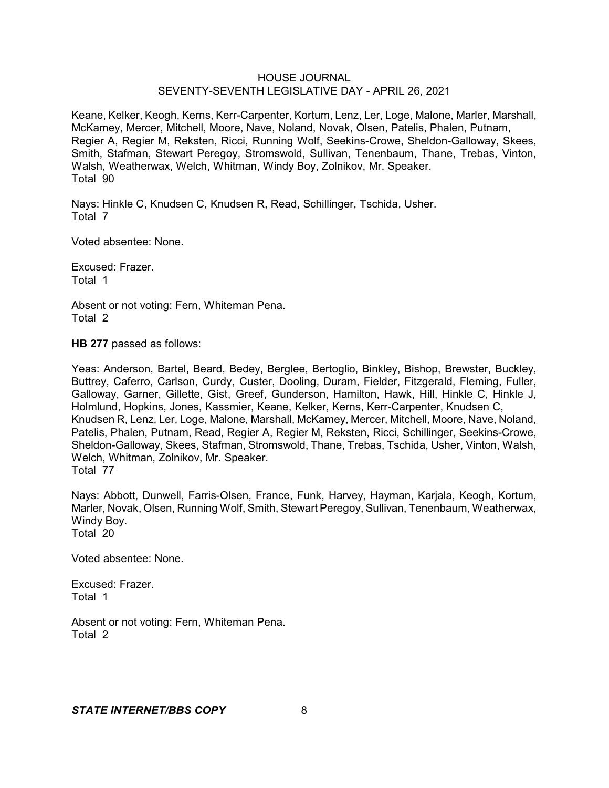Keane, Kelker, Keogh, Kerns, Kerr-Carpenter, Kortum, Lenz, Ler, Loge, Malone, Marler, Marshall, McKamey, Mercer, Mitchell, Moore, Nave, Noland, Novak, Olsen, Patelis, Phalen, Putnam, Regier A, Regier M, Reksten, Ricci, Running Wolf, Seekins-Crowe, Sheldon-Galloway, Skees, Smith, Stafman, Stewart Peregoy, Stromswold, Sullivan, Tenenbaum, Thane, Trebas, Vinton, Walsh, Weatherwax, Welch, Whitman, Windy Boy, Zolnikov, Mr. Speaker. Total 90

Nays: Hinkle C, Knudsen C, Knudsen R, Read, Schillinger, Tschida, Usher. Total 7

Voted absentee: None.

Excused: Frazer. Total 1

Absent or not voting: Fern, Whiteman Pena. Total 2

**HB 277** passed as follows:

Yeas: Anderson, Bartel, Beard, Bedey, Berglee, Bertoglio, Binkley, Bishop, Brewster, Buckley, Buttrey, Caferro, Carlson, Curdy, Custer, Dooling, Duram, Fielder, Fitzgerald, Fleming, Fuller, Galloway, Garner, Gillette, Gist, Greef, Gunderson, Hamilton, Hawk, Hill, Hinkle C, Hinkle J, Holmlund, Hopkins, Jones, Kassmier, Keane, Kelker, Kerns, Kerr-Carpenter, Knudsen C, Knudsen R, Lenz, Ler, Loge, Malone, Marshall, McKamey, Mercer, Mitchell, Moore, Nave, Noland, Patelis, Phalen, Putnam, Read, Regier A, Regier M, Reksten, Ricci, Schillinger, Seekins-Crowe, Sheldon-Galloway, Skees, Stafman, Stromswold, Thane, Trebas, Tschida, Usher, Vinton, Walsh, Welch, Whitman, Zolnikov, Mr. Speaker. Total 77

Nays: Abbott, Dunwell, Farris-Olsen, France, Funk, Harvey, Hayman, Karjala, Keogh, Kortum, Marler, Novak, Olsen, Running Wolf, Smith, Stewart Peregoy, Sullivan, Tenenbaum, Weatherwax, Windy Boy. Total 20

Voted absentee: None.

Excused: Frazer. Total 1

Absent or not voting: Fern, Whiteman Pena. Total 2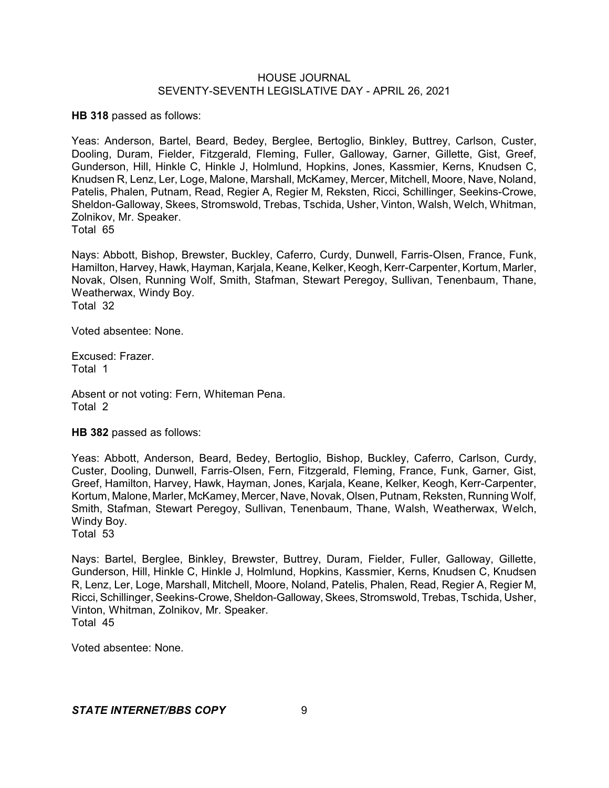**HB 318** passed as follows:

Yeas: Anderson, Bartel, Beard, Bedey, Berglee, Bertoglio, Binkley, Buttrey, Carlson, Custer, Dooling, Duram, Fielder, Fitzgerald, Fleming, Fuller, Galloway, Garner, Gillette, Gist, Greef, Gunderson, Hill, Hinkle C, Hinkle J, Holmlund, Hopkins, Jones, Kassmier, Kerns, Knudsen C, Knudsen R, Lenz, Ler, Loge, Malone, Marshall, McKamey, Mercer, Mitchell, Moore, Nave, Noland, Patelis, Phalen, Putnam, Read, Regier A, Regier M, Reksten, Ricci, Schillinger, Seekins-Crowe, Sheldon-Galloway, Skees, Stromswold, Trebas, Tschida, Usher, Vinton, Walsh, Welch, Whitman, Zolnikov, Mr. Speaker. Total 65

Nays: Abbott, Bishop, Brewster, Buckley, Caferro, Curdy, Dunwell, Farris-Olsen, France, Funk, Hamilton, Harvey, Hawk, Hayman, Karjala, Keane, Kelker, Keogh, Kerr-Carpenter, Kortum, Marler, Novak, Olsen, Running Wolf, Smith, Stafman, Stewart Peregoy, Sullivan, Tenenbaum, Thane, Weatherwax, Windy Boy. Total 32

Voted absentee: None.

Excused: Frazer. Total 1

Absent or not voting: Fern, Whiteman Pena. Total 2

**HB 382** passed as follows:

Yeas: Abbott, Anderson, Beard, Bedey, Bertoglio, Bishop, Buckley, Caferro, Carlson, Curdy, Custer, Dooling, Dunwell, Farris-Olsen, Fern, Fitzgerald, Fleming, France, Funk, Garner, Gist, Greef, Hamilton, Harvey, Hawk, Hayman, Jones, Karjala, Keane, Kelker, Keogh, Kerr-Carpenter, Kortum, Malone, Marler, McKamey, Mercer, Nave, Novak, Olsen, Putnam, Reksten, Running Wolf, Smith, Stafman, Stewart Peregoy, Sullivan, Tenenbaum, Thane, Walsh, Weatherwax, Welch, Windy Boy.

Total 53

Nays: Bartel, Berglee, Binkley, Brewster, Buttrey, Duram, Fielder, Fuller, Galloway, Gillette, Gunderson, Hill, Hinkle C, Hinkle J, Holmlund, Hopkins, Kassmier, Kerns, Knudsen C, Knudsen R, Lenz, Ler, Loge, Marshall, Mitchell, Moore, Noland, Patelis, Phalen, Read, Regier A, Regier M, Ricci, Schillinger, Seekins-Crowe,Sheldon-Galloway,Skees,Stromswold, Trebas, Tschida, Usher, Vinton, Whitman, Zolnikov, Mr. Speaker. Total 45

Voted absentee: None.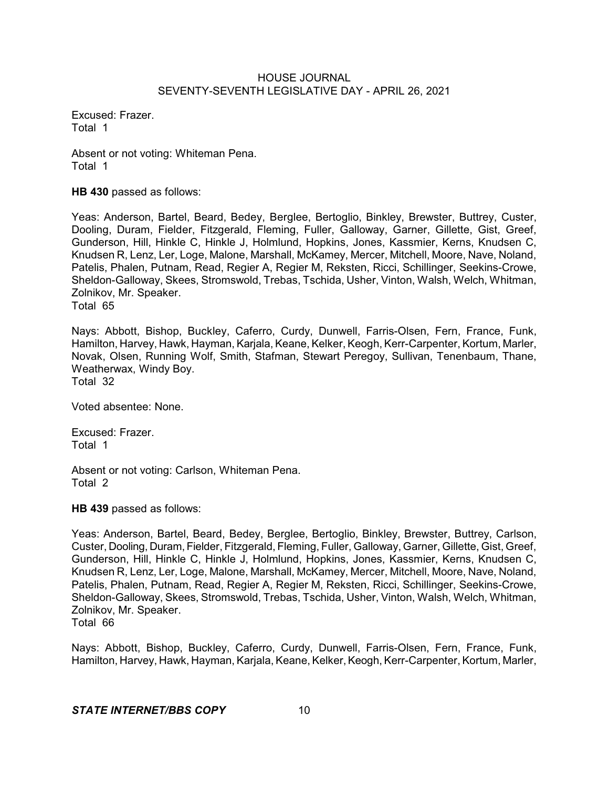Excused: Frazer. Total 1

Absent or not voting: Whiteman Pena. Total 1

**HB 430** passed as follows:

Yeas: Anderson, Bartel, Beard, Bedey, Berglee, Bertoglio, Binkley, Brewster, Buttrey, Custer, Dooling, Duram, Fielder, Fitzgerald, Fleming, Fuller, Galloway, Garner, Gillette, Gist, Greef, Gunderson, Hill, Hinkle C, Hinkle J, Holmlund, Hopkins, Jones, Kassmier, Kerns, Knudsen C, Knudsen R, Lenz, Ler, Loge, Malone, Marshall, McKamey, Mercer, Mitchell, Moore, Nave, Noland, Patelis, Phalen, Putnam, Read, Regier A, Regier M, Reksten, Ricci, Schillinger, Seekins-Crowe, Sheldon-Galloway, Skees, Stromswold, Trebas, Tschida, Usher, Vinton, Walsh, Welch, Whitman, Zolnikov, Mr. Speaker. Total 65

Nays: Abbott, Bishop, Buckley, Caferro, Curdy, Dunwell, Farris-Olsen, Fern, France, Funk, Hamilton, Harvey, Hawk, Hayman, Karjala, Keane, Kelker, Keogh, Kerr-Carpenter, Kortum, Marler, Novak, Olsen, Running Wolf, Smith, Stafman, Stewart Peregoy, Sullivan, Tenenbaum, Thane, Weatherwax, Windy Boy. Total 32

Voted absentee: None.

Excused: Frazer. Total 1

Absent or not voting: Carlson, Whiteman Pena. Total 2

**HB 439** passed as follows:

Yeas: Anderson, Bartel, Beard, Bedey, Berglee, Bertoglio, Binkley, Brewster, Buttrey, Carlson, Custer, Dooling, Duram,Fielder, Fitzgerald, Fleming, Fuller, Galloway, Garner, Gillette, Gist, Greef, Gunderson, Hill, Hinkle C, Hinkle J, Holmlund, Hopkins, Jones, Kassmier, Kerns, Knudsen C, Knudsen R, Lenz, Ler, Loge, Malone, Marshall, McKamey, Mercer, Mitchell, Moore, Nave, Noland, Patelis, Phalen, Putnam, Read, Regier A, Regier M, Reksten, Ricci, Schillinger, Seekins-Crowe, Sheldon-Galloway, Skees, Stromswold, Trebas, Tschida, Usher, Vinton, Walsh, Welch, Whitman, Zolnikov, Mr. Speaker. Total 66

Nays: Abbott, Bishop, Buckley, Caferro, Curdy, Dunwell, Farris-Olsen, Fern, France, Funk, Hamilton, Harvey, Hawk, Hayman, Karjala, Keane, Kelker, Keogh, Kerr-Carpenter, Kortum, Marler,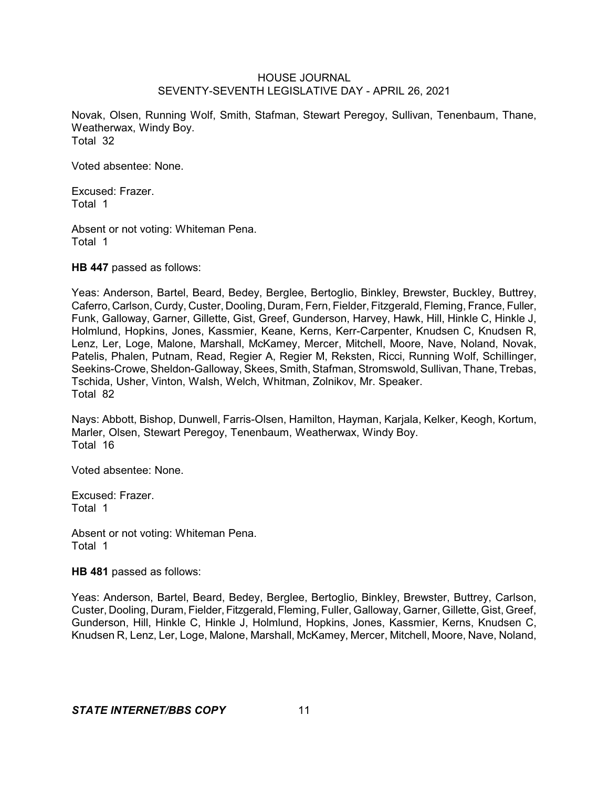Novak, Olsen, Running Wolf, Smith, Stafman, Stewart Peregoy, Sullivan, Tenenbaum, Thane, Weatherwax, Windy Boy. Total 32

Voted absentee: None.

Excused: Frazer. Total 1

Absent or not voting: Whiteman Pena. Total 1

**HB 447** passed as follows:

Yeas: Anderson, Bartel, Beard, Bedey, Berglee, Bertoglio, Binkley, Brewster, Buckley, Buttrey, Caferro, Carlson, Curdy, Custer, Dooling, Duram, Fern, Fielder, Fitzgerald, Fleming, France, Fuller, Funk, Galloway, Garner, Gillette, Gist, Greef, Gunderson, Harvey, Hawk, Hill, Hinkle C, Hinkle J, Holmlund, Hopkins, Jones, Kassmier, Keane, Kerns, Kerr-Carpenter, Knudsen C, Knudsen R, Lenz, Ler, Loge, Malone, Marshall, McKamey, Mercer, Mitchell, Moore, Nave, Noland, Novak, Patelis, Phalen, Putnam, Read, Regier A, Regier M, Reksten, Ricci, Running Wolf, Schillinger, Seekins-Crowe, Sheldon-Galloway, Skees, Smith, Stafman, Stromswold, Sullivan, Thane, Trebas, Tschida, Usher, Vinton, Walsh, Welch, Whitman, Zolnikov, Mr. Speaker. Total 82

Nays: Abbott, Bishop, Dunwell, Farris-Olsen, Hamilton, Hayman, Karjala, Kelker, Keogh, Kortum, Marler, Olsen, Stewart Peregoy, Tenenbaum, Weatherwax, Windy Boy. Total 16

Voted absentee: None.

Excused: Frazer. Total 1

Absent or not voting: Whiteman Pena. Total 1

**HB 481** passed as follows:

Yeas: Anderson, Bartel, Beard, Bedey, Berglee, Bertoglio, Binkley, Brewster, Buttrey, Carlson, Custer, Dooling, Duram, Fielder, Fitzgerald, Fleming, Fuller, Galloway, Garner, Gillette, Gist, Greef, Gunderson, Hill, Hinkle C, Hinkle J, Holmlund, Hopkins, Jones, Kassmier, Kerns, Knudsen C, Knudsen R, Lenz, Ler, Loge, Malone, Marshall, McKamey, Mercer, Mitchell, Moore, Nave, Noland,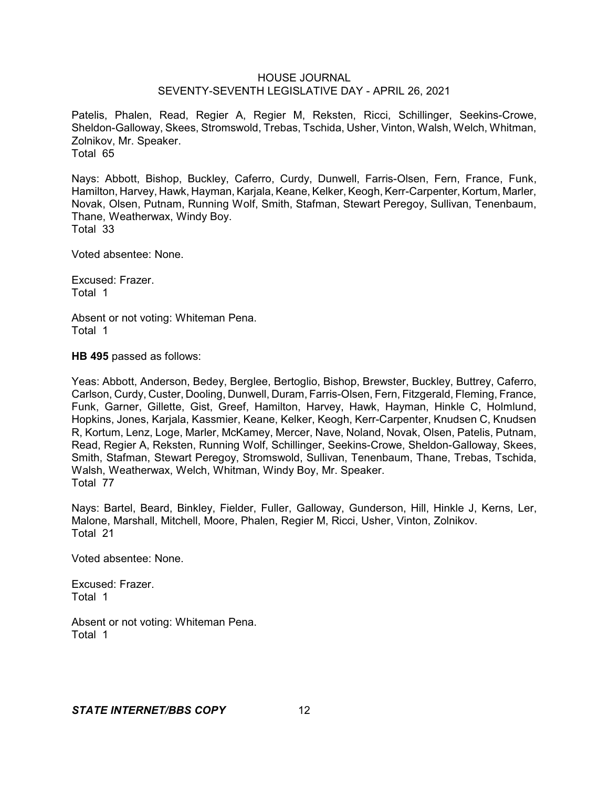Patelis, Phalen, Read, Regier A, Regier M, Reksten, Ricci, Schillinger, Seekins-Crowe, Sheldon-Galloway, Skees, Stromswold, Trebas, Tschida, Usher, Vinton, Walsh, Welch, Whitman, Zolnikov, Mr. Speaker. Total 65

Nays: Abbott, Bishop, Buckley, Caferro, Curdy, Dunwell, Farris-Olsen, Fern, France, Funk, Hamilton, Harvey, Hawk, Hayman, Karjala, Keane, Kelker, Keogh, Kerr-Carpenter, Kortum, Marler, Novak, Olsen, Putnam, Running Wolf, Smith, Stafman, Stewart Peregoy, Sullivan, Tenenbaum, Thane, Weatherwax, Windy Boy. Total 33

Voted absentee: None.

Excused: Frazer. Total 1

Absent or not voting: Whiteman Pena. Total 1

**HB 495** passed as follows:

Yeas: Abbott, Anderson, Bedey, Berglee, Bertoglio, Bishop, Brewster, Buckley, Buttrey, Caferro, Carlson, Curdy, Custer, Dooling, Dunwell, Duram, Farris-Olsen, Fern, Fitzgerald, Fleming, France, Funk, Garner, Gillette, Gist, Greef, Hamilton, Harvey, Hawk, Hayman, Hinkle C, Holmlund, Hopkins, Jones, Karjala, Kassmier, Keane, Kelker, Keogh, Kerr-Carpenter, Knudsen C, Knudsen R, Kortum, Lenz, Loge, Marler, McKamey, Mercer, Nave, Noland, Novak, Olsen, Patelis, Putnam, Read, Regier A, Reksten, Running Wolf, Schillinger, Seekins-Crowe, Sheldon-Galloway, Skees, Smith, Stafman, Stewart Peregoy, Stromswold, Sullivan, Tenenbaum, Thane, Trebas, Tschida, Walsh, Weatherwax, Welch, Whitman, Windy Boy, Mr. Speaker. Total 77

Nays: Bartel, Beard, Binkley, Fielder, Fuller, Galloway, Gunderson, Hill, Hinkle J, Kerns, Ler, Malone, Marshall, Mitchell, Moore, Phalen, Regier M, Ricci, Usher, Vinton, Zolnikov. Total 21

Voted absentee: None.

Excused: Frazer. Total 1

Absent or not voting: Whiteman Pena. Total 1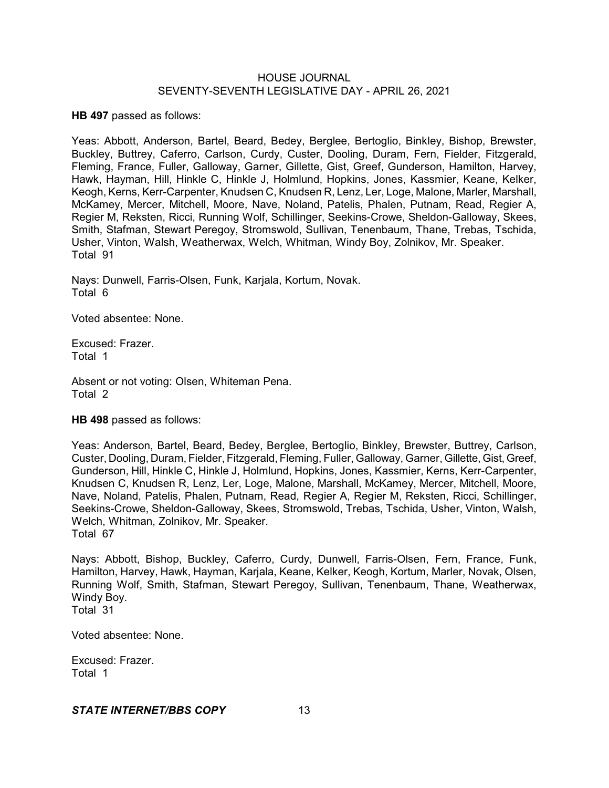**HB 497** passed as follows:

Yeas: Abbott, Anderson, Bartel, Beard, Bedey, Berglee, Bertoglio, Binkley, Bishop, Brewster, Buckley, Buttrey, Caferro, Carlson, Curdy, Custer, Dooling, Duram, Fern, Fielder, Fitzgerald, Fleming, France, Fuller, Galloway, Garner, Gillette, Gist, Greef, Gunderson, Hamilton, Harvey, Hawk, Hayman, Hill, Hinkle C, Hinkle J, Holmlund, Hopkins, Jones, Kassmier, Keane, Kelker, Keogh, Kerns, Kerr-Carpenter, Knudsen C, Knudsen R, Lenz, Ler, Loge, Malone, Marler, Marshall, McKamey, Mercer, Mitchell, Moore, Nave, Noland, Patelis, Phalen, Putnam, Read, Regier A, Regier M, Reksten, Ricci, Running Wolf, Schillinger, Seekins-Crowe, Sheldon-Galloway, Skees, Smith, Stafman, Stewart Peregoy, Stromswold, Sullivan, Tenenbaum, Thane, Trebas, Tschida, Usher, Vinton, Walsh, Weatherwax, Welch, Whitman, Windy Boy, Zolnikov, Mr. Speaker. Total 91

Nays: Dunwell, Farris-Olsen, Funk, Karjala, Kortum, Novak. Total 6

Voted absentee: None.

Excused: Frazer. Total 1

Absent or not voting: Olsen, Whiteman Pena. Total 2

# **HB 498** passed as follows:

Yeas: Anderson, Bartel, Beard, Bedey, Berglee, Bertoglio, Binkley, Brewster, Buttrey, Carlson, Custer, Dooling, Duram, Fielder, Fitzgerald, Fleming, Fuller, Galloway, Garner, Gillette, Gist, Greef, Gunderson, Hill, Hinkle C, Hinkle J, Holmlund, Hopkins, Jones, Kassmier, Kerns, Kerr-Carpenter, Knudsen C, Knudsen R, Lenz, Ler, Loge, Malone, Marshall, McKamey, Mercer, Mitchell, Moore, Nave, Noland, Patelis, Phalen, Putnam, Read, Regier A, Regier M, Reksten, Ricci, Schillinger, Seekins-Crowe, Sheldon-Galloway, Skees, Stromswold, Trebas, Tschida, Usher, Vinton, Walsh, Welch, Whitman, Zolnikov, Mr. Speaker. Total 67

Nays: Abbott, Bishop, Buckley, Caferro, Curdy, Dunwell, Farris-Olsen, Fern, France, Funk, Hamilton, Harvey, Hawk, Hayman, Karjala, Keane, Kelker, Keogh, Kortum, Marler, Novak, Olsen, Running Wolf, Smith, Stafman, Stewart Peregoy, Sullivan, Tenenbaum, Thane, Weatherwax, Windy Boy. Total 31

Excused: Frazer.

Voted absentee: None.

Total 1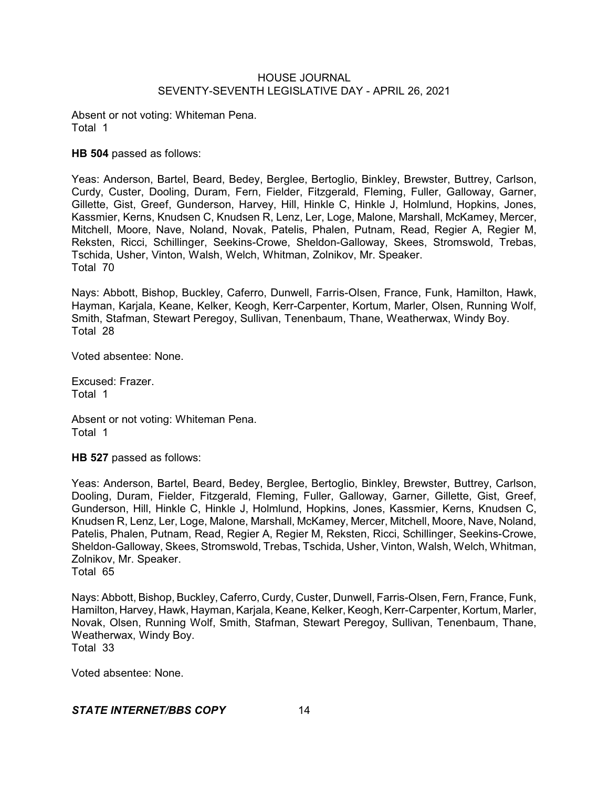Absent or not voting: Whiteman Pena. Total 1

**HB 504** passed as follows:

Yeas: Anderson, Bartel, Beard, Bedey, Berglee, Bertoglio, Binkley, Brewster, Buttrey, Carlson, Curdy, Custer, Dooling, Duram, Fern, Fielder, Fitzgerald, Fleming, Fuller, Galloway, Garner, Gillette, Gist, Greef, Gunderson, Harvey, Hill, Hinkle C, Hinkle J, Holmlund, Hopkins, Jones, Kassmier, Kerns, Knudsen C, Knudsen R, Lenz, Ler, Loge, Malone, Marshall, McKamey, Mercer, Mitchell, Moore, Nave, Noland, Novak, Patelis, Phalen, Putnam, Read, Regier A, Regier M, Reksten, Ricci, Schillinger, Seekins-Crowe, Sheldon-Galloway, Skees, Stromswold, Trebas, Tschida, Usher, Vinton, Walsh, Welch, Whitman, Zolnikov, Mr. Speaker. Total 70

Nays: Abbott, Bishop, Buckley, Caferro, Dunwell, Farris-Olsen, France, Funk, Hamilton, Hawk, Hayman, Karjala, Keane, Kelker, Keogh, Kerr-Carpenter, Kortum, Marler, Olsen, Running Wolf, Smith, Stafman, Stewart Peregoy, Sullivan, Tenenbaum, Thane, Weatherwax, Windy Boy. Total 28

Voted absentee: None.

Excused: Frazer. Total 1

Absent or not voting: Whiteman Pena. Total 1

**HB 527** passed as follows:

Yeas: Anderson, Bartel, Beard, Bedey, Berglee, Bertoglio, Binkley, Brewster, Buttrey, Carlson, Dooling, Duram, Fielder, Fitzgerald, Fleming, Fuller, Galloway, Garner, Gillette, Gist, Greef, Gunderson, Hill, Hinkle C, Hinkle J, Holmlund, Hopkins, Jones, Kassmier, Kerns, Knudsen C, Knudsen R, Lenz, Ler, Loge, Malone, Marshall, McKamey, Mercer, Mitchell, Moore, Nave, Noland, Patelis, Phalen, Putnam, Read, Regier A, Regier M, Reksten, Ricci, Schillinger, Seekins-Crowe, Sheldon-Galloway, Skees, Stromswold, Trebas, Tschida, Usher, Vinton, Walsh, Welch, Whitman, Zolnikov, Mr. Speaker. Total 65

Nays: Abbott, Bishop, Buckley, Caferro, Curdy, Custer, Dunwell, Farris-Olsen, Fern, France, Funk, Hamilton, Harvey, Hawk, Hayman, Karjala, Keane, Kelker, Keogh, Kerr-Carpenter, Kortum, Marler, Novak, Olsen, Running Wolf, Smith, Stafman, Stewart Peregoy, Sullivan, Tenenbaum, Thane, Weatherwax, Windy Boy. Total 33

Voted absentee: None.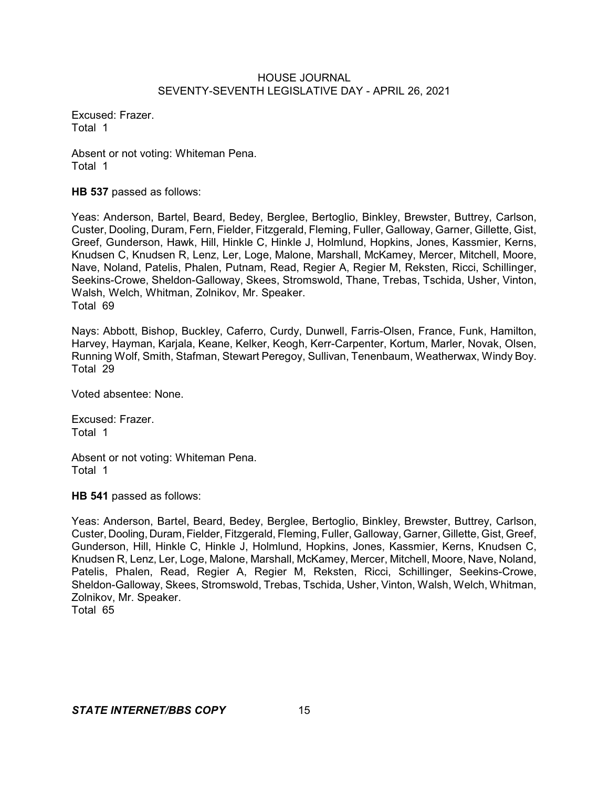Excused: Frazer. Total 1

Absent or not voting: Whiteman Pena. Total 1

**HB 537** passed as follows:

Yeas: Anderson, Bartel, Beard, Bedey, Berglee, Bertoglio, Binkley, Brewster, Buttrey, Carlson, Custer, Dooling, Duram, Fern, Fielder, Fitzgerald, Fleming, Fuller, Galloway, Garner, Gillette, Gist, Greef, Gunderson, Hawk, Hill, Hinkle C, Hinkle J, Holmlund, Hopkins, Jones, Kassmier, Kerns, Knudsen C, Knudsen R, Lenz, Ler, Loge, Malone, Marshall, McKamey, Mercer, Mitchell, Moore, Nave, Noland, Patelis, Phalen, Putnam, Read, Regier A, Regier M, Reksten, Ricci, Schillinger, Seekins-Crowe, Sheldon-Galloway, Skees, Stromswold, Thane, Trebas, Tschida, Usher, Vinton, Walsh, Welch, Whitman, Zolnikov, Mr. Speaker. Total 69

Nays: Abbott, Bishop, Buckley, Caferro, Curdy, Dunwell, Farris-Olsen, France, Funk, Hamilton, Harvey, Hayman, Karjala, Keane, Kelker, Keogh, Kerr-Carpenter, Kortum, Marler, Novak, Olsen, Running Wolf, Smith, Stafman, Stewart Peregoy, Sullivan, Tenenbaum, Weatherwax, Windy Boy. Total 29

Voted absentee: None.

Excused: Frazer. Total 1

Absent or not voting: Whiteman Pena. Total 1

**HB 541** passed as follows:

Yeas: Anderson, Bartel, Beard, Bedey, Berglee, Bertoglio, Binkley, Brewster, Buttrey, Carlson, Custer, Dooling, Duram, Fielder, Fitzgerald, Fleming, Fuller, Galloway, Garner, Gillette, Gist, Greef, Gunderson, Hill, Hinkle C, Hinkle J, Holmlund, Hopkins, Jones, Kassmier, Kerns, Knudsen C, Knudsen R, Lenz, Ler, Loge, Malone, Marshall, McKamey, Mercer, Mitchell, Moore, Nave, Noland, Patelis, Phalen, Read, Regier A, Regier M, Reksten, Ricci, Schillinger, Seekins-Crowe, Sheldon-Galloway, Skees, Stromswold, Trebas, Tschida, Usher, Vinton, Walsh, Welch, Whitman, Zolnikov, Mr. Speaker.

Total 65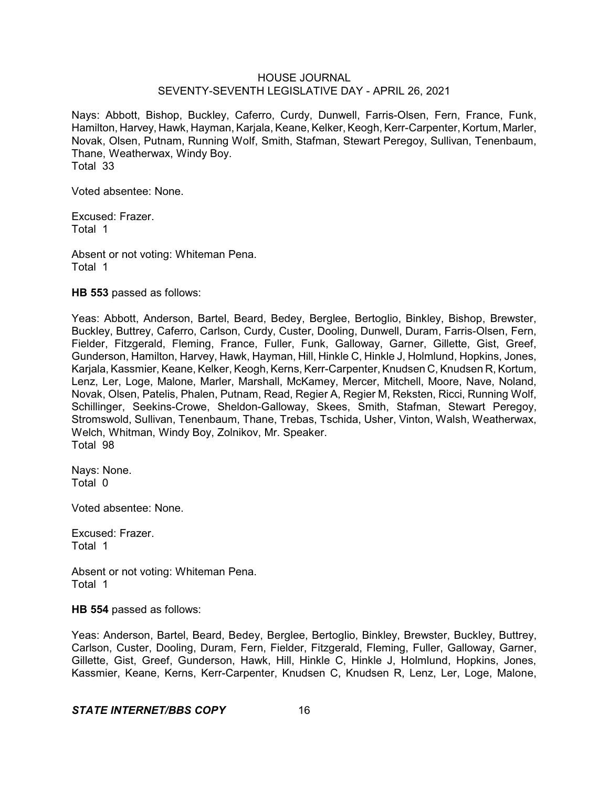Nays: Abbott, Bishop, Buckley, Caferro, Curdy, Dunwell, Farris-Olsen, Fern, France, Funk, Hamilton, Harvey, Hawk, Hayman, Karjala, Keane, Kelker, Keogh, Kerr-Carpenter, Kortum, Marler, Novak, Olsen, Putnam, Running Wolf, Smith, Stafman, Stewart Peregoy, Sullivan, Tenenbaum, Thane, Weatherwax, Windy Boy. Total 33

Voted absentee: None.

Excused: Frazer. Total 1

Absent or not voting: Whiteman Pena. Total 1

**HB 553** passed as follows:

Yeas: Abbott, Anderson, Bartel, Beard, Bedey, Berglee, Bertoglio, Binkley, Bishop, Brewster, Buckley, Buttrey, Caferro, Carlson, Curdy, Custer, Dooling, Dunwell, Duram, Farris-Olsen, Fern, Fielder, Fitzgerald, Fleming, France, Fuller, Funk, Galloway, Garner, Gillette, Gist, Greef, Gunderson, Hamilton, Harvey, Hawk, Hayman, Hill, Hinkle C, Hinkle J, Holmlund, Hopkins, Jones, Karjala, Kassmier, Keane, Kelker, Keogh, Kerns, Kerr-Carpenter, Knudsen C, Knudsen R, Kortum, Lenz, Ler, Loge, Malone, Marler, Marshall, McKamey, Mercer, Mitchell, Moore, Nave, Noland, Novak, Olsen, Patelis, Phalen, Putnam, Read, Regier A, Regier M, Reksten, Ricci, Running Wolf, Schillinger, Seekins-Crowe, Sheldon-Galloway, Skees, Smith, Stafman, Stewart Peregoy, Stromswold, Sullivan, Tenenbaum, Thane, Trebas, Tschida, Usher, Vinton, Walsh, Weatherwax, Welch, Whitman, Windy Boy, Zolnikov, Mr. Speaker. Total 98

Nays: None. Total 0

Voted absentee: None.

Excused: Frazer. Total 1

Absent or not voting: Whiteman Pena. Total 1

**HB 554** passed as follows:

Yeas: Anderson, Bartel, Beard, Bedey, Berglee, Bertoglio, Binkley, Brewster, Buckley, Buttrey, Carlson, Custer, Dooling, Duram, Fern, Fielder, Fitzgerald, Fleming, Fuller, Galloway, Garner, Gillette, Gist, Greef, Gunderson, Hawk, Hill, Hinkle C, Hinkle J, Holmlund, Hopkins, Jones, Kassmier, Keane, Kerns, Kerr-Carpenter, Knudsen C, Knudsen R, Lenz, Ler, Loge, Malone,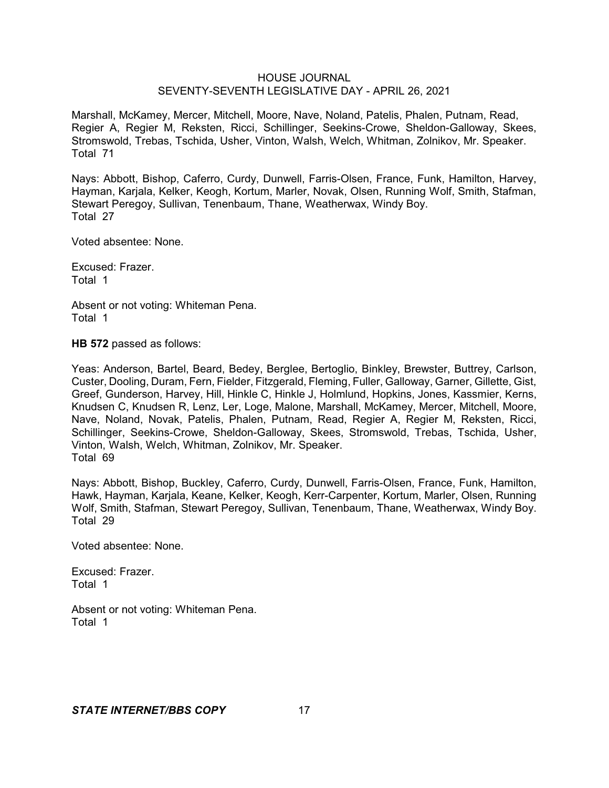Marshall, McKamey, Mercer, Mitchell, Moore, Nave, Noland, Patelis, Phalen, Putnam, Read, Regier A, Regier M, Reksten, Ricci, Schillinger, Seekins-Crowe, Sheldon-Galloway, Skees, Stromswold, Trebas, Tschida, Usher, Vinton, Walsh, Welch, Whitman, Zolnikov, Mr. Speaker. Total 71

Nays: Abbott, Bishop, Caferro, Curdy, Dunwell, Farris-Olsen, France, Funk, Hamilton, Harvey, Hayman, Karjala, Kelker, Keogh, Kortum, Marler, Novak, Olsen, Running Wolf, Smith, Stafman, Stewart Peregoy, Sullivan, Tenenbaum, Thane, Weatherwax, Windy Boy. Total 27

Voted absentee: None.

Excused: Frazer. Total 1

Absent or not voting: Whiteman Pena. Total 1

**HB 572** passed as follows:

Yeas: Anderson, Bartel, Beard, Bedey, Berglee, Bertoglio, Binkley, Brewster, Buttrey, Carlson, Custer, Dooling, Duram, Fern, Fielder, Fitzgerald, Fleming, Fuller, Galloway, Garner, Gillette, Gist, Greef, Gunderson, Harvey, Hill, Hinkle C, Hinkle J, Holmlund, Hopkins, Jones, Kassmier, Kerns, Knudsen C, Knudsen R, Lenz, Ler, Loge, Malone, Marshall, McKamey, Mercer, Mitchell, Moore, Nave, Noland, Novak, Patelis, Phalen, Putnam, Read, Regier A, Regier M, Reksten, Ricci, Schillinger, Seekins-Crowe, Sheldon-Galloway, Skees, Stromswold, Trebas, Tschida, Usher, Vinton, Walsh, Welch, Whitman, Zolnikov, Mr. Speaker. Total 69

Nays: Abbott, Bishop, Buckley, Caferro, Curdy, Dunwell, Farris-Olsen, France, Funk, Hamilton, Hawk, Hayman, Karjala, Keane, Kelker, Keogh, Kerr-Carpenter, Kortum, Marler, Olsen, Running Wolf, Smith, Stafman, Stewart Peregoy, Sullivan, Tenenbaum, Thane, Weatherwax, Windy Boy. Total 29

Voted absentee: None.

Excused: Frazer. Total 1

Absent or not voting: Whiteman Pena. Total 1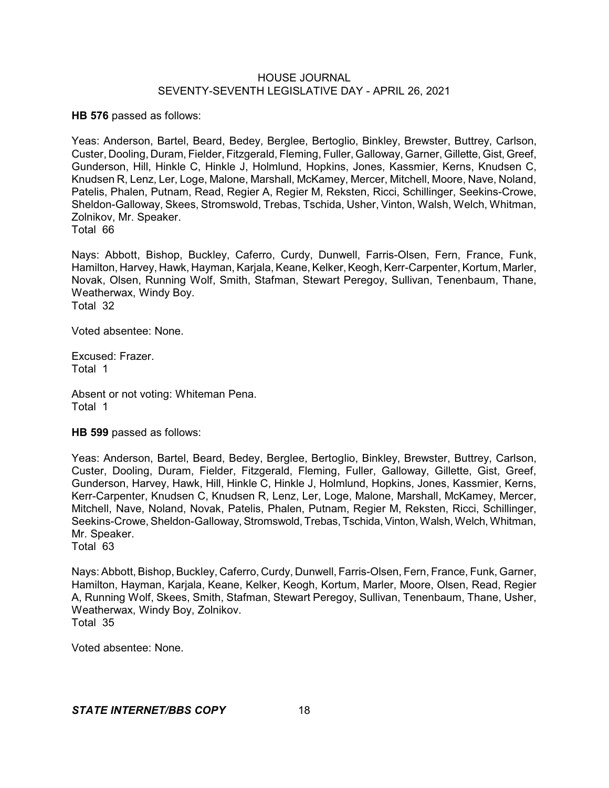**HB 576** passed as follows:

Yeas: Anderson, Bartel, Beard, Bedey, Berglee, Bertoglio, Binkley, Brewster, Buttrey, Carlson, Custer, Dooling, Duram, Fielder, Fitzgerald, Fleming, Fuller, Galloway, Garner, Gillette, Gist, Greef, Gunderson, Hill, Hinkle C, Hinkle J, Holmlund, Hopkins, Jones, Kassmier, Kerns, Knudsen C, Knudsen R, Lenz, Ler, Loge, Malone, Marshall, McKamey, Mercer, Mitchell, Moore, Nave, Noland, Patelis, Phalen, Putnam, Read, Regier A, Regier M, Reksten, Ricci, Schillinger, Seekins-Crowe, Sheldon-Galloway, Skees, Stromswold, Trebas, Tschida, Usher, Vinton, Walsh, Welch, Whitman, Zolnikov, Mr. Speaker.

Total 66

Nays: Abbott, Bishop, Buckley, Caferro, Curdy, Dunwell, Farris-Olsen, Fern, France, Funk, Hamilton, Harvey, Hawk, Hayman, Karjala, Keane, Kelker, Keogh, Kerr-Carpenter, Kortum, Marler, Novak, Olsen, Running Wolf, Smith, Stafman, Stewart Peregoy, Sullivan, Tenenbaum, Thane, Weatherwax, Windy Boy. Total 32

Voted absentee: None.

Excused: Frazer. Total 1

Absent or not voting: Whiteman Pena. Total 1

**HB 599** passed as follows:

Yeas: Anderson, Bartel, Beard, Bedey, Berglee, Bertoglio, Binkley, Brewster, Buttrey, Carlson, Custer, Dooling, Duram, Fielder, Fitzgerald, Fleming, Fuller, Galloway, Gillette, Gist, Greef, Gunderson, Harvey, Hawk, Hill, Hinkle C, Hinkle J, Holmlund, Hopkins, Jones, Kassmier, Kerns, Kerr-Carpenter, Knudsen C, Knudsen R, Lenz, Ler, Loge, Malone, Marshall, McKamey, Mercer, Mitchell, Nave, Noland, Novak, Patelis, Phalen, Putnam, Regier M, Reksten, Ricci, Schillinger, Seekins-Crowe, Sheldon-Galloway, Stromswold, Trebas, Tschida, Vinton, Walsh, Welch, Whitman, Mr. Speaker.

Total 63

Nays: Abbott, Bishop, Buckley, Caferro, Curdy, Dunwell, Farris-Olsen, Fern, France, Funk, Garner, Hamilton, Hayman, Karjala, Keane, Kelker, Keogh, Kortum, Marler, Moore, Olsen, Read, Regier A, Running Wolf, Skees, Smith, Stafman, Stewart Peregoy, Sullivan, Tenenbaum, Thane, Usher, Weatherwax, Windy Boy, Zolnikov. Total 35

Voted absentee: None.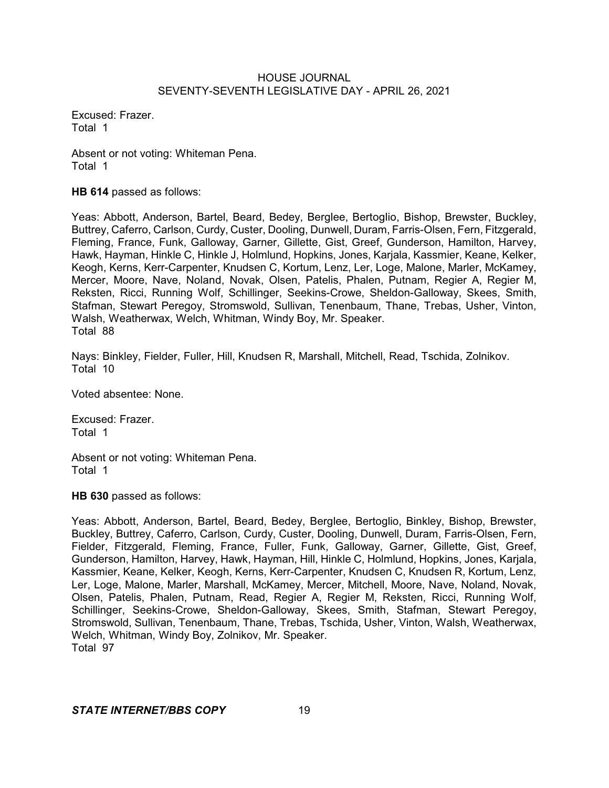Excused: Frazer. Total 1

Absent or not voting: Whiteman Pena. Total 1

**HB 614** passed as follows:

Yeas: Abbott, Anderson, Bartel, Beard, Bedey, Berglee, Bertoglio, Bishop, Brewster, Buckley, Buttrey, Caferro, Carlson, Curdy, Custer, Dooling, Dunwell, Duram, Farris-Olsen, Fern, Fitzgerald, Fleming, France, Funk, Galloway, Garner, Gillette, Gist, Greef, Gunderson, Hamilton, Harvey, Hawk, Hayman, Hinkle C, Hinkle J, Holmlund, Hopkins, Jones, Karjala, Kassmier, Keane, Kelker, Keogh, Kerns, Kerr-Carpenter, Knudsen C, Kortum, Lenz, Ler, Loge, Malone, Marler, McKamey, Mercer, Moore, Nave, Noland, Novak, Olsen, Patelis, Phalen, Putnam, Regier A, Regier M, Reksten, Ricci, Running Wolf, Schillinger, Seekins-Crowe, Sheldon-Galloway, Skees, Smith, Stafman, Stewart Peregoy, Stromswold, Sullivan, Tenenbaum, Thane, Trebas, Usher, Vinton, Walsh, Weatherwax, Welch, Whitman, Windy Boy, Mr. Speaker. Total 88

Nays: Binkley, Fielder, Fuller, Hill, Knudsen R, Marshall, Mitchell, Read, Tschida, Zolnikov. Total 10

Voted absentee: None.

Excused: Frazer. Total 1

Absent or not voting: Whiteman Pena. Total 1

**HB 630** passed as follows:

Yeas: Abbott, Anderson, Bartel, Beard, Bedey, Berglee, Bertoglio, Binkley, Bishop, Brewster, Buckley, Buttrey, Caferro, Carlson, Curdy, Custer, Dooling, Dunwell, Duram, Farris-Olsen, Fern, Fielder, Fitzgerald, Fleming, France, Fuller, Funk, Galloway, Garner, Gillette, Gist, Greef, Gunderson, Hamilton, Harvey, Hawk, Hayman, Hill, Hinkle C, Holmlund, Hopkins, Jones, Karjala, Kassmier, Keane, Kelker, Keogh, Kerns, Kerr-Carpenter, Knudsen C, Knudsen R, Kortum, Lenz, Ler, Loge, Malone, Marler, Marshall, McKamey, Mercer, Mitchell, Moore, Nave, Noland, Novak, Olsen, Patelis, Phalen, Putnam, Read, Regier A, Regier M, Reksten, Ricci, Running Wolf, Schillinger, Seekins-Crowe, Sheldon-Galloway, Skees, Smith, Stafman, Stewart Peregoy, Stromswold, Sullivan, Tenenbaum, Thane, Trebas, Tschida, Usher, Vinton, Walsh, Weatherwax, Welch, Whitman, Windy Boy, Zolnikov, Mr. Speaker. Total 97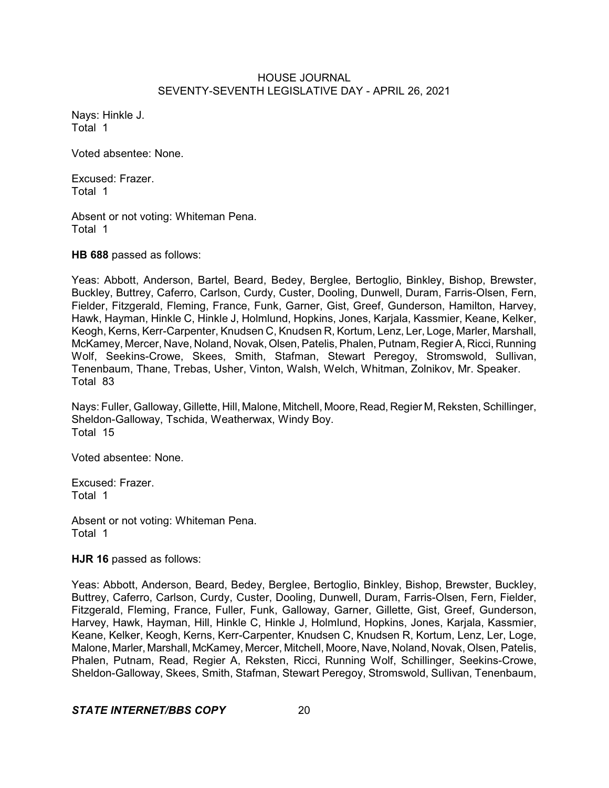Nays: Hinkle J. Total 1

Voted absentee: None.

Excused: Frazer. Total 1

Absent or not voting: Whiteman Pena. Total 1

**HB 688** passed as follows:

Yeas: Abbott, Anderson, Bartel, Beard, Bedey, Berglee, Bertoglio, Binkley, Bishop, Brewster, Buckley, Buttrey, Caferro, Carlson, Curdy, Custer, Dooling, Dunwell, Duram, Farris-Olsen, Fern, Fielder, Fitzgerald, Fleming, France, Funk, Garner, Gist, Greef, Gunderson, Hamilton, Harvey, Hawk, Hayman, Hinkle C, Hinkle J, Holmlund, Hopkins, Jones, Karjala, Kassmier, Keane, Kelker, Keogh, Kerns, Kerr-Carpenter, Knudsen C, Knudsen R, Kortum, Lenz, Ler, Loge, Marler, Marshall, McKamey, Mercer, Nave, Noland, Novak, Olsen, Patelis, Phalen, Putnam, Regier A, Ricci, Running Wolf, Seekins-Crowe, Skees, Smith, Stafman, Stewart Peregoy, Stromswold, Sullivan, Tenenbaum, Thane, Trebas, Usher, Vinton, Walsh, Welch, Whitman, Zolnikov, Mr. Speaker. Total 83

Nays: Fuller, Galloway, Gillette, Hill, Malone, Mitchell, Moore, Read, Regier M, Reksten, Schillinger, Sheldon-Galloway, Tschida, Weatherwax, Windy Boy. Total 15

Voted absentee: None.

Excused: Frazer. Total 1

Absent or not voting: Whiteman Pena. Total 1

**HJR 16** passed as follows:

Yeas: Abbott, Anderson, Beard, Bedey, Berglee, Bertoglio, Binkley, Bishop, Brewster, Buckley, Buttrey, Caferro, Carlson, Curdy, Custer, Dooling, Dunwell, Duram, Farris-Olsen, Fern, Fielder, Fitzgerald, Fleming, France, Fuller, Funk, Galloway, Garner, Gillette, Gist, Greef, Gunderson, Harvey, Hawk, Hayman, Hill, Hinkle C, Hinkle J, Holmlund, Hopkins, Jones, Karjala, Kassmier, Keane, Kelker, Keogh, Kerns, Kerr-Carpenter, Knudsen C, Knudsen R, Kortum, Lenz, Ler, Loge, Malone, Marler, Marshall, McKamey, Mercer, Mitchell, Moore, Nave, Noland, Novak, Olsen, Patelis, Phalen, Putnam, Read, Regier A, Reksten, Ricci, Running Wolf, Schillinger, Seekins-Crowe, Sheldon-Galloway, Skees, Smith, Stafman, Stewart Peregoy, Stromswold, Sullivan, Tenenbaum,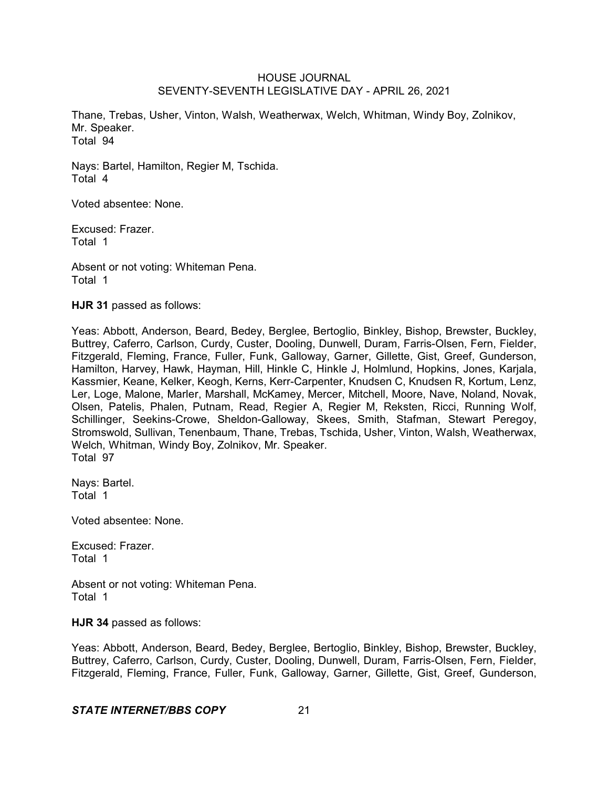Thane, Trebas, Usher, Vinton, Walsh, Weatherwax, Welch, Whitman, Windy Boy, Zolnikov, Mr. Speaker. Total 94

Nays: Bartel, Hamilton, Regier M, Tschida. Total 4

Voted absentee: None.

Excused: Frazer. Total 1

Absent or not voting: Whiteman Pena. Total 1

**HJR 31** passed as follows:

Yeas: Abbott, Anderson, Beard, Bedey, Berglee, Bertoglio, Binkley, Bishop, Brewster, Buckley, Buttrey, Caferro, Carlson, Curdy, Custer, Dooling, Dunwell, Duram, Farris-Olsen, Fern, Fielder, Fitzgerald, Fleming, France, Fuller, Funk, Galloway, Garner, Gillette, Gist, Greef, Gunderson, Hamilton, Harvey, Hawk, Hayman, Hill, Hinkle C, Hinkle J, Holmlund, Hopkins, Jones, Karjala, Kassmier, Keane, Kelker, Keogh, Kerns, Kerr-Carpenter, Knudsen C, Knudsen R, Kortum, Lenz, Ler, Loge, Malone, Marler, Marshall, McKamey, Mercer, Mitchell, Moore, Nave, Noland, Novak, Olsen, Patelis, Phalen, Putnam, Read, Regier A, Regier M, Reksten, Ricci, Running Wolf, Schillinger, Seekins-Crowe, Sheldon-Galloway, Skees, Smith, Stafman, Stewart Peregoy, Stromswold, Sullivan, Tenenbaum, Thane, Trebas, Tschida, Usher, Vinton, Walsh, Weatherwax, Welch, Whitman, Windy Boy, Zolnikov, Mr. Speaker. Total 97

Nays: Bartel. Total 1

Voted absentee: None.

Excused: Frazer. Total 1

Absent or not voting: Whiteman Pena. Total 1

# **HJR 34** passed as follows:

Yeas: Abbott, Anderson, Beard, Bedey, Berglee, Bertoglio, Binkley, Bishop, Brewster, Buckley, Buttrey, Caferro, Carlson, Curdy, Custer, Dooling, Dunwell, Duram, Farris-Olsen, Fern, Fielder, Fitzgerald, Fleming, France, Fuller, Funk, Galloway, Garner, Gillette, Gist, Greef, Gunderson,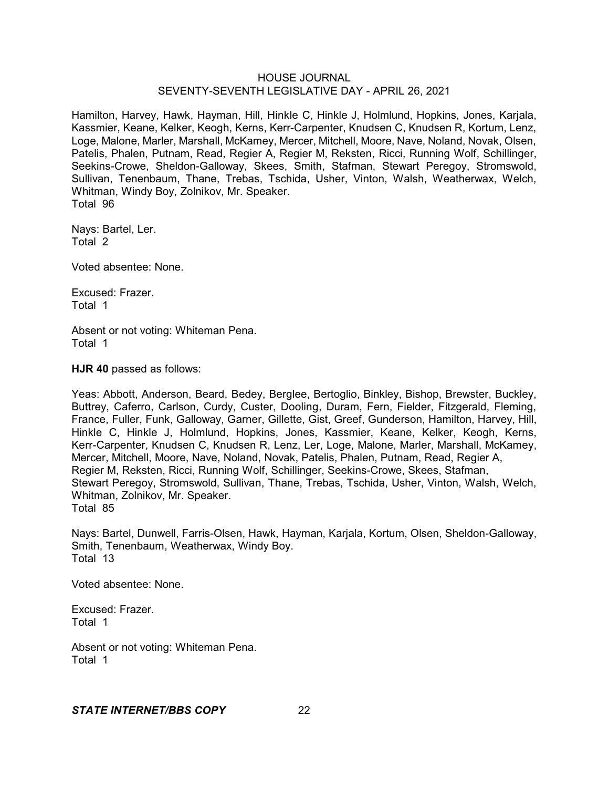Hamilton, Harvey, Hawk, Hayman, Hill, Hinkle C, Hinkle J, Holmlund, Hopkins, Jones, Karjala, Kassmier, Keane, Kelker, Keogh, Kerns, Kerr-Carpenter, Knudsen C, Knudsen R, Kortum, Lenz, Loge, Malone, Marler, Marshall, McKamey, Mercer, Mitchell, Moore, Nave, Noland, Novak, Olsen, Patelis, Phalen, Putnam, Read, Regier A, Regier M, Reksten, Ricci, Running Wolf, Schillinger, Seekins-Crowe, Sheldon-Galloway, Skees, Smith, Stafman, Stewart Peregoy, Stromswold, Sullivan, Tenenbaum, Thane, Trebas, Tschida, Usher, Vinton, Walsh, Weatherwax, Welch, Whitman, Windy Boy, Zolnikov, Mr. Speaker. Total 96

Nays: Bartel, Ler. Total 2

Voted absentee: None.

Excused: Frazer. Total 1

Absent or not voting: Whiteman Pena. Total 1

**HJR 40** passed as follows:

Yeas: Abbott, Anderson, Beard, Bedey, Berglee, Bertoglio, Binkley, Bishop, Brewster, Buckley, Buttrey, Caferro, Carlson, Curdy, Custer, Dooling, Duram, Fern, Fielder, Fitzgerald, Fleming, France, Fuller, Funk, Galloway, Garner, Gillette, Gist, Greef, Gunderson, Hamilton, Harvey, Hill, Hinkle C, Hinkle J, Holmlund, Hopkins, Jones, Kassmier, Keane, Kelker, Keogh, Kerns, Kerr-Carpenter, Knudsen C, Knudsen R, Lenz, Ler, Loge, Malone, Marler, Marshall, McKamey, Mercer, Mitchell, Moore, Nave, Noland, Novak, Patelis, Phalen, Putnam, Read, Regier A, Regier M, Reksten, Ricci, Running Wolf, Schillinger, Seekins-Crowe, Skees, Stafman, Stewart Peregoy, Stromswold, Sullivan, Thane, Trebas, Tschida, Usher, Vinton, Walsh, Welch, Whitman, Zolnikov, Mr. Speaker. Total 85

Nays: Bartel, Dunwell, Farris-Olsen, Hawk, Hayman, Karjala, Kortum, Olsen, Sheldon-Galloway, Smith, Tenenbaum, Weatherwax, Windy Boy. Total 13

Voted absentee: None.

Excused: Frazer. Total 1

Absent or not voting: Whiteman Pena. Total 1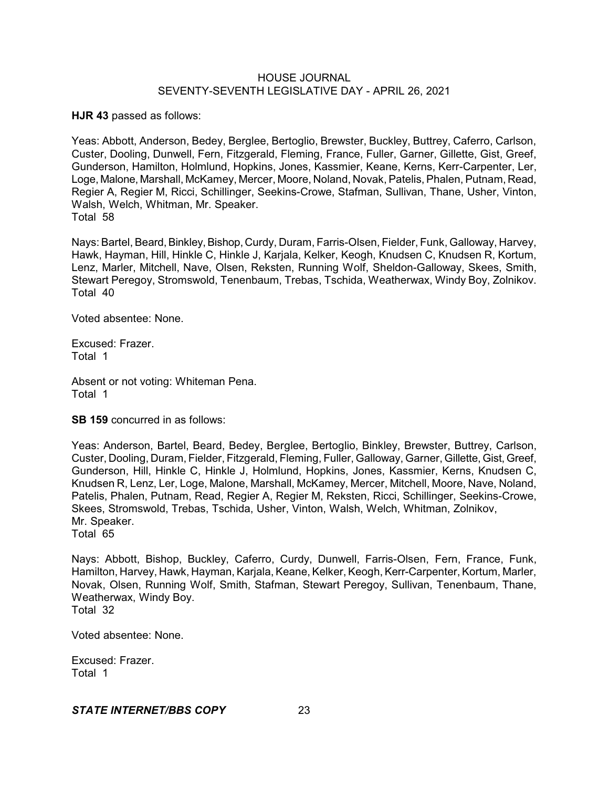**HJR 43** passed as follows:

Yeas: Abbott, Anderson, Bedey, Berglee, Bertoglio, Brewster, Buckley, Buttrey, Caferro, Carlson, Custer, Dooling, Dunwell, Fern, Fitzgerald, Fleming, France, Fuller, Garner, Gillette, Gist, Greef, Gunderson, Hamilton, Holmlund, Hopkins, Jones, Kassmier, Keane, Kerns, Kerr-Carpenter, Ler, Loge, Malone, Marshall, McKamey, Mercer, Moore, Noland, Novak, Patelis, Phalen, Putnam, Read, Regier A, Regier M, Ricci, Schillinger, Seekins-Crowe, Stafman, Sullivan, Thane, Usher, Vinton, Walsh, Welch, Whitman, Mr. Speaker. Total 58

Nays: Bartel, Beard, Binkley, Bishop, Curdy, Duram, Farris-Olsen, Fielder, Funk, Galloway, Harvey, Hawk, Hayman, Hill, Hinkle C, Hinkle J, Karjala, Kelker, Keogh, Knudsen C, Knudsen R, Kortum, Lenz, Marler, Mitchell, Nave, Olsen, Reksten, Running Wolf, Sheldon-Galloway, Skees, Smith, Stewart Peregoy, Stromswold, Tenenbaum, Trebas, Tschida, Weatherwax, Windy Boy, Zolnikov. Total 40

Voted absentee: None.

Excused: Frazer. Total 1

Absent or not voting: Whiteman Pena. Total 1

**SB 159** concurred in as follows:

Yeas: Anderson, Bartel, Beard, Bedey, Berglee, Bertoglio, Binkley, Brewster, Buttrey, Carlson, Custer, Dooling, Duram, Fielder, Fitzgerald, Fleming, Fuller, Galloway, Garner, Gillette, Gist, Greef, Gunderson, Hill, Hinkle C, Hinkle J, Holmlund, Hopkins, Jones, Kassmier, Kerns, Knudsen C, Knudsen R, Lenz, Ler, Loge, Malone, Marshall, McKamey, Mercer, Mitchell, Moore, Nave, Noland, Patelis, Phalen, Putnam, Read, Regier A, Regier M, Reksten, Ricci, Schillinger, Seekins-Crowe, Skees, Stromswold, Trebas, Tschida, Usher, Vinton, Walsh, Welch, Whitman, Zolnikov, Mr. Speaker.

Total 65

Nays: Abbott, Bishop, Buckley, Caferro, Curdy, Dunwell, Farris-Olsen, Fern, France, Funk, Hamilton, Harvey, Hawk, Hayman, Karjala, Keane, Kelker, Keogh, Kerr-Carpenter, Kortum, Marler, Novak, Olsen, Running Wolf, Smith, Stafman, Stewart Peregoy, Sullivan, Tenenbaum, Thane, Weatherwax, Windy Boy. Total 32

Voted absentee: None.

Excused: Frazer. Total 1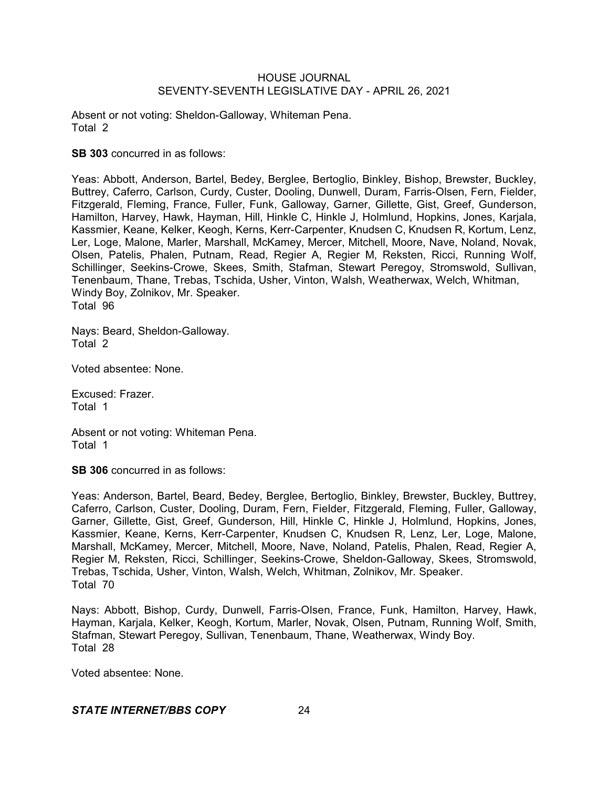Absent or not voting: Sheldon-Galloway, Whiteman Pena. Total 2

**SB 303** concurred in as follows:

Yeas: Abbott, Anderson, Bartel, Bedey, Berglee, Bertoglio, Binkley, Bishop, Brewster, Buckley, Buttrey, Caferro, Carlson, Curdy, Custer, Dooling, Dunwell, Duram, Farris-Olsen, Fern, Fielder, Fitzgerald, Fleming, France, Fuller, Funk, Galloway, Garner, Gillette, Gist, Greef, Gunderson, Hamilton, Harvey, Hawk, Hayman, Hill, Hinkle C, Hinkle J, Holmlund, Hopkins, Jones, Karjala, Kassmier, Keane, Kelker, Keogh, Kerns, Kerr-Carpenter, Knudsen C, Knudsen R, Kortum, Lenz, Ler, Loge, Malone, Marler, Marshall, McKamey, Mercer, Mitchell, Moore, Nave, Noland, Novak, Olsen, Patelis, Phalen, Putnam, Read, Regier A, Regier M, Reksten, Ricci, Running Wolf, Schillinger, Seekins-Crowe, Skees, Smith, Stafman, Stewart Peregoy, Stromswold, Sullivan, Tenenbaum, Thane, Trebas, Tschida, Usher, Vinton, Walsh, Weatherwax, Welch, Whitman, Windy Boy, Zolnikov, Mr. Speaker. Total 96

Nays: Beard, Sheldon-Galloway. Total 2

Voted absentee: None.

Excused: Frazer. Total 1

Absent or not voting: Whiteman Pena. Total 1

**SB 306** concurred in as follows:

Yeas: Anderson, Bartel, Beard, Bedey, Berglee, Bertoglio, Binkley, Brewster, Buckley, Buttrey, Caferro, Carlson, Custer, Dooling, Duram, Fern, Fielder, Fitzgerald, Fleming, Fuller, Galloway, Garner, Gillette, Gist, Greef, Gunderson, Hill, Hinkle C, Hinkle J, Holmlund, Hopkins, Jones, Kassmier, Keane, Kerns, Kerr-Carpenter, Knudsen C, Knudsen R, Lenz, Ler, Loge, Malone, Marshall, McKamey, Mercer, Mitchell, Moore, Nave, Noland, Patelis, Phalen, Read, Regier A, Regier M, Reksten, Ricci, Schillinger, Seekins-Crowe, Sheldon-Galloway, Skees, Stromswold, Trebas, Tschida, Usher, Vinton, Walsh, Welch, Whitman, Zolnikov, Mr. Speaker. Total 70

Nays: Abbott, Bishop, Curdy, Dunwell, Farris-Olsen, France, Funk, Hamilton, Harvey, Hawk, Hayman, Karjala, Kelker, Keogh, Kortum, Marler, Novak, Olsen, Putnam, Running Wolf, Smith, Stafman, Stewart Peregoy, Sullivan, Tenenbaum, Thane, Weatherwax, Windy Boy. Total 28

Voted absentee: None.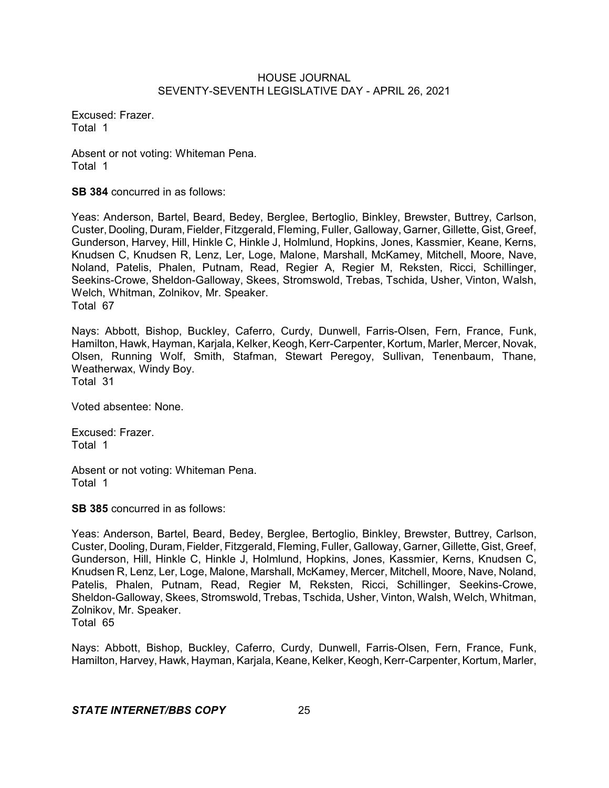Excused: Frazer. Total 1

Absent or not voting: Whiteman Pena. Total 1

**SB 384** concurred in as follows:

Yeas: Anderson, Bartel, Beard, Bedey, Berglee, Bertoglio, Binkley, Brewster, Buttrey, Carlson, Custer, Dooling, Duram, Fielder, Fitzgerald, Fleming, Fuller, Galloway, Garner, Gillette, Gist, Greef, Gunderson, Harvey, Hill, Hinkle C, Hinkle J, Holmlund, Hopkins, Jones, Kassmier, Keane, Kerns, Knudsen C, Knudsen R, Lenz, Ler, Loge, Malone, Marshall, McKamey, Mitchell, Moore, Nave, Noland, Patelis, Phalen, Putnam, Read, Regier A, Regier M, Reksten, Ricci, Schillinger, Seekins-Crowe, Sheldon-Galloway, Skees, Stromswold, Trebas, Tschida, Usher, Vinton, Walsh, Welch, Whitman, Zolnikov, Mr. Speaker. Total 67

Nays: Abbott, Bishop, Buckley, Caferro, Curdy, Dunwell, Farris-Olsen, Fern, France, Funk, Hamilton, Hawk, Hayman, Karjala, Kelker, Keogh, Kerr-Carpenter, Kortum, Marler, Mercer, Novak, Olsen, Running Wolf, Smith, Stafman, Stewart Peregoy, Sullivan, Tenenbaum, Thane, Weatherwax, Windy Boy. Total 31

Voted absentee: None.

Excused: Frazer. Total 1

Absent or not voting: Whiteman Pena. Total 1

**SB 385** concurred in as follows:

Yeas: Anderson, Bartel, Beard, Bedey, Berglee, Bertoglio, Binkley, Brewster, Buttrey, Carlson, Custer, Dooling, Duram,Fielder, Fitzgerald, Fleming, Fuller, Galloway, Garner, Gillette, Gist, Greef, Gunderson, Hill, Hinkle C, Hinkle J, Holmlund, Hopkins, Jones, Kassmier, Kerns, Knudsen C, Knudsen R, Lenz, Ler, Loge, Malone, Marshall, McKamey, Mercer, Mitchell, Moore, Nave, Noland, Patelis, Phalen, Putnam, Read, Regier M, Reksten, Ricci, Schillinger, Seekins-Crowe, Sheldon-Galloway, Skees, Stromswold, Trebas, Tschida, Usher, Vinton, Walsh, Welch, Whitman, Zolnikov, Mr. Speaker. Total 65

Nays: Abbott, Bishop, Buckley, Caferro, Curdy, Dunwell, Farris-Olsen, Fern, France, Funk, Hamilton, Harvey, Hawk, Hayman, Karjala, Keane, Kelker, Keogh, Kerr-Carpenter, Kortum, Marler,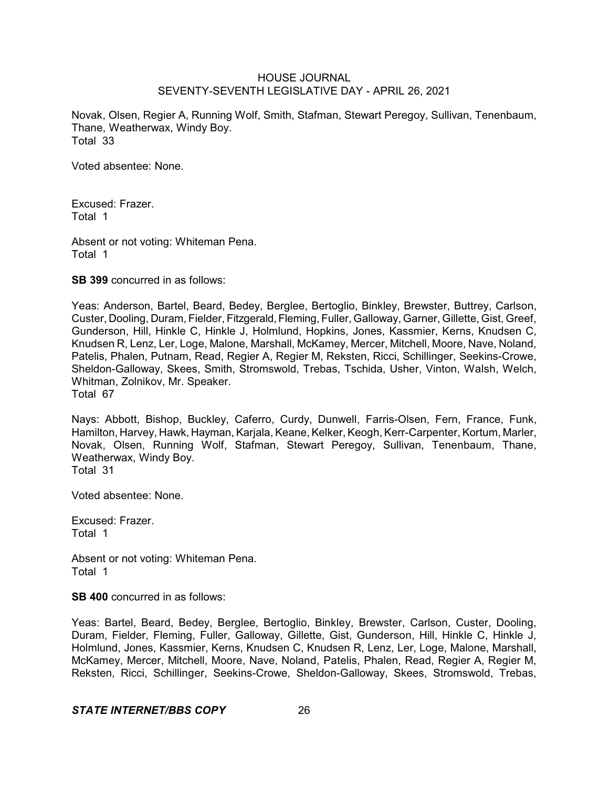Novak, Olsen, Regier A, Running Wolf, Smith, Stafman, Stewart Peregoy, Sullivan, Tenenbaum, Thane, Weatherwax, Windy Boy. Total 33

Voted absentee: None.

Excused: Frazer. Total 1

Absent or not voting: Whiteman Pena. Total 1

**SB 399** concurred in as follows:

Yeas: Anderson, Bartel, Beard, Bedey, Berglee, Bertoglio, Binkley, Brewster, Buttrey, Carlson, Custer, Dooling, Duram, Fielder, Fitzgerald, Fleming, Fuller, Galloway, Garner, Gillette, Gist, Greef, Gunderson, Hill, Hinkle C, Hinkle J, Holmlund, Hopkins, Jones, Kassmier, Kerns, Knudsen C, Knudsen R, Lenz, Ler, Loge, Malone, Marshall, McKamey, Mercer, Mitchell, Moore, Nave, Noland, Patelis, Phalen, Putnam, Read, Regier A, Regier M, Reksten, Ricci, Schillinger, Seekins-Crowe, Sheldon-Galloway, Skees, Smith, Stromswold, Trebas, Tschida, Usher, Vinton, Walsh, Welch, Whitman, Zolnikov, Mr. Speaker. Total 67

Nays: Abbott, Bishop, Buckley, Caferro, Curdy, Dunwell, Farris-Olsen, Fern, France, Funk, Hamilton, Harvey, Hawk, Hayman, Karjala, Keane, Kelker, Keogh, Kerr-Carpenter, Kortum, Marler, Novak, Olsen, Running Wolf, Stafman, Stewart Peregoy, Sullivan, Tenenbaum, Thane, Weatherwax, Windy Boy. Total 31

Voted absentee: None.

Excused: Frazer. Total 1

Absent or not voting: Whiteman Pena. Total 1

**SB 400** concurred in as follows:

Yeas: Bartel, Beard, Bedey, Berglee, Bertoglio, Binkley, Brewster, Carlson, Custer, Dooling, Duram, Fielder, Fleming, Fuller, Galloway, Gillette, Gist, Gunderson, Hill, Hinkle C, Hinkle J, Holmlund, Jones, Kassmier, Kerns, Knudsen C, Knudsen R, Lenz, Ler, Loge, Malone, Marshall, McKamey, Mercer, Mitchell, Moore, Nave, Noland, Patelis, Phalen, Read, Regier A, Regier M, Reksten, Ricci, Schillinger, Seekins-Crowe, Sheldon-Galloway, Skees, Stromswold, Trebas,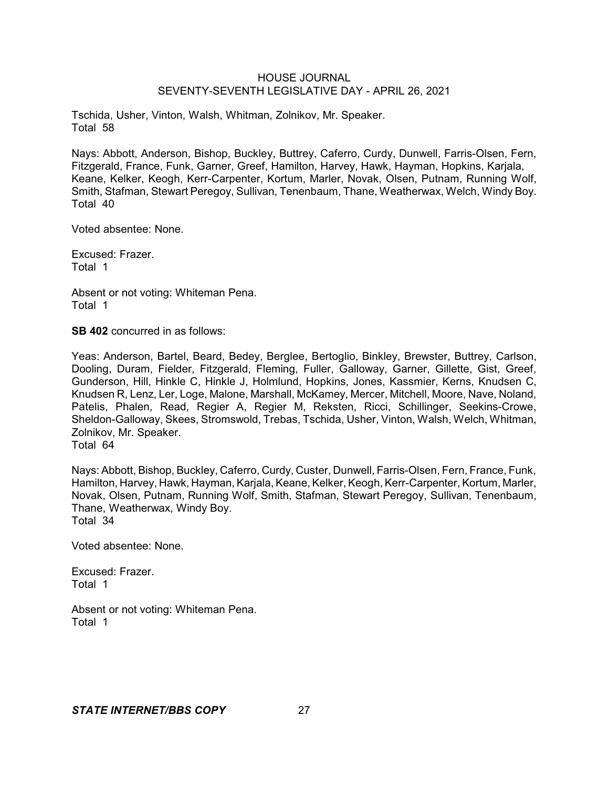Tschida, Usher, Vinton, Walsh, Whitman, Zolnikov, Mr. Speaker. Total 58

Nays: Abbott, Anderson, Bishop, Buckley, Buttrey, Caferro, Curdy, Dunwell, Farris-Olsen, Fern, Fitzgerald, France, Funk, Garner, Greef, Hamilton, Harvey, Hawk, Hayman, Hopkins, Karjala, Keane, Kelker, Keogh, Kerr-Carpenter, Kortum, Marler, Novak, Olsen, Putnam, Running Wolf, Smith, Stafman, Stewart Peregoy, Sullivan, Tenenbaum, Thane, Weatherwax, Welch, Windy Boy. Total 40

Voted absentee: None.

Excused: Frazer. Total 1

Absent or not voting: Whiteman Pena. Total 1

**SB 402** concurred in as follows:

Yeas: Anderson, Bartel, Beard, Bedey, Berglee, Bertoglio, Binkley, Brewster, Buttrey, Carlson, Dooling, Duram, Fielder, Fitzgerald, Fleming, Fuller, Galloway, Garner, Gillette, Gist, Greef, Gunderson, Hill, Hinkle C, Hinkle J, Holmlund, Hopkins, Jones, Kassmier, Kerns, Knudsen C, Knudsen R, Lenz, Ler, Loge, Malone, Marshall, McKamey, Mercer, Mitchell, Moore, Nave, Noland, Patelis, Phalen, Read, Regier A, Regier M, Reksten, Ricci, Schillinger, Seekins-Crowe, Sheldon-Galloway, Skees, Stromswold, Trebas, Tschida, Usher, Vinton, Walsh, Welch, Whitman, Zolnikov, Mr. Speaker.

Total 64

Nays: Abbott, Bishop, Buckley, Caferro, Curdy, Custer, Dunwell, Farris-Olsen, Fern, France, Funk, Hamilton, Harvey, Hawk, Hayman, Karjala, Keane, Kelker, Keogh, Kerr-Carpenter, Kortum, Marler, Novak, Olsen, Putnam, Running Wolf, Smith, Stafman, Stewart Peregoy, Sullivan, Tenenbaum, Thane, Weatherwax, Windy Boy. Total 34

Voted absentee: None.

Excused: Frazer. Total 1

Absent or not voting: Whiteman Pena. Total 1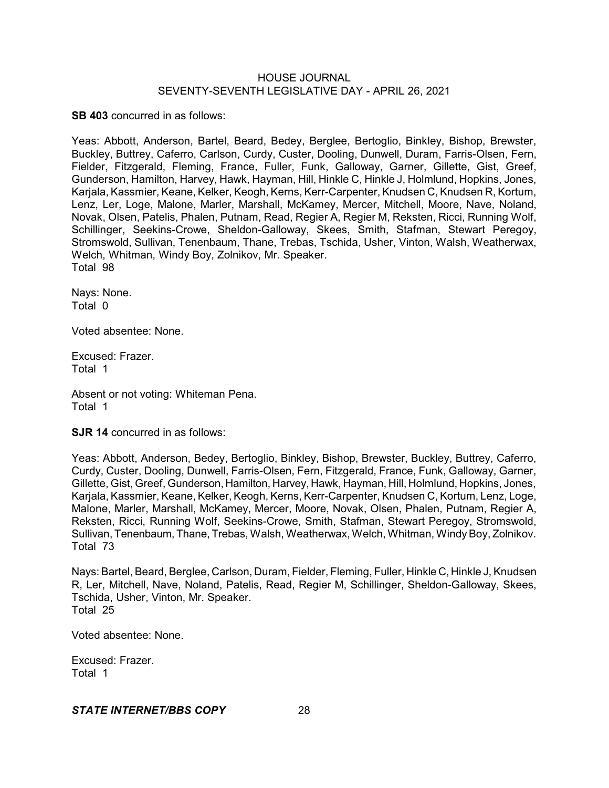**SB 403** concurred in as follows:

Yeas: Abbott, Anderson, Bartel, Beard, Bedey, Berglee, Bertoglio, Binkley, Bishop, Brewster, Buckley, Buttrey, Caferro, Carlson, Curdy, Custer, Dooling, Dunwell, Duram, Farris-Olsen, Fern, Fielder, Fitzgerald, Fleming, France, Fuller, Funk, Galloway, Garner, Gillette, Gist, Greef, Gunderson, Hamilton, Harvey, Hawk, Hayman, Hill, Hinkle C, Hinkle J, Holmlund, Hopkins, Jones, Karjala, Kassmier, Keane, Kelker, Keogh, Kerns, Kerr-Carpenter, Knudsen C, Knudsen R, Kortum, Lenz, Ler, Loge, Malone, Marler, Marshall, McKamey, Mercer, Mitchell, Moore, Nave, Noland, Novak, Olsen, Patelis, Phalen, Putnam, Read, Regier A, Regier M, Reksten, Ricci, Running Wolf, Schillinger, Seekins-Crowe, Sheldon-Galloway, Skees, Smith, Stafman, Stewart Peregoy, Stromswold, Sullivan, Tenenbaum, Thane, Trebas, Tschida, Usher, Vinton, Walsh, Weatherwax, Welch, Whitman, Windy Boy, Zolnikov, Mr. Speaker. Total 98

Nays: None. Total 0

Voted absentee: None.

Excused: Frazer. Total 1

Absent or not voting: Whiteman Pena. Total 1

**SJR 14** concurred in as follows:

Yeas: Abbott, Anderson, Bedey, Bertoglio, Binkley, Bishop, Brewster, Buckley, Buttrey, Caferro, Curdy, Custer, Dooling, Dunwell, Farris-Olsen, Fern, Fitzgerald, France, Funk, Galloway, Garner, Gillette, Gist, Greef, Gunderson, Hamilton, Harvey, Hawk, Hayman, Hill, Holmlund, Hopkins, Jones, Karjala, Kassmier, Keane, Kelker, Keogh, Kerns, Kerr-Carpenter, Knudsen C, Kortum, Lenz, Loge, Malone, Marler, Marshall, McKamey, Mercer, Moore, Novak, Olsen, Phalen, Putnam, Regier A, Reksten, Ricci, Running Wolf, Seekins-Crowe, Smith, Stafman, Stewart Peregoy, Stromswold, Sullivan, Tenenbaum, Thane, Trebas, Walsh, Weatherwax, Welch, Whitman, WindyBoy, Zolnikov. Total 73

Nays: Bartel, Beard, Berglee, Carlson, Duram, Fielder, Fleming, Fuller, Hinkle C, Hinkle J, Knudsen R, Ler, Mitchell, Nave, Noland, Patelis, Read, Regier M, Schillinger, Sheldon-Galloway, Skees, Tschida, Usher, Vinton, Mr. Speaker. Total 25

Voted absentee: None.

Excused: Frazer. Total 1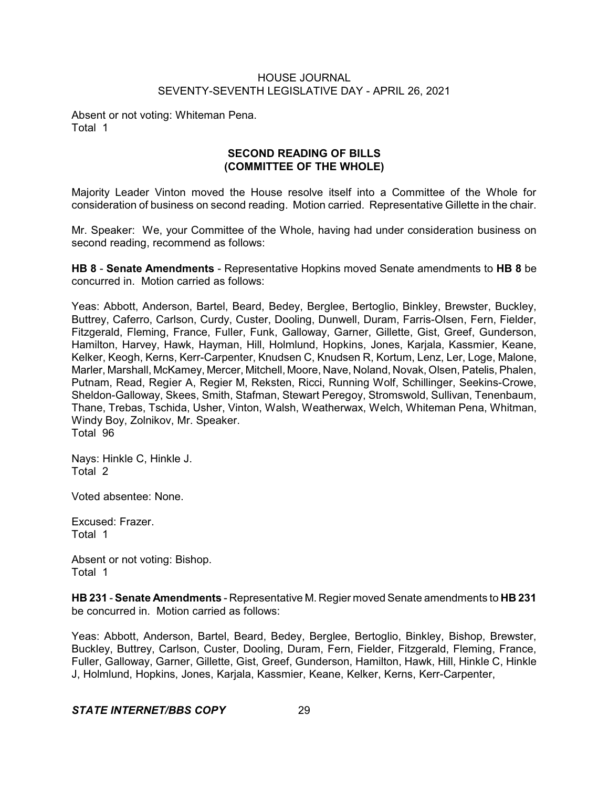Absent or not voting: Whiteman Pena. Total 1

# **SECOND READING OF BILLS (COMMITTEE OF THE WHOLE)**

Majority Leader Vinton moved the House resolve itself into a Committee of the Whole for consideration of business on second reading. Motion carried. Representative Gillette in the chair.

Mr. Speaker: We, your Committee of the Whole, having had under consideration business on second reading, recommend as follows:

**HB 8** - **Senate Amendments** - Representative Hopkins moved Senate amendments to **HB 8** be concurred in. Motion carried as follows:

Yeas: Abbott, Anderson, Bartel, Beard, Bedey, Berglee, Bertoglio, Binkley, Brewster, Buckley, Buttrey, Caferro, Carlson, Curdy, Custer, Dooling, Dunwell, Duram, Farris-Olsen, Fern, Fielder, Fitzgerald, Fleming, France, Fuller, Funk, Galloway, Garner, Gillette, Gist, Greef, Gunderson, Hamilton, Harvey, Hawk, Hayman, Hill, Holmlund, Hopkins, Jones, Karjala, Kassmier, Keane, Kelker, Keogh, Kerns, Kerr-Carpenter, Knudsen C, Knudsen R, Kortum, Lenz, Ler, Loge, Malone, Marler, Marshall, McKamey, Mercer, Mitchell, Moore, Nave, Noland, Novak, Olsen, Patelis, Phalen, Putnam, Read, Regier A, Regier M, Reksten, Ricci, Running Wolf, Schillinger, Seekins-Crowe, Sheldon-Galloway, Skees, Smith, Stafman, Stewart Peregoy, Stromswold, Sullivan, Tenenbaum, Thane, Trebas, Tschida, Usher, Vinton, Walsh, Weatherwax, Welch, Whiteman Pena, Whitman, Windy Boy, Zolnikov, Mr. Speaker. Total 96

Nays: Hinkle C, Hinkle J. Total 2

Voted absentee: None.

Excused: Frazer. Total 1

Absent or not voting: Bishop. Total 1

**HB 231** - **Senate Amendments** - Representative M. Regier moved Senate amendments to **HB 231** be concurred in. Motion carried as follows:

Yeas: Abbott, Anderson, Bartel, Beard, Bedey, Berglee, Bertoglio, Binkley, Bishop, Brewster, Buckley, Buttrey, Carlson, Custer, Dooling, Duram, Fern, Fielder, Fitzgerald, Fleming, France, Fuller, Galloway, Garner, Gillette, Gist, Greef, Gunderson, Hamilton, Hawk, Hill, Hinkle C, Hinkle J, Holmlund, Hopkins, Jones, Karjala, Kassmier, Keane, Kelker, Kerns, Kerr-Carpenter,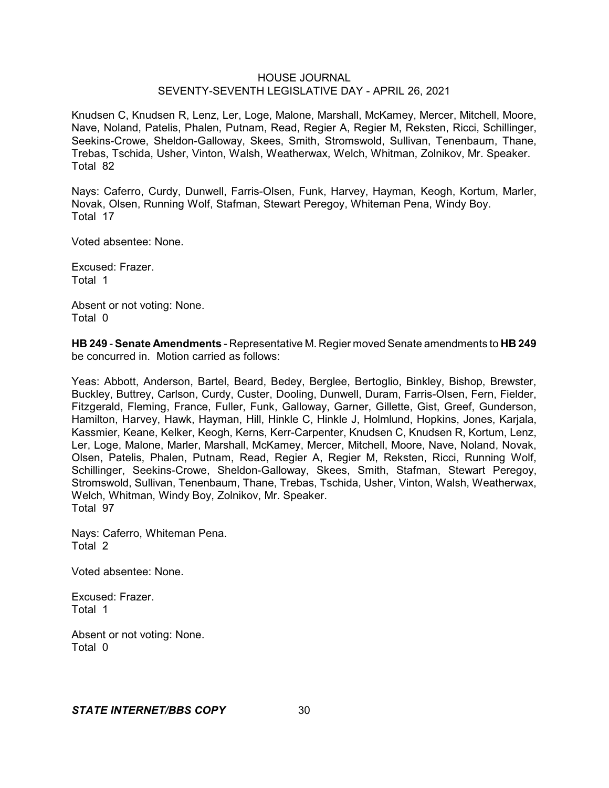Knudsen C, Knudsen R, Lenz, Ler, Loge, Malone, Marshall, McKamey, Mercer, Mitchell, Moore, Nave, Noland, Patelis, Phalen, Putnam, Read, Regier A, Regier M, Reksten, Ricci, Schillinger, Seekins-Crowe, Sheldon-Galloway, Skees, Smith, Stromswold, Sullivan, Tenenbaum, Thane, Trebas, Tschida, Usher, Vinton, Walsh, Weatherwax, Welch, Whitman, Zolnikov, Mr. Speaker. Total 82

Nays: Caferro, Curdy, Dunwell, Farris-Olsen, Funk, Harvey, Hayman, Keogh, Kortum, Marler, Novak, Olsen, Running Wolf, Stafman, Stewart Peregoy, Whiteman Pena, Windy Boy. Total 17

Voted absentee: None.

Excused: Frazer. Total 1

Absent or not voting: None. Total 0

**HB 249** - **Senate Amendments** - Representative M. Regier moved Senate amendments to **HB 249** be concurred in. Motion carried as follows:

Yeas: Abbott, Anderson, Bartel, Beard, Bedey, Berglee, Bertoglio, Binkley, Bishop, Brewster, Buckley, Buttrey, Carlson, Curdy, Custer, Dooling, Dunwell, Duram, Farris-Olsen, Fern, Fielder, Fitzgerald, Fleming, France, Fuller, Funk, Galloway, Garner, Gillette, Gist, Greef, Gunderson, Hamilton, Harvey, Hawk, Hayman, Hill, Hinkle C, Hinkle J, Holmlund, Hopkins, Jones, Karjala, Kassmier, Keane, Kelker, Keogh, Kerns, Kerr-Carpenter, Knudsen C, Knudsen R, Kortum, Lenz, Ler, Loge, Malone, Marler, Marshall, McKamey, Mercer, Mitchell, Moore, Nave, Noland, Novak, Olsen, Patelis, Phalen, Putnam, Read, Regier A, Regier M, Reksten, Ricci, Running Wolf, Schillinger, Seekins-Crowe, Sheldon-Galloway, Skees, Smith, Stafman, Stewart Peregoy, Stromswold, Sullivan, Tenenbaum, Thane, Trebas, Tschida, Usher, Vinton, Walsh, Weatherwax, Welch, Whitman, Windy Boy, Zolnikov, Mr. Speaker. Total 97

Nays: Caferro, Whiteman Pena. Total 2

Voted absentee: None.

Excused: Frazer. Total 1

Absent or not voting: None. Total 0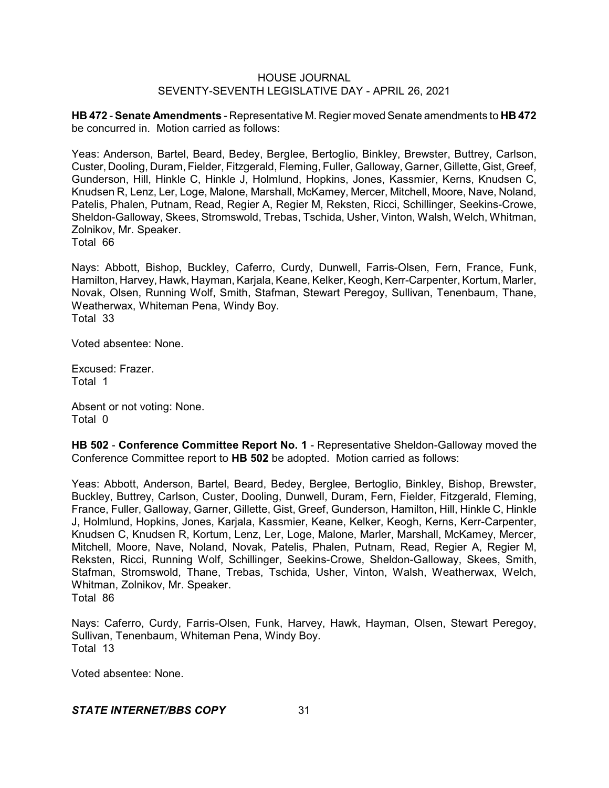**HB 472** - **Senate Amendments** - Representative M. Regier moved Senate amendments to **HB 472** be concurred in. Motion carried as follows:

Yeas: Anderson, Bartel, Beard, Bedey, Berglee, Bertoglio, Binkley, Brewster, Buttrey, Carlson, Custer, Dooling, Duram, Fielder, Fitzgerald, Fleming, Fuller, Galloway, Garner, Gillette, Gist, Greef, Gunderson, Hill, Hinkle C, Hinkle J, Holmlund, Hopkins, Jones, Kassmier, Kerns, Knudsen C, Knudsen R, Lenz, Ler, Loge, Malone, Marshall, McKamey, Mercer, Mitchell, Moore, Nave, Noland, Patelis, Phalen, Putnam, Read, Regier A, Regier M, Reksten, Ricci, Schillinger, Seekins-Crowe, Sheldon-Galloway, Skees, Stromswold, Trebas, Tschida, Usher, Vinton, Walsh, Welch, Whitman, Zolnikov, Mr. Speaker.

Total 66

Nays: Abbott, Bishop, Buckley, Caferro, Curdy, Dunwell, Farris-Olsen, Fern, France, Funk, Hamilton, Harvey, Hawk, Hayman, Karjala, Keane, Kelker, Keogh, Kerr-Carpenter, Kortum, Marler, Novak, Olsen, Running Wolf, Smith, Stafman, Stewart Peregoy, Sullivan, Tenenbaum, Thane, Weatherwax, Whiteman Pena, Windy Boy. Total 33

Voted absentee: None.

Excused: Frazer. Total 1

Absent or not voting: None. Total 0

**HB 502** - **Conference Committee Report No. 1** - Representative Sheldon-Galloway moved the Conference Committee report to **HB 502** be adopted. Motion carried as follows:

Yeas: Abbott, Anderson, Bartel, Beard, Bedey, Berglee, Bertoglio, Binkley, Bishop, Brewster, Buckley, Buttrey, Carlson, Custer, Dooling, Dunwell, Duram, Fern, Fielder, Fitzgerald, Fleming, France, Fuller, Galloway, Garner, Gillette, Gist, Greef, Gunderson, Hamilton, Hill, Hinkle C, Hinkle J, Holmlund, Hopkins, Jones, Karjala, Kassmier, Keane, Kelker, Keogh, Kerns, Kerr-Carpenter, Knudsen C, Knudsen R, Kortum, Lenz, Ler, Loge, Malone, Marler, Marshall, McKamey, Mercer, Mitchell, Moore, Nave, Noland, Novak, Patelis, Phalen, Putnam, Read, Regier A, Regier M, Reksten, Ricci, Running Wolf, Schillinger, Seekins-Crowe, Sheldon-Galloway, Skees, Smith, Stafman, Stromswold, Thane, Trebas, Tschida, Usher, Vinton, Walsh, Weatherwax, Welch, Whitman, Zolnikov, Mr. Speaker.

Total 86

Nays: Caferro, Curdy, Farris-Olsen, Funk, Harvey, Hawk, Hayman, Olsen, Stewart Peregoy, Sullivan, Tenenbaum, Whiteman Pena, Windy Boy. Total 13

Voted absentee: None.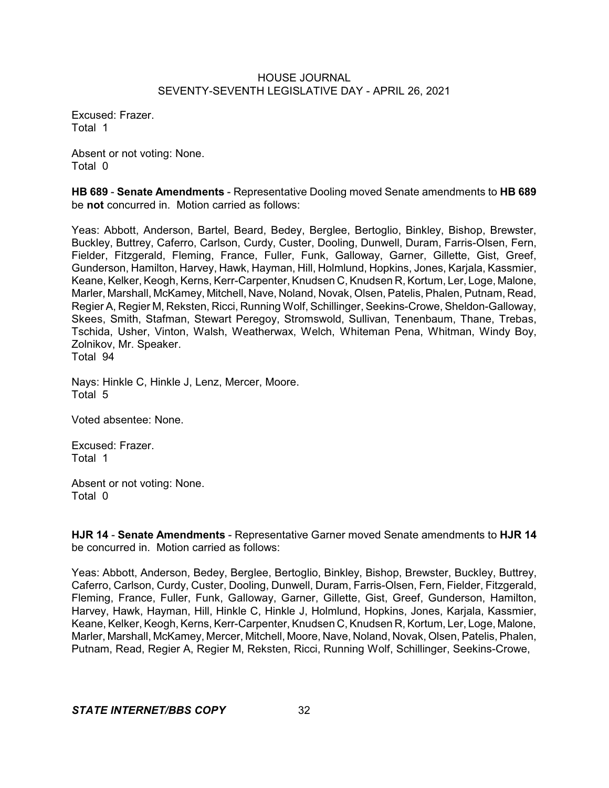Excused: Frazer. Total 1

Absent or not voting: None. Total 0

**HB 689** - **Senate Amendments** - Representative Dooling moved Senate amendments to **HB 689** be **not** concurred in. Motion carried as follows:

Yeas: Abbott, Anderson, Bartel, Beard, Bedey, Berglee, Bertoglio, Binkley, Bishop, Brewster, Buckley, Buttrey, Caferro, Carlson, Curdy, Custer, Dooling, Dunwell, Duram, Farris-Olsen, Fern, Fielder, Fitzgerald, Fleming, France, Fuller, Funk, Galloway, Garner, Gillette, Gist, Greef, Gunderson, Hamilton, Harvey, Hawk, Hayman, Hill, Holmlund, Hopkins, Jones, Karjala, Kassmier, Keane, Kelker, Keogh, Kerns, Kerr-Carpenter, Knudsen C, Knudsen R, Kortum, Ler, Loge, Malone, Marler, Marshall, McKamey, Mitchell, Nave, Noland, Novak, Olsen, Patelis, Phalen, Putnam, Read, Regier A, Regier M, Reksten, Ricci, Running Wolf, Schillinger, Seekins-Crowe, Sheldon-Galloway, Skees, Smith, Stafman, Stewart Peregoy, Stromswold, Sullivan, Tenenbaum, Thane, Trebas, Tschida, Usher, Vinton, Walsh, Weatherwax, Welch, Whiteman Pena, Whitman, Windy Boy, Zolnikov, Mr. Speaker. Total 94

Nays: Hinkle C, Hinkle J, Lenz, Mercer, Moore. Total 5

Voted absentee: None.

Excused: Frazer. Total 1

Absent or not voting: None. Total 0

**HJR 14** - **Senate Amendments** - Representative Garner moved Senate amendments to **HJR 14** be concurred in. Motion carried as follows:

Yeas: Abbott, Anderson, Bedey, Berglee, Bertoglio, Binkley, Bishop, Brewster, Buckley, Buttrey, Caferro, Carlson, Curdy, Custer, Dooling, Dunwell, Duram, Farris-Olsen, Fern, Fielder, Fitzgerald, Fleming, France, Fuller, Funk, Galloway, Garner, Gillette, Gist, Greef, Gunderson, Hamilton, Harvey, Hawk, Hayman, Hill, Hinkle C, Hinkle J, Holmlund, Hopkins, Jones, Karjala, Kassmier, Keane, Kelker, Keogh, Kerns, Kerr-Carpenter, Knudsen C, Knudsen R, Kortum, Ler, Loge, Malone, Marler, Marshall, McKamey, Mercer, Mitchell, Moore, Nave, Noland, Novak, Olsen, Patelis, Phalen, Putnam, Read, Regier A, Regier M, Reksten, Ricci, Running Wolf, Schillinger, Seekins-Crowe,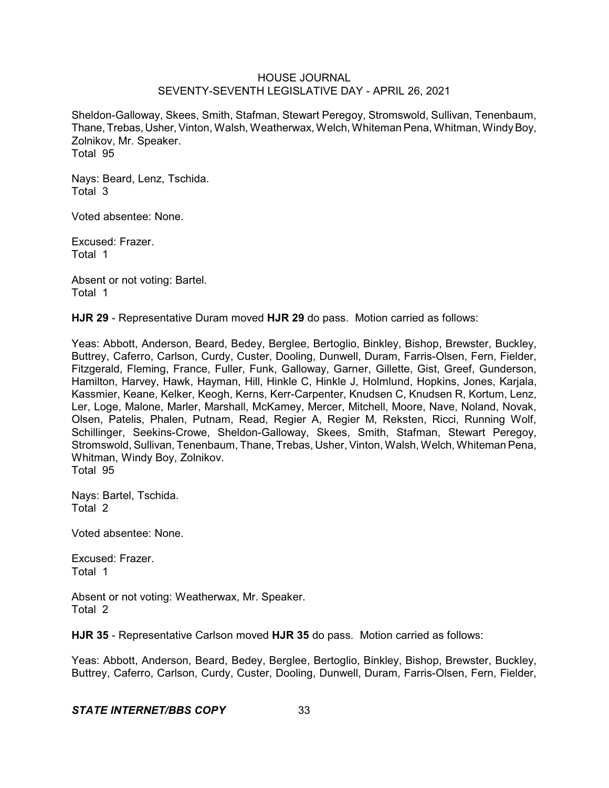Sheldon-Galloway, Skees, Smith, Stafman, Stewart Peregoy, Stromswold, Sullivan, Tenenbaum, Thane, Trebas, Usher, Vinton, Walsh, Weatherwax, Welch, Whiteman Pena, Whitman, Windy Boy, Zolnikov, Mr. Speaker. Total 95

Nays: Beard, Lenz, Tschida. Total 3

Voted absentee: None.

Excused: Frazer. Total 1

Absent or not voting: Bartel. Total 1

**HJR 29** - Representative Duram moved **HJR 29** do pass. Motion carried as follows:

Yeas: Abbott, Anderson, Beard, Bedey, Berglee, Bertoglio, Binkley, Bishop, Brewster, Buckley, Buttrey, Caferro, Carlson, Curdy, Custer, Dooling, Dunwell, Duram, Farris-Olsen, Fern, Fielder, Fitzgerald, Fleming, France, Fuller, Funk, Galloway, Garner, Gillette, Gist, Greef, Gunderson, Hamilton, Harvey, Hawk, Hayman, Hill, Hinkle C, Hinkle J, Holmlund, Hopkins, Jones, Karjala, Kassmier, Keane, Kelker, Keogh, Kerns, Kerr-Carpenter, Knudsen C, Knudsen R, Kortum, Lenz, Ler, Loge, Malone, Marler, Marshall, McKamey, Mercer, Mitchell, Moore, Nave, Noland, Novak, Olsen, Patelis, Phalen, Putnam, Read, Regier A, Regier M, Reksten, Ricci, Running Wolf, Schillinger, Seekins-Crowe, Sheldon-Galloway, Skees, Smith, Stafman, Stewart Peregov. Stromswold, Sullivan, Tenenbaum, Thane, Trebas, Usher,Vinton, Walsh, Welch, Whiteman Pena, Whitman, Windy Boy, Zolnikov. Total 95

Nays: Bartel, Tschida. Total 2

Voted absentee: None.

Excused: Frazer. Total 1

Absent or not voting: Weatherwax, Mr. Speaker. Total 2

**HJR 35** - Representative Carlson moved **HJR 35** do pass. Motion carried as follows:

Yeas: Abbott, Anderson, Beard, Bedey, Berglee, Bertoglio, Binkley, Bishop, Brewster, Buckley, Buttrey, Caferro, Carlson, Curdy, Custer, Dooling, Dunwell, Duram, Farris-Olsen, Fern, Fielder,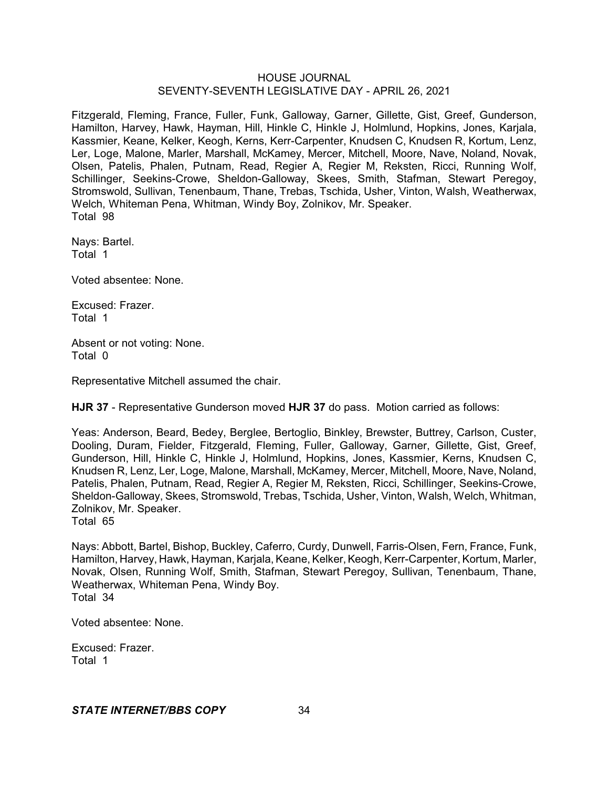Fitzgerald, Fleming, France, Fuller, Funk, Galloway, Garner, Gillette, Gist, Greef, Gunderson, Hamilton, Harvey, Hawk, Hayman, Hill, Hinkle C, Hinkle J, Holmlund, Hopkins, Jones, Karjala, Kassmier, Keane, Kelker, Keogh, Kerns, Kerr-Carpenter, Knudsen C, Knudsen R, Kortum, Lenz, Ler, Loge, Malone, Marler, Marshall, McKamey, Mercer, Mitchell, Moore, Nave, Noland, Novak, Olsen, Patelis, Phalen, Putnam, Read, Regier A, Regier M, Reksten, Ricci, Running Wolf, Schillinger, Seekins-Crowe, Sheldon-Galloway, Skees, Smith, Stafman, Stewart Peregoy, Stromswold, Sullivan, Tenenbaum, Thane, Trebas, Tschida, Usher, Vinton, Walsh, Weatherwax, Welch, Whiteman Pena, Whitman, Windy Boy, Zolnikov, Mr. Speaker. Total 98

Nays: Bartel. Total 1

Voted absentee: None.

Excused: Frazer. Total 1

Absent or not voting: None. Total 0

Representative Mitchell assumed the chair.

**HJR 37** - Representative Gunderson moved **HJR 37** do pass. Motion carried as follows:

Yeas: Anderson, Beard, Bedey, Berglee, Bertoglio, Binkley, Brewster, Buttrey, Carlson, Custer, Dooling, Duram, Fielder, Fitzgerald, Fleming, Fuller, Galloway, Garner, Gillette, Gist, Greef, Gunderson, Hill, Hinkle C, Hinkle J, Holmlund, Hopkins, Jones, Kassmier, Kerns, Knudsen C, Knudsen R, Lenz, Ler, Loge, Malone, Marshall, McKamey, Mercer, Mitchell, Moore, Nave, Noland, Patelis, Phalen, Putnam, Read, Regier A, Regier M, Reksten, Ricci, Schillinger, Seekins-Crowe, Sheldon-Galloway, Skees, Stromswold, Trebas, Tschida, Usher, Vinton, Walsh, Welch, Whitman, Zolnikov, Mr. Speaker.

Total 65

Nays: Abbott, Bartel, Bishop, Buckley, Caferro, Curdy, Dunwell, Farris-Olsen, Fern, France, Funk, Hamilton, Harvey, Hawk, Hayman, Karjala, Keane, Kelker, Keogh, Kerr-Carpenter, Kortum, Marler, Novak, Olsen, Running Wolf, Smith, Stafman, Stewart Peregoy, Sullivan, Tenenbaum, Thane, Weatherwax, Whiteman Pena, Windy Boy. Total 34

Voted absentee: None.

Excused: Frazer. Total 1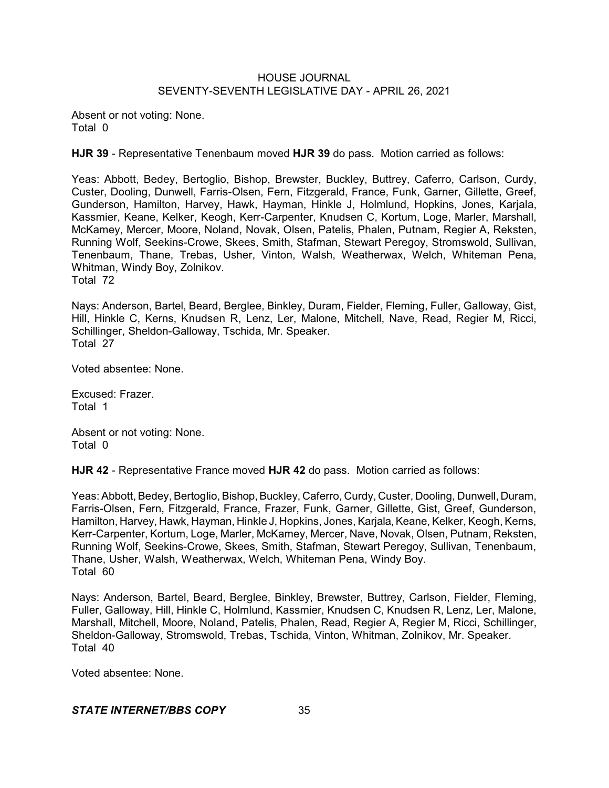Absent or not voting: None. Total 0

**HJR 39** - Representative Tenenbaum moved **HJR 39** do pass. Motion carried as follows:

Yeas: Abbott, Bedey, Bertoglio, Bishop, Brewster, Buckley, Buttrey, Caferro, Carlson, Curdy, Custer, Dooling, Dunwell, Farris-Olsen, Fern, Fitzgerald, France, Funk, Garner, Gillette, Greef, Gunderson, Hamilton, Harvey, Hawk, Hayman, Hinkle J, Holmlund, Hopkins, Jones, Karjala, Kassmier, Keane, Kelker, Keogh, Kerr-Carpenter, Knudsen C, Kortum, Loge, Marler, Marshall, McKamey, Mercer, Moore, Noland, Novak, Olsen, Patelis, Phalen, Putnam, Regier A, Reksten, Running Wolf, Seekins-Crowe, Skees, Smith, Stafman, Stewart Peregoy, Stromswold, Sullivan, Tenenbaum, Thane, Trebas, Usher, Vinton, Walsh, Weatherwax, Welch, Whiteman Pena, Whitman, Windy Boy, Zolnikov. Total 72

Nays: Anderson, Bartel, Beard, Berglee, Binkley, Duram, Fielder, Fleming, Fuller, Galloway, Gist, Hill, Hinkle C, Kerns, Knudsen R, Lenz, Ler, Malone, Mitchell, Nave, Read, Regier M, Ricci, Schillinger, Sheldon-Galloway, Tschida, Mr. Speaker. Total 27

Voted absentee: None.

Excused: Frazer. Total 1

Absent or not voting: None. Total 0

**HJR 42** - Representative France moved **HJR 42** do pass. Motion carried as follows:

Yeas: Abbott, Bedey, Bertoglio, Bishop, Buckley, Caferro, Curdy, Custer, Dooling, Dunwell, Duram, Farris-Olsen, Fern, Fitzgerald, France, Frazer, Funk, Garner, Gillette, Gist, Greef, Gunderson, Hamilton, Harvey, Hawk, Hayman, Hinkle J, Hopkins, Jones, Karjala, Keane, Kelker, Keogh, Kerns, Kerr-Carpenter, Kortum, Loge, Marler, McKamey, Mercer, Nave, Novak, Olsen, Putnam, Reksten, Running Wolf, Seekins-Crowe, Skees, Smith, Stafman, Stewart Peregoy, Sullivan, Tenenbaum, Thane, Usher, Walsh, Weatherwax, Welch, Whiteman Pena, Windy Boy. Total 60

Nays: Anderson, Bartel, Beard, Berglee, Binkley, Brewster, Buttrey, Carlson, Fielder, Fleming, Fuller, Galloway, Hill, Hinkle C, Holmlund, Kassmier, Knudsen C, Knudsen R, Lenz, Ler, Malone, Marshall, Mitchell, Moore, Noland, Patelis, Phalen, Read, Regier A, Regier M, Ricci, Schillinger, Sheldon-Galloway, Stromswold, Trebas, Tschida, Vinton, Whitman, Zolnikov, Mr. Speaker. Total 40

Voted absentee: None.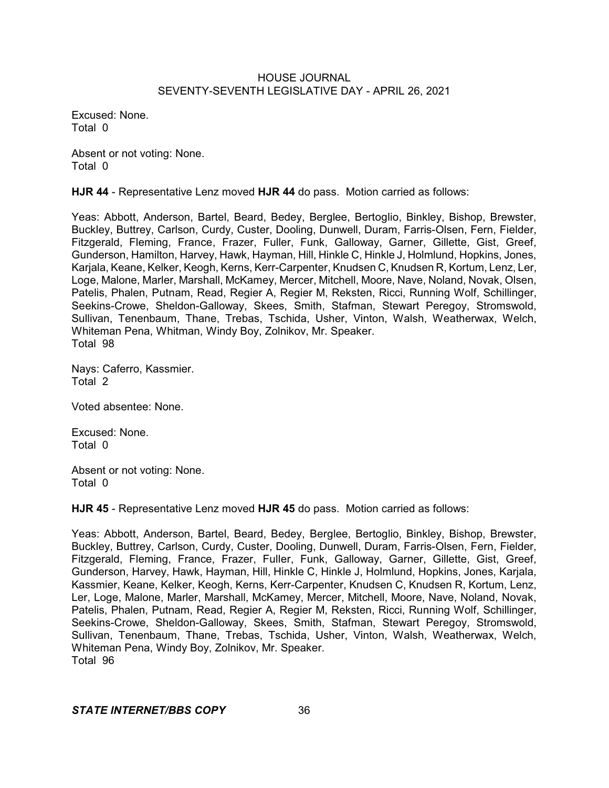Excused: None. Total 0

Absent or not voting: None. Total 0

**HJR 44** - Representative Lenz moved **HJR 44** do pass. Motion carried as follows:

Yeas: Abbott, Anderson, Bartel, Beard, Bedey, Berglee, Bertoglio, Binkley, Bishop, Brewster, Buckley, Buttrey, Carlson, Curdy, Custer, Dooling, Dunwell, Duram, Farris-Olsen, Fern, Fielder, Fitzgerald, Fleming, France, Frazer, Fuller, Funk, Galloway, Garner, Gillette, Gist, Greef, Gunderson, Hamilton, Harvey, Hawk, Hayman, Hill, Hinkle C, Hinkle J, Holmlund, Hopkins, Jones, Karjala, Keane, Kelker, Keogh, Kerns, Kerr-Carpenter, Knudsen C, Knudsen R, Kortum, Lenz, Ler, Loge, Malone, Marler, Marshall, McKamey, Mercer, Mitchell, Moore, Nave, Noland, Novak, Olsen, Patelis, Phalen, Putnam, Read, Regier A, Regier M, Reksten, Ricci, Running Wolf, Schillinger, Seekins-Crowe, Sheldon-Galloway, Skees, Smith, Stafman, Stewart Peregoy, Stromswold, Sullivan, Tenenbaum, Thane, Trebas, Tschida, Usher, Vinton, Walsh, Weatherwax, Welch, Whiteman Pena, Whitman, Windy Boy, Zolnikov, Mr. Speaker. Total 98

Nays: Caferro, Kassmier. Total 2

Voted absentee: None.

Excused: None. Total 0

Absent or not voting: None. Total 0

**HJR 45** - Representative Lenz moved **HJR 45** do pass. Motion carried as follows:

Yeas: Abbott, Anderson, Bartel, Beard, Bedey, Berglee, Bertoglio, Binkley, Bishop, Brewster, Buckley, Buttrey, Carlson, Curdy, Custer, Dooling, Dunwell, Duram, Farris-Olsen, Fern, Fielder, Fitzgerald, Fleming, France, Frazer, Fuller, Funk, Galloway, Garner, Gillette, Gist, Greef, Gunderson, Harvey, Hawk, Hayman, Hill, Hinkle C, Hinkle J, Holmlund, Hopkins, Jones, Karjala, Kassmier, Keane, Kelker, Keogh, Kerns, Kerr-Carpenter, Knudsen C, Knudsen R, Kortum, Lenz, Ler, Loge, Malone, Marler, Marshall, McKamey, Mercer, Mitchell, Moore, Nave, Noland, Novak, Patelis, Phalen, Putnam, Read, Regier A, Regier M, Reksten, Ricci, Running Wolf, Schillinger, Seekins-Crowe, Sheldon-Galloway, Skees, Smith, Stafman, Stewart Peregoy, Stromswold, Sullivan, Tenenbaum, Thane, Trebas, Tschida, Usher, Vinton, Walsh, Weatherwax, Welch, Whiteman Pena, Windy Boy, Zolnikov, Mr. Speaker. Total 96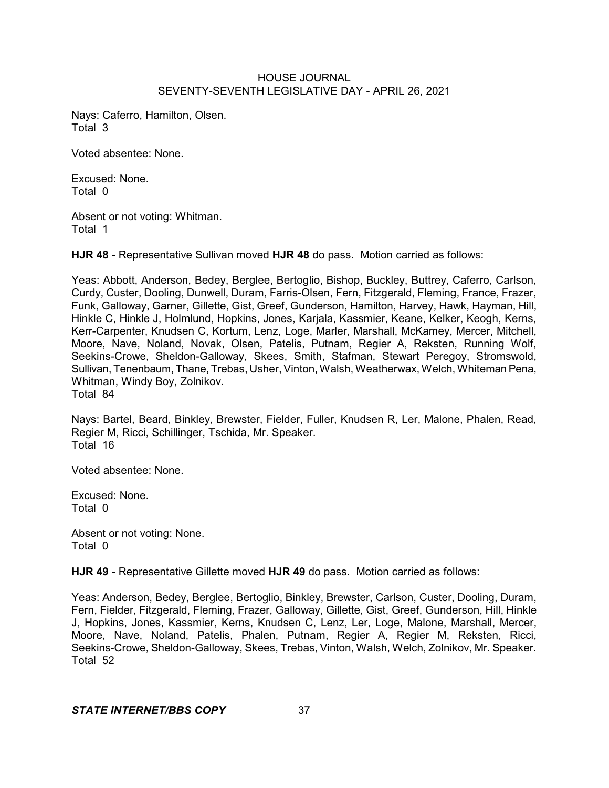Nays: Caferro, Hamilton, Olsen. Total 3

Voted absentee: None.

Excused: None. Total 0

Absent or not voting: Whitman. Total 1

**HJR 48** - Representative Sullivan moved **HJR 48** do pass. Motion carried as follows:

Yeas: Abbott, Anderson, Bedey, Berglee, Bertoglio, Bishop, Buckley, Buttrey, Caferro, Carlson, Curdy, Custer, Dooling, Dunwell, Duram, Farris-Olsen, Fern, Fitzgerald, Fleming, France, Frazer, Funk, Galloway, Garner, Gillette, Gist, Greef, Gunderson, Hamilton, Harvey, Hawk, Hayman, Hill, Hinkle C, Hinkle J, Holmlund, Hopkins, Jones, Karjala, Kassmier, Keane, Kelker, Keogh, Kerns, Kerr-Carpenter, Knudsen C, Kortum, Lenz, Loge, Marler, Marshall, McKamey, Mercer, Mitchell, Moore, Nave, Noland, Novak, Olsen, Patelis, Putnam, Regier A, Reksten, Running Wolf, Seekins-Crowe, Sheldon-Galloway, Skees, Smith, Stafman, Stewart Peregoy, Stromswold, Sullivan, Tenenbaum, Thane, Trebas, Usher, Vinton, Walsh, Weatherwax, Welch, WhitemanPena, Whitman, Windy Boy, Zolnikov. Total 84

Nays: Bartel, Beard, Binkley, Brewster, Fielder, Fuller, Knudsen R, Ler, Malone, Phalen, Read, Regier M, Ricci, Schillinger, Tschida, Mr. Speaker. Total 16

Voted absentee: None.

Excused: None. Total 0

Absent or not voting: None. Total 0

**HJR 49** - Representative Gillette moved **HJR 49** do pass. Motion carried as follows:

Yeas: Anderson, Bedey, Berglee, Bertoglio, Binkley, Brewster, Carlson, Custer, Dooling, Duram, Fern, Fielder, Fitzgerald, Fleming, Frazer, Galloway, Gillette, Gist, Greef, Gunderson, Hill, Hinkle J, Hopkins, Jones, Kassmier, Kerns, Knudsen C, Lenz, Ler, Loge, Malone, Marshall, Mercer, Moore, Nave, Noland, Patelis, Phalen, Putnam, Regier A, Regier M, Reksten, Ricci, Seekins-Crowe, Sheldon-Galloway, Skees, Trebas, Vinton, Walsh, Welch, Zolnikov, Mr. Speaker. Total 52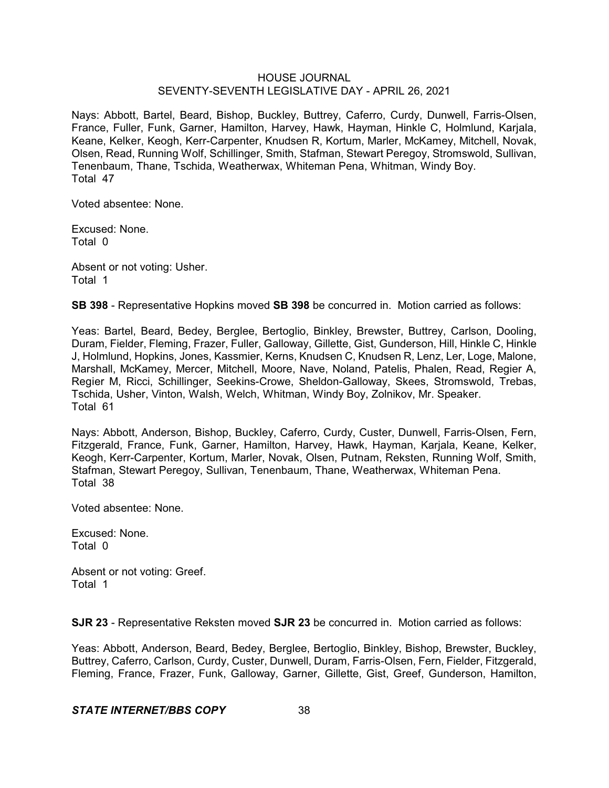Nays: Abbott, Bartel, Beard, Bishop, Buckley, Buttrey, Caferro, Curdy, Dunwell, Farris-Olsen, France, Fuller, Funk, Garner, Hamilton, Harvey, Hawk, Hayman, Hinkle C, Holmlund, Karjala, Keane, Kelker, Keogh, Kerr-Carpenter, Knudsen R, Kortum, Marler, McKamey, Mitchell, Novak, Olsen, Read, Running Wolf, Schillinger, Smith, Stafman, Stewart Peregoy, Stromswold, Sullivan, Tenenbaum, Thane, Tschida, Weatherwax, Whiteman Pena, Whitman, Windy Boy. Total 47

Voted absentee: None.

Excused: None. Total 0

Absent or not voting: Usher. Total 1

**SB 398** - Representative Hopkins moved **SB 398** be concurred in. Motion carried as follows:

Yeas: Bartel, Beard, Bedey, Berglee, Bertoglio, Binkley, Brewster, Buttrey, Carlson, Dooling, Duram, Fielder, Fleming, Frazer, Fuller, Galloway, Gillette, Gist, Gunderson, Hill, Hinkle C, Hinkle J, Holmlund, Hopkins, Jones, Kassmier, Kerns, Knudsen C, Knudsen R, Lenz, Ler, Loge, Malone, Marshall, McKamey, Mercer, Mitchell, Moore, Nave, Noland, Patelis, Phalen, Read, Regier A, Regier M, Ricci, Schillinger, Seekins-Crowe, Sheldon-Galloway, Skees, Stromswold, Trebas, Tschida, Usher, Vinton, Walsh, Welch, Whitman, Windy Boy, Zolnikov, Mr. Speaker. Total 61

Nays: Abbott, Anderson, Bishop, Buckley, Caferro, Curdy, Custer, Dunwell, Farris-Olsen, Fern, Fitzgerald, France, Funk, Garner, Hamilton, Harvey, Hawk, Hayman, Karjala, Keane, Kelker, Keogh, Kerr-Carpenter, Kortum, Marler, Novak, Olsen, Putnam, Reksten, Running Wolf, Smith, Stafman, Stewart Peregoy, Sullivan, Tenenbaum, Thane, Weatherwax, Whiteman Pena. Total 38

Voted absentee: None.

Excused: None. Total 0

Absent or not voting: Greef. Total 1

**SJR 23** - Representative Reksten moved **SJR 23** be concurred in. Motion carried as follows:

Yeas: Abbott, Anderson, Beard, Bedey, Berglee, Bertoglio, Binkley, Bishop, Brewster, Buckley, Buttrey, Caferro, Carlson, Curdy, Custer, Dunwell, Duram, Farris-Olsen, Fern, Fielder, Fitzgerald, Fleming, France, Frazer, Funk, Galloway, Garner, Gillette, Gist, Greef, Gunderson, Hamilton,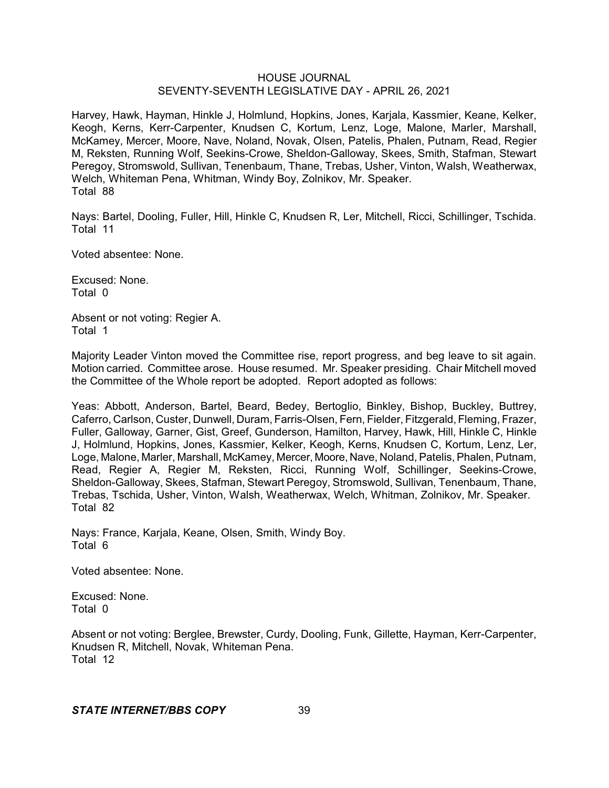Harvey, Hawk, Hayman, Hinkle J, Holmlund, Hopkins, Jones, Karjala, Kassmier, Keane, Kelker, Keogh, Kerns, Kerr-Carpenter, Knudsen C, Kortum, Lenz, Loge, Malone, Marler, Marshall, McKamey, Mercer, Moore, Nave, Noland, Novak, Olsen, Patelis, Phalen, Putnam, Read, Regier M, Reksten, Running Wolf, Seekins-Crowe, Sheldon-Galloway, Skees, Smith, Stafman, Stewart Peregoy, Stromswold, Sullivan, Tenenbaum, Thane, Trebas, Usher, Vinton, Walsh, Weatherwax, Welch, Whiteman Pena, Whitman, Windy Boy, Zolnikov, Mr. Speaker. Total 88

Nays: Bartel, Dooling, Fuller, Hill, Hinkle C, Knudsen R, Ler, Mitchell, Ricci, Schillinger, Tschida. Total 11

Voted absentee: None.

Excused: None. Total 0

Absent or not voting: Regier A. Total 1

Majority Leader Vinton moved the Committee rise, report progress, and beg leave to sit again. Motion carried. Committee arose. House resumed. Mr. Speaker presiding. Chair Mitchell moved the Committee of the Whole report be adopted. Report adopted as follows:

Yeas: Abbott, Anderson, Bartel, Beard, Bedey, Bertoglio, Binkley, Bishop, Buckley, Buttrey, Caferro, Carlson, Custer, Dunwell, Duram, Farris-Olsen, Fern, Fielder, Fitzgerald, Fleming, Frazer, Fuller, Galloway, Garner, Gist, Greef, Gunderson, Hamilton, Harvey, Hawk, Hill, Hinkle C, Hinkle J, Holmlund, Hopkins, Jones, Kassmier, Kelker, Keogh, Kerns, Knudsen C, Kortum, Lenz, Ler, Loge, Malone, Marler, Marshall, McKamey, Mercer, Moore, Nave, Noland, Patelis, Phalen, Putnam, Read, Regier A, Regier M, Reksten, Ricci, Running Wolf, Schillinger, Seekins-Crowe, Sheldon-Galloway, Skees, Stafman, Stewart Peregoy, Stromswold, Sullivan, Tenenbaum, Thane, Trebas, Tschida, Usher, Vinton, Walsh, Weatherwax, Welch, Whitman, Zolnikov, Mr. Speaker. Total 82

Nays: France, Karjala, Keane, Olsen, Smith, Windy Boy. Total 6

Voted absentee: None.

Excused: None. Total 0

Absent or not voting: Berglee, Brewster, Curdy, Dooling, Funk, Gillette, Hayman, Kerr-Carpenter, Knudsen R, Mitchell, Novak, Whiteman Pena. Total 12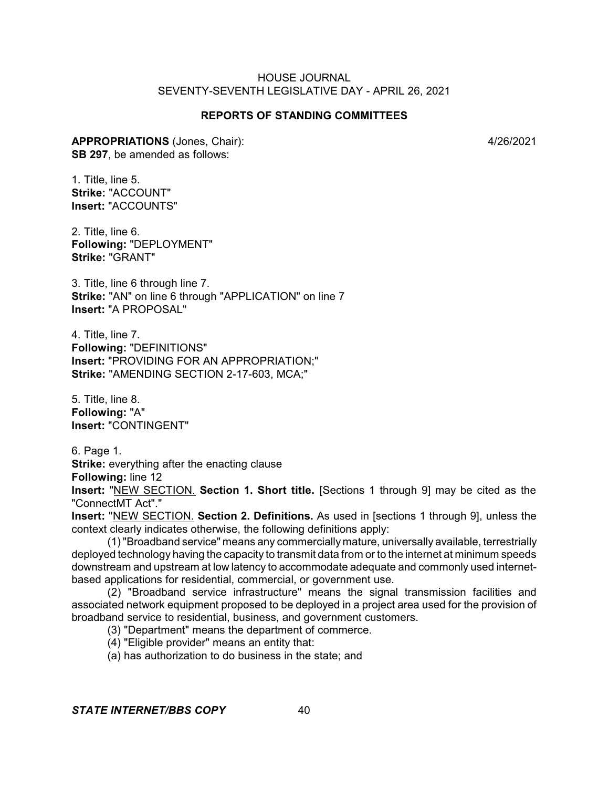# **REPORTS OF STANDING COMMITTEES**

**APPROPRIATIONS** (Jones, Chair): 4/26/2021 **SB 297**, be amended as follows:

1. Title, line 5. **Strike:** "ACCOUNT" **Insert:** "ACCOUNTS"

2. Title, line 6. **Following:** "DEPLOYMENT" **Strike:** "GRANT"

3. Title, line 6 through line 7. **Strike:** "AN" on line 6 through "APPLICATION" on line 7 **Insert:** "A PROPOSAL"

4. Title, line 7. **Following:** "DEFINITIONS" **Insert:** "PROVIDING FOR AN APPROPRIATION;" **Strike:** "AMENDING SECTION 2-17-603, MCA;"

5. Title, line 8. **Following:** "A" **Insert:** "CONTINGENT"

6. Page 1. **Strike:** everything after the enacting clause **Following:** line 12

**Insert:** "NEW SECTION. **Section 1. Short title.** [Sections 1 through 9] may be cited as the "ConnectMT Act"."

**Insert:** "NEW SECTION. **Section 2. Definitions.** As used in [sections 1 through 9], unless the context clearly indicates otherwise, the following definitions apply:

(1)"Broadband service" means any commercially mature, universally available, terrestrially deployed technology having the capacity to transmit data from or to the internet at minimum speeds downstream and upstream at low latency to accommodate adequate and commonly used internetbased applications for residential, commercial, or government use.

(2) "Broadband service infrastructure" means the signal transmission facilities and associated network equipment proposed to be deployed in a project area used for the provision of broadband service to residential, business, and government customers.

(3) "Department" means the department of commerce.

(4) "Eligible provider" means an entity that:

(a) has authorization to do business in the state; and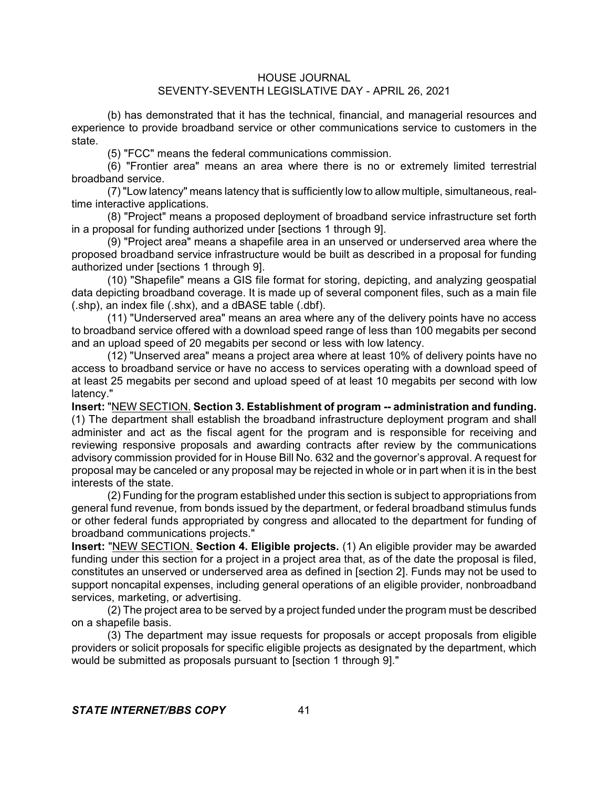(b) has demonstrated that it has the technical, financial, and managerial resources and experience to provide broadband service or other communications service to customers in the state.

(5) "FCC" means the federal communications commission.

(6) "Frontier area" means an area where there is no or extremely limited terrestrial broadband service.

(7) "Low latency" means latency that is sufficiently low to allow multiple, simultaneous, realtime interactive applications.

(8) "Project" means a proposed deployment of broadband service infrastructure set forth in a proposal for funding authorized under [sections 1 through 9].

(9) "Project area" means a shapefile area in an unserved or underserved area where the proposed broadband service infrastructure would be built as described in a proposal for funding authorized under [sections 1 through 9].

(10) "Shapefile" means a GIS file format for storing, depicting, and analyzing geospatial data depicting broadband coverage. It is made up of several component files, such as a main file (.shp), an index file (.shx), and a dBASE table (.dbf).

(11) "Underserved area" means an area where any of the delivery points have no access to broadband service offered with a download speed range of less than 100 megabits per second and an upload speed of 20 megabits per second or less with low latency.

(12) "Unserved area" means a project area where at least 10% of delivery points have no access to broadband service or have no access to services operating with a download speed of at least 25 megabits per second and upload speed of at least 10 megabits per second with low latency."

**Insert:** "NEW SECTION. **Section 3. Establishment of program -- administration and funding.** (1) The department shall establish the broadband infrastructure deployment program and shall administer and act as the fiscal agent for the program and is responsible for receiving and reviewing responsive proposals and awarding contracts after review by the communications advisory commission provided for in House Bill No. 632 and the governor's approval. A request for proposal may be canceled or any proposal may be rejected in whole or in part when it is in the best interests of the state.

(2) Funding for the program established under this section is subject to appropriations from general fund revenue, from bonds issued by the department, or federal broadband stimulus funds or other federal funds appropriated by congress and allocated to the department for funding of broadband communications projects."

**Insert:** "NEW SECTION. **Section 4. Eligible projects.** (1) An eligible provider may be awarded funding under this section for a project in a project area that, as of the date the proposal is filed, constitutes an unserved or underserved area as defined in [section 2]. Funds may not be used to support noncapital expenses, including general operations of an eligible provider, nonbroadband services, marketing, or advertising.

(2) The project area to be served by a project funded under the program must be described on a shapefile basis.

(3) The department may issue requests for proposals or accept proposals from eligible providers or solicit proposals for specific eligible projects as designated by the department, which would be submitted as proposals pursuant to [section 1 through 9]."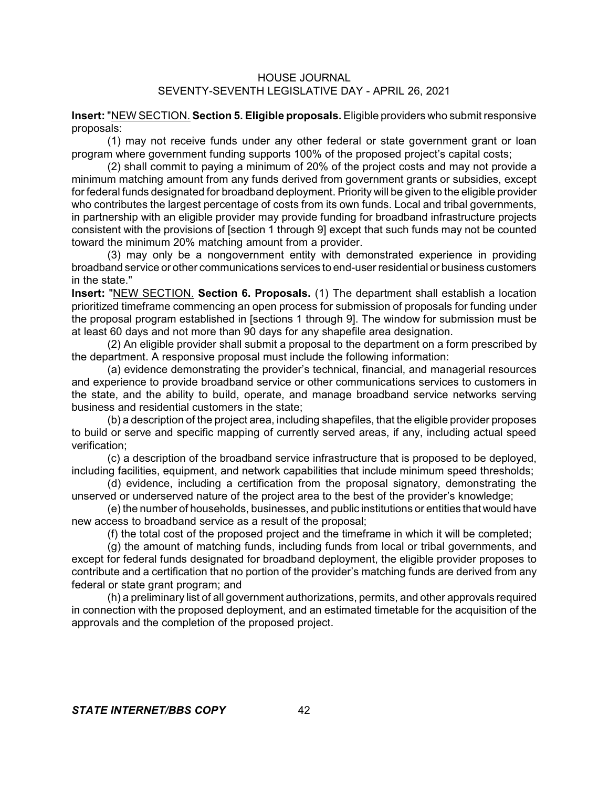**Insert:** "NEW SECTION. **Section 5. Eligible proposals.** Eligible providers who submit responsive proposals:

(1) may not receive funds under any other federal or state government grant or loan program where government funding supports 100% of the proposed project's capital costs;

(2) shall commit to paying a minimum of 20% of the project costs and may not provide a minimum matching amount from any funds derived from government grants or subsidies, except for federal funds designated for broadband deployment. Priority will be given to the eligible provider who contributes the largest percentage of costs from its own funds. Local and tribal governments, in partnership with an eligible provider may provide funding for broadband infrastructure projects consistent with the provisions of [section 1 through 9] except that such funds may not be counted toward the minimum 20% matching amount from a provider.

(3) may only be a nongovernment entity with demonstrated experience in providing broadband service or other communications services to end-user residential or business customers in the state."

**Insert:** "NEW SECTION. **Section 6. Proposals.** (1) The department shall establish a location prioritized timeframe commencing an open process for submission of proposals for funding under the proposal program established in [sections 1 through 9]. The window for submission must be at least 60 days and not more than 90 days for any shapefile area designation.

(2) An eligible provider shall submit a proposal to the department on a form prescribed by the department. A responsive proposal must include the following information:

(a) evidence demonstrating the provider's technical, financial, and managerial resources and experience to provide broadband service or other communications services to customers in the state, and the ability to build, operate, and manage broadband service networks serving business and residential customers in the state;

(b) a description of the project area, including shapefiles, that the eligible provider proposes to build or serve and specific mapping of currently served areas, if any, including actual speed verification;

(c) a description of the broadband service infrastructure that is proposed to be deployed, including facilities, equipment, and network capabilities that include minimum speed thresholds;

(d) evidence, including a certification from the proposal signatory, demonstrating the unserved or underserved nature of the project area to the best of the provider's knowledge;

(e) the number of households, businesses, and public institutions or entities that would have new access to broadband service as a result of the proposal;

(f) the total cost of the proposed project and the timeframe in which it will be completed;

(g) the amount of matching funds, including funds from local or tribal governments, and except for federal funds designated for broadband deployment, the eligible provider proposes to contribute and a certification that no portion of the provider's matching funds are derived from any federal or state grant program; and

(h) a preliminary list of all government authorizations, permits, and other approvals required in connection with the proposed deployment, and an estimated timetable for the acquisition of the approvals and the completion of the proposed project.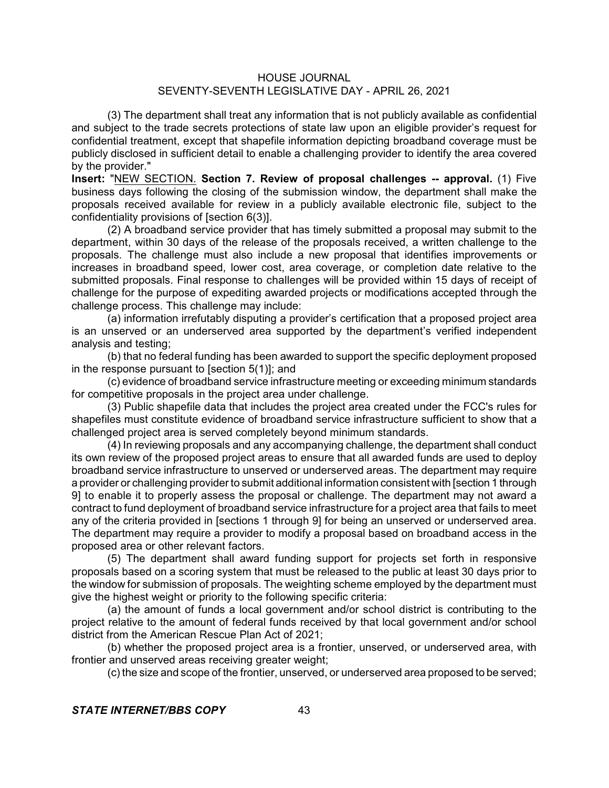(3) The department shall treat any information that is not publicly available as confidential and subject to the trade secrets protections of state law upon an eligible provider's request for confidential treatment, except that shapefile information depicting broadband coverage must be publicly disclosed in sufficient detail to enable a challenging provider to identify the area covered by the provider."

**Insert:** "NEW SECTION. **Section 7. Review of proposal challenges -- approval.** (1) Five business days following the closing of the submission window, the department shall make the proposals received available for review in a publicly available electronic file, subject to the confidentiality provisions of [section 6(3)].

(2) A broadband service provider that has timely submitted a proposal may submit to the department, within 30 days of the release of the proposals received, a written challenge to the proposals. The challenge must also include a new proposal that identifies improvements or increases in broadband speed, lower cost, area coverage, or completion date relative to the submitted proposals. Final response to challenges will be provided within 15 days of receipt of challenge for the purpose of expediting awarded projects or modifications accepted through the challenge process. This challenge may include:

(a) information irrefutably disputing a provider's certification that a proposed project area is an unserved or an underserved area supported by the department's verified independent analysis and testing;

(b) that no federal funding has been awarded to support the specific deployment proposed in the response pursuant to [section 5(1)]; and

(c) evidence of broadband service infrastructure meeting or exceeding minimum standards for competitive proposals in the project area under challenge.

(3) Public shapefile data that includes the project area created under the FCC's rules for shapefiles must constitute evidence of broadband service infrastructure sufficient to show that a challenged project area is served completely beyond minimum standards.

(4) In reviewing proposals and any accompanying challenge, the department shall conduct its own review of the proposed project areas to ensure that all awarded funds are used to deploy broadband service infrastructure to unserved or underserved areas. The department may require a provider or challenging provider to submit additional information consistent with [section 1 through 9] to enable it to properly assess the proposal or challenge. The department may not award a contract to fund deployment of broadband service infrastructure for a project area that fails to meet any of the criteria provided in [sections 1 through 9] for being an unserved or underserved area. The department may require a provider to modify a proposal based on broadband access in the proposed area or other relevant factors.

(5) The department shall award funding support for projects set forth in responsive proposals based on a scoring system that must be released to the public at least 30 days prior to the window for submission of proposals. The weighting scheme employed by the department must give the highest weight or priority to the following specific criteria:

(a) the amount of funds a local government and/or school district is contributing to the project relative to the amount of federal funds received by that local government and/or school district from the American Rescue Plan Act of 2021;

(b) whether the proposed project area is a frontier, unserved, or underserved area, with frontier and unserved areas receiving greater weight;

(c) the size and scope of the frontier, unserved, or underserved area proposed to be served;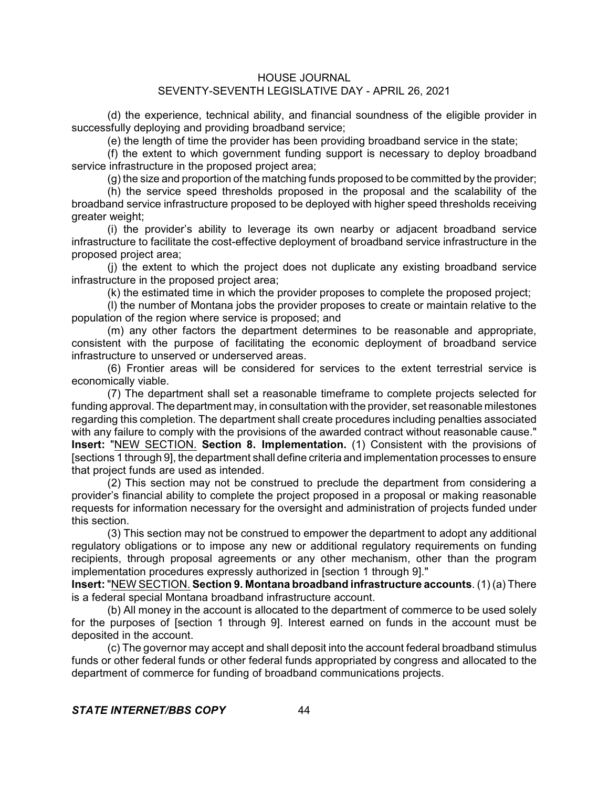(d) the experience, technical ability, and financial soundness of the eligible provider in successfully deploying and providing broadband service;

(e) the length of time the provider has been providing broadband service in the state;

(f) the extent to which government funding support is necessary to deploy broadband service infrastructure in the proposed project area;

(g) the size and proportion of the matching funds proposed to be committed by the provider;

(h) the service speed thresholds proposed in the proposal and the scalability of the broadband service infrastructure proposed to be deployed with higher speed thresholds receiving greater weight;

(i) the provider's ability to leverage its own nearby or adjacent broadband service infrastructure to facilitate the cost-effective deployment of broadband service infrastructure in the proposed project area;

(j) the extent to which the project does not duplicate any existing broadband service infrastructure in the proposed project area;

(k) the estimated time in which the provider proposes to complete the proposed project;

(l) the number of Montana jobs the provider proposes to create or maintain relative to the population of the region where service is proposed; and

(m) any other factors the department determines to be reasonable and appropriate, consistent with the purpose of facilitating the economic deployment of broadband service infrastructure to unserved or underserved areas.

(6) Frontier areas will be considered for services to the extent terrestrial service is economically viable.

(7) The department shall set a reasonable timeframe to complete projects selected for funding approval. The department may, in consultation with the provider, set reasonable milestones regarding this completion. The department shall create procedures including penalties associated with any failure to comply with the provisions of the awarded contract without reasonable cause." **Insert:** "NEW SECTION. **Section 8. Implementation.** (1) Consistent with the provisions of [sections 1 through 9], the department shall define criteria and implementation processes to ensure that project funds are used as intended.

(2) This section may not be construed to preclude the department from considering a provider's financial ability to complete the project proposed in a proposal or making reasonable requests for information necessary for the oversight and administration of projects funded under this section.

(3) This section may not be construed to empower the department to adopt any additional regulatory obligations or to impose any new or additional regulatory requirements on funding recipients, through proposal agreements or any other mechanism, other than the program implementation procedures expressly authorized in [section 1 through 9]."

**Insert:** "NEW SECTION. **Section 9. Montana broadband infrastructure accounts**. (1) (a) There is a federal special Montana broadband infrastructure account.

(b) All money in the account is allocated to the department of commerce to be used solely for the purposes of [section 1 through 9]. Interest earned on funds in the account must be deposited in the account.

(c) The governor may accept and shall deposit into the account federal broadband stimulus funds or other federal funds or other federal funds appropriated by congress and allocated to the department of commerce for funding of broadband communications projects.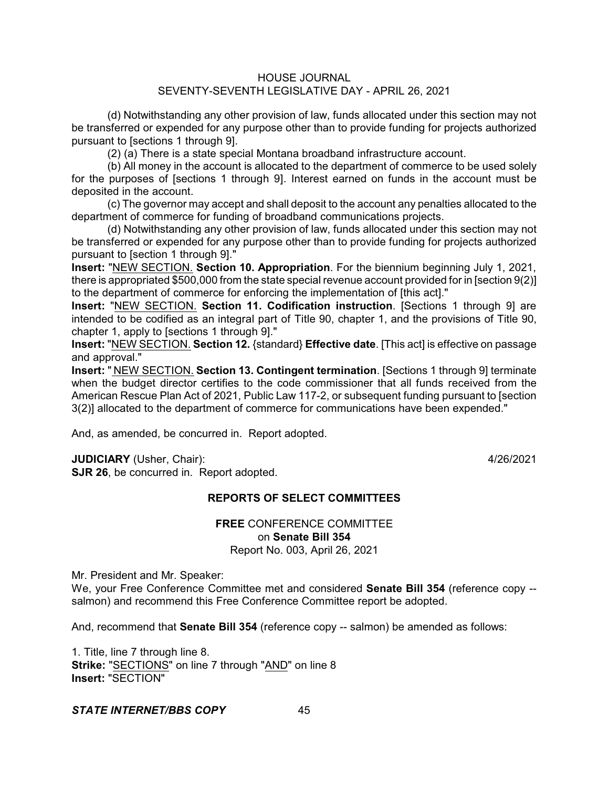(d) Notwithstanding any other provision of law, funds allocated under this section may not be transferred or expended for any purpose other than to provide funding for projects authorized pursuant to [sections 1 through 9].

(2) (a) There is a state special Montana broadband infrastructure account.

(b) All money in the account is allocated to the department of commerce to be used solely for the purposes of [sections 1 through 9]. Interest earned on funds in the account must be deposited in the account.

(c) The governor may accept and shall deposit to the account any penalties allocated to the department of commerce for funding of broadband communications projects.

(d) Notwithstanding any other provision of law, funds allocated under this section may not be transferred or expended for any purpose other than to provide funding for projects authorized pursuant to [section 1 through 9]."

**Insert:** "NEW SECTION. **Section 10. Appropriation**. For the biennium beginning July 1, 2021, there is appropriated \$500,000 from the state special revenue account provided for in [section 9(2)] to the department of commerce for enforcing the implementation of [this act]."

**Insert:** "NEW SECTION. **Section 11. Codification instruction**. [Sections 1 through 9] are intended to be codified as an integral part of Title 90, chapter 1, and the provisions of Title 90, chapter 1, apply to [sections 1 through 9]."

**Insert:** "NEW SECTION. **Section 12.** {standard} **Effective date**. [This act] is effective on passage and approval."

**Insert:** " NEW SECTION. **Section 13. Contingent termination**. [Sections 1 through 9] terminate when the budget director certifies to the code commissioner that all funds received from the American Rescue Plan Act of 2021, Public Law 117-2, or subsequent funding pursuant to [section 3(2)] allocated to the department of commerce for communications have been expended."

And, as amended, be concurred in. Report adopted.

**JUDICIARY** (Usher, Chair): 4/26/2021

**SJR 26**, be concurred in. Report adopted.

# **REPORTS OF SELECT COMMITTEES**

## **FREE** CONFERENCE COMMITTEE on **Senate Bill 354** Report No. 003, April 26, 2021

Mr. President and Mr. Speaker:

We, your Free Conference Committee met and considered **Senate Bill 354** (reference copy - salmon) and recommend this Free Conference Committee report be adopted.

And, recommend that **Senate Bill 354** (reference copy -- salmon) be amended as follows:

1. Title, line 7 through line 8. **Strike:** "SECTIONS" on line 7 through "AND" on line 8 **Insert:** "SECTION"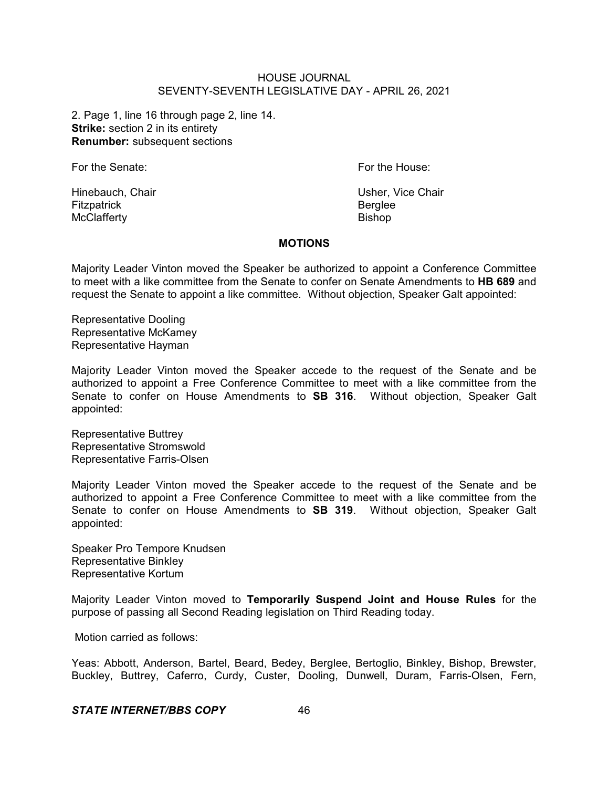2. Page 1, line 16 through page 2, line 14. **Strike:** section 2 in its entirety **Renumber:** subsequent sections

For the Senate: **For the House:** For the House:

Fitzpatrick **Berglee** McClafferty **Bishop** 

Hinebauch, Chair Usher, Vice Chair

#### **MOTIONS**

Majority Leader Vinton moved the Speaker be authorized to appoint a Conference Committee to meet with a like committee from the Senate to confer on Senate Amendments to **HB 689** and request the Senate to appoint a like committee. Without objection, Speaker Galt appointed:

Representative Dooling Representative McKamey Representative Hayman

Majority Leader Vinton moved the Speaker accede to the request of the Senate and be authorized to appoint a Free Conference Committee to meet with a like committee from the Senate to confer on House Amendments to **SB 316**. Without objection, Speaker Galt appointed:

Representative Buttrey Representative Stromswold Representative Farris-Olsen

Majority Leader Vinton moved the Speaker accede to the request of the Senate and be authorized to appoint a Free Conference Committee to meet with a like committee from the Senate to confer on House Amendments to **SB 319**. Without objection, Speaker Galt appointed:

Speaker Pro Tempore Knudsen Representative Binkley Representative Kortum

Majority Leader Vinton moved to **Temporarily Suspend Joint and House Rules** for the purpose of passing all Second Reading legislation on Third Reading today.

Motion carried as follows:

Yeas: Abbott, Anderson, Bartel, Beard, Bedey, Berglee, Bertoglio, Binkley, Bishop, Brewster, Buckley, Buttrey, Caferro, Curdy, Custer, Dooling, Dunwell, Duram, Farris-Olsen, Fern,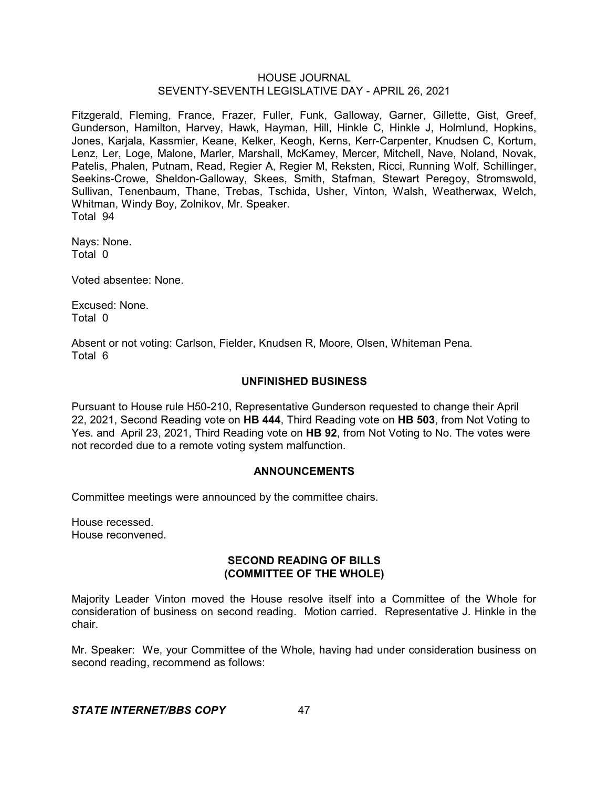Fitzgerald, Fleming, France, Frazer, Fuller, Funk, Galloway, Garner, Gillette, Gist, Greef, Gunderson, Hamilton, Harvey, Hawk, Hayman, Hill, Hinkle C, Hinkle J, Holmlund, Hopkins, Jones, Karjala, Kassmier, Keane, Kelker, Keogh, Kerns, Kerr-Carpenter, Knudsen C, Kortum, Lenz, Ler, Loge, Malone, Marler, Marshall, McKamey, Mercer, Mitchell, Nave, Noland, Novak, Patelis, Phalen, Putnam, Read, Regier A, Regier M, Reksten, Ricci, Running Wolf, Schillinger, Seekins-Crowe, Sheldon-Galloway, Skees, Smith, Stafman, Stewart Peregoy, Stromswold, Sullivan, Tenenbaum, Thane, Trebas, Tschida, Usher, Vinton, Walsh, Weatherwax, Welch, Whitman, Windy Boy, Zolnikov, Mr. Speaker. Total 94

Nays: None. Total 0

Voted absentee: None.

Excused: None. Total 0

Absent or not voting: Carlson, Fielder, Knudsen R, Moore, Olsen, Whiteman Pena. Total 6

# **UNFINISHED BUSINESS**

Pursuant to House rule H50-210, Representative Gunderson requested to change their April 22, 2021, Second Reading vote on **HB 444**, Third Reading vote on **HB 503**, from Not Voting to Yes. and April 23, 2021, Third Reading vote on **HB 92**, from Not Voting to No. The votes were not recorded due to a remote voting system malfunction.

## **ANNOUNCEMENTS**

Committee meetings were announced by the committee chairs.

House recessed. House reconvened.

## **SECOND READING OF BILLS (COMMITTEE OF THE WHOLE)**

Majority Leader Vinton moved the House resolve itself into a Committee of the Whole for consideration of business on second reading. Motion carried. Representative J. Hinkle in the chair.

Mr. Speaker: We, your Committee of the Whole, having had under consideration business on second reading, recommend as follows: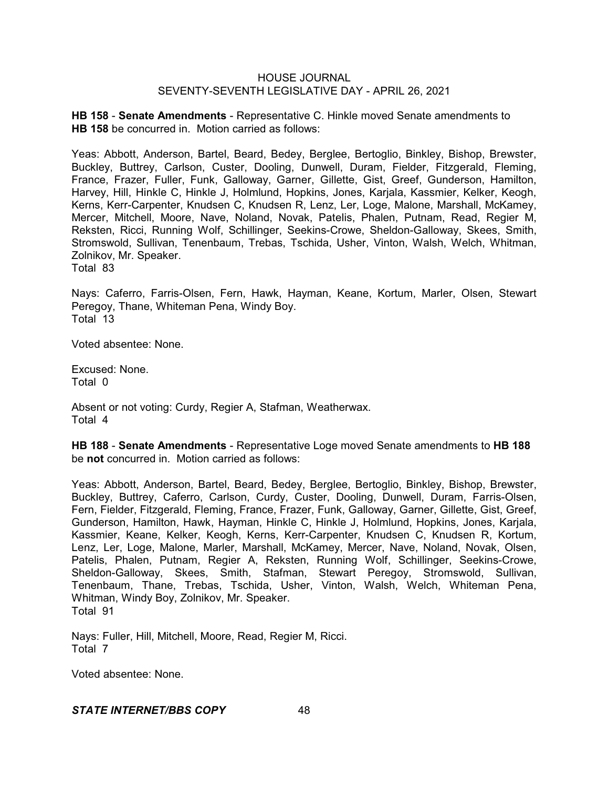**HB 158** - **Senate Amendments** - Representative C. Hinkle moved Senate amendments to **HB 158** be concurred in. Motion carried as follows:

Yeas: Abbott, Anderson, Bartel, Beard, Bedey, Berglee, Bertoglio, Binkley, Bishop, Brewster, Buckley, Buttrey, Carlson, Custer, Dooling, Dunwell, Duram, Fielder, Fitzgerald, Fleming, France, Frazer, Fuller, Funk, Galloway, Garner, Gillette, Gist, Greef, Gunderson, Hamilton, Harvey, Hill, Hinkle C, Hinkle J, Holmlund, Hopkins, Jones, Karjala, Kassmier, Kelker, Keogh, Kerns, Kerr-Carpenter, Knudsen C, Knudsen R, Lenz, Ler, Loge, Malone, Marshall, McKamey, Mercer, Mitchell, Moore, Nave, Noland, Novak, Patelis, Phalen, Putnam, Read, Regier M, Reksten, Ricci, Running Wolf, Schillinger, Seekins-Crowe, Sheldon-Galloway, Skees, Smith, Stromswold, Sullivan, Tenenbaum, Trebas, Tschida, Usher, Vinton, Walsh, Welch, Whitman, Zolnikov, Mr. Speaker.

Total 83

Nays: Caferro, Farris-Olsen, Fern, Hawk, Hayman, Keane, Kortum, Marler, Olsen, Stewart Peregoy, Thane, Whiteman Pena, Windy Boy. Total 13

Voted absentee: None.

Excused: None. Total 0

Absent or not voting: Curdy, Regier A, Stafman, Weatherwax. Total 4

**HB 188** - **Senate Amendments** - Representative Loge moved Senate amendments to **HB 188** be **not** concurred in. Motion carried as follows:

Yeas: Abbott, Anderson, Bartel, Beard, Bedey, Berglee, Bertoglio, Binkley, Bishop, Brewster, Buckley, Buttrey, Caferro, Carlson, Curdy, Custer, Dooling, Dunwell, Duram, Farris-Olsen, Fern, Fielder, Fitzgerald, Fleming, France, Frazer, Funk, Galloway, Garner, Gillette, Gist, Greef, Gunderson, Hamilton, Hawk, Hayman, Hinkle C, Hinkle J, Holmlund, Hopkins, Jones, Karjala, Kassmier, Keane, Kelker, Keogh, Kerns, Kerr-Carpenter, Knudsen C, Knudsen R, Kortum, Lenz, Ler, Loge, Malone, Marler, Marshall, McKamey, Mercer, Nave, Noland, Novak, Olsen, Patelis, Phalen, Putnam, Regier A, Reksten, Running Wolf, Schillinger, Seekins-Crowe, Sheldon-Galloway, Skees, Smith, Stafman, Stewart Peregoy, Stromswold, Sullivan, Tenenbaum, Thane, Trebas, Tschida, Usher, Vinton, Walsh, Welch, Whiteman Pena, Whitman, Windy Boy, Zolnikov, Mr. Speaker. Total 91

Nays: Fuller, Hill, Mitchell, Moore, Read, Regier M, Ricci. Total 7

Voted absentee: None.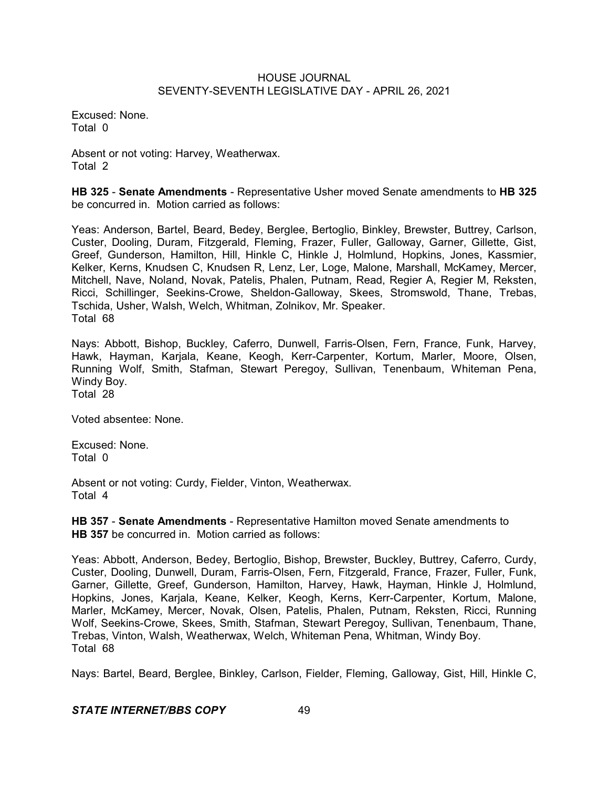Excused: None. Total 0

Absent or not voting: Harvey, Weatherwax. Total 2

**HB 325** - **Senate Amendments** - Representative Usher moved Senate amendments to **HB 325** be concurred in. Motion carried as follows:

Yeas: Anderson, Bartel, Beard, Bedey, Berglee, Bertoglio, Binkley, Brewster, Buttrey, Carlson, Custer, Dooling, Duram, Fitzgerald, Fleming, Frazer, Fuller, Galloway, Garner, Gillette, Gist, Greef, Gunderson, Hamilton, Hill, Hinkle C, Hinkle J, Holmlund, Hopkins, Jones, Kassmier, Kelker, Kerns, Knudsen C, Knudsen R, Lenz, Ler, Loge, Malone, Marshall, McKamey, Mercer, Mitchell, Nave, Noland, Novak, Patelis, Phalen, Putnam, Read, Regier A, Regier M, Reksten, Ricci, Schillinger, Seekins-Crowe, Sheldon-Galloway, Skees, Stromswold, Thane, Trebas, Tschida, Usher, Walsh, Welch, Whitman, Zolnikov, Mr. Speaker. Total 68

Nays: Abbott, Bishop, Buckley, Caferro, Dunwell, Farris-Olsen, Fern, France, Funk, Harvey, Hawk, Hayman, Karjala, Keane, Keogh, Kerr-Carpenter, Kortum, Marler, Moore, Olsen, Running Wolf, Smith, Stafman, Stewart Peregoy, Sullivan, Tenenbaum, Whiteman Pena, Windy Boy. Total 28

Voted absentee: None.

Excused: None. Total 0

Absent or not voting: Curdy, Fielder, Vinton, Weatherwax. Total 4

**HB 357** - **Senate Amendments** - Representative Hamilton moved Senate amendments to **HB 357** be concurred in. Motion carried as follows:

Yeas: Abbott, Anderson, Bedey, Bertoglio, Bishop, Brewster, Buckley, Buttrey, Caferro, Curdy, Custer, Dooling, Dunwell, Duram, Farris-Olsen, Fern, Fitzgerald, France, Frazer, Fuller, Funk, Garner, Gillette, Greef, Gunderson, Hamilton, Harvey, Hawk, Hayman, Hinkle J, Holmlund, Hopkins, Jones, Karjala, Keane, Kelker, Keogh, Kerns, Kerr-Carpenter, Kortum, Malone, Marler, McKamey, Mercer, Novak, Olsen, Patelis, Phalen, Putnam, Reksten, Ricci, Running Wolf, Seekins-Crowe, Skees, Smith, Stafman, Stewart Peregoy, Sullivan, Tenenbaum, Thane, Trebas, Vinton, Walsh, Weatherwax, Welch, Whiteman Pena, Whitman, Windy Boy. Total 68

Nays: Bartel, Beard, Berglee, Binkley, Carlson, Fielder, Fleming, Galloway, Gist, Hill, Hinkle C,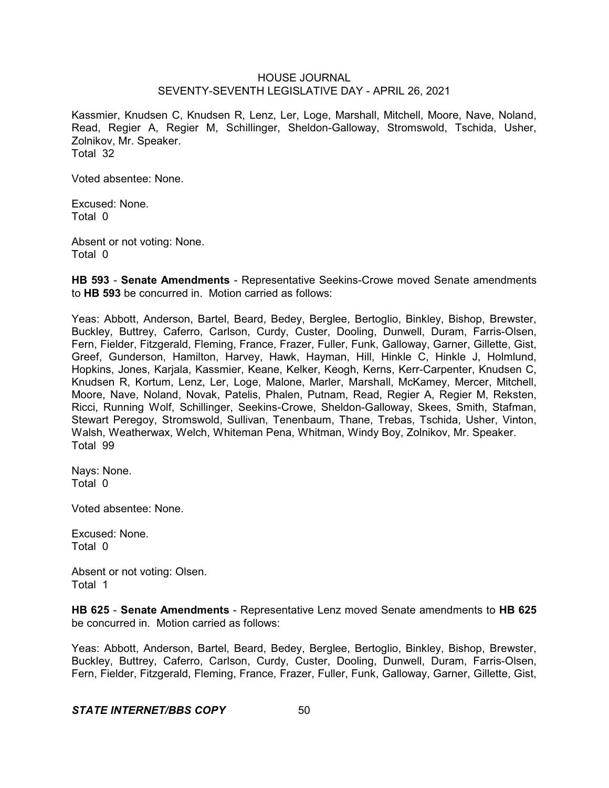Kassmier, Knudsen C, Knudsen R, Lenz, Ler, Loge, Marshall, Mitchell, Moore, Nave, Noland, Read, Regier A, Regier M, Schillinger, Sheldon-Galloway, Stromswold, Tschida, Usher, Zolnikov, Mr. Speaker. Total 32

Voted absentee: None.

Excused: None. Total 0

Absent or not voting: None. Total 0

**HB 593** - **Senate Amendments** - Representative Seekins-Crowe moved Senate amendments to **HB 593** be concurred in. Motion carried as follows:

Yeas: Abbott, Anderson, Bartel, Beard, Bedey, Berglee, Bertoglio, Binkley, Bishop, Brewster, Buckley, Buttrey, Caferro, Carlson, Curdy, Custer, Dooling, Dunwell, Duram, Farris-Olsen, Fern, Fielder, Fitzgerald, Fleming, France, Frazer, Fuller, Funk, Galloway, Garner, Gillette, Gist, Greef, Gunderson, Hamilton, Harvey, Hawk, Hayman, Hill, Hinkle C, Hinkle J, Holmlund, Hopkins, Jones, Karjala, Kassmier, Keane, Kelker, Keogh, Kerns, Kerr-Carpenter, Knudsen C, Knudsen R, Kortum, Lenz, Ler, Loge, Malone, Marler, Marshall, McKamey, Mercer, Mitchell, Moore, Nave, Noland, Novak, Patelis, Phalen, Putnam, Read, Regier A, Regier M, Reksten, Ricci, Running Wolf, Schillinger, Seekins-Crowe, Sheldon-Galloway, Skees, Smith, Stafman, Stewart Peregoy, Stromswold, Sullivan, Tenenbaum, Thane, Trebas, Tschida, Usher, Vinton, Walsh, Weatherwax, Welch, Whiteman Pena, Whitman, Windy Boy, Zolnikov, Mr. Speaker. Total 99

Nays: None. Total 0

Voted absentee: None.

Excused: None. Total 0

Absent or not voting: Olsen. Total 1

**HB 625** - **Senate Amendments** - Representative Lenz moved Senate amendments to **HB 625** be concurred in. Motion carried as follows:

Yeas: Abbott, Anderson, Bartel, Beard, Bedey, Berglee, Bertoglio, Binkley, Bishop, Brewster, Buckley, Buttrey, Caferro, Carlson, Curdy, Custer, Dooling, Dunwell, Duram, Farris-Olsen, Fern, Fielder, Fitzgerald, Fleming, France, Frazer, Fuller, Funk, Galloway, Garner, Gillette, Gist,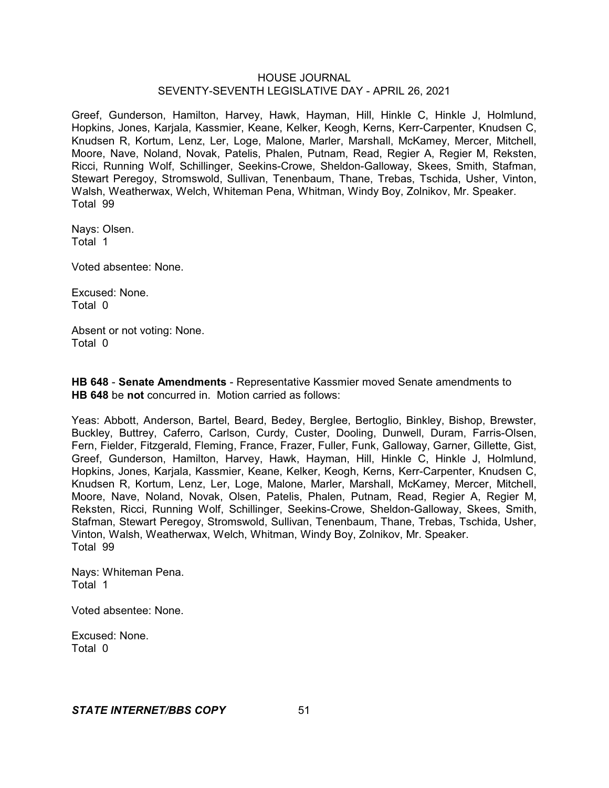Greef, Gunderson, Hamilton, Harvey, Hawk, Hayman, Hill, Hinkle C, Hinkle J, Holmlund, Hopkins, Jones, Karjala, Kassmier, Keane, Kelker, Keogh, Kerns, Kerr-Carpenter, Knudsen C, Knudsen R, Kortum, Lenz, Ler, Loge, Malone, Marler, Marshall, McKamey, Mercer, Mitchell, Moore, Nave, Noland, Novak, Patelis, Phalen, Putnam, Read, Regier A, Regier M, Reksten, Ricci, Running Wolf, Schillinger, Seekins-Crowe, Sheldon-Galloway, Skees, Smith, Stafman, Stewart Peregoy, Stromswold, Sullivan, Tenenbaum, Thane, Trebas, Tschida, Usher, Vinton, Walsh, Weatherwax, Welch, Whiteman Pena, Whitman, Windy Boy, Zolnikov, Mr. Speaker. Total 99

Nays: Olsen. Total 1

Voted absentee: None.

Excused: None. Total 0

Absent or not voting: None. Total 0

**HB 648** - **Senate Amendments** - Representative Kassmier moved Senate amendments to **HB 648** be **not** concurred in. Motion carried as follows:

Yeas: Abbott, Anderson, Bartel, Beard, Bedey, Berglee, Bertoglio, Binkley, Bishop, Brewster, Buckley, Buttrey, Caferro, Carlson, Curdy, Custer, Dooling, Dunwell, Duram, Farris-Olsen, Fern, Fielder, Fitzgerald, Fleming, France, Frazer, Fuller, Funk, Galloway, Garner, Gillette, Gist, Greef, Gunderson, Hamilton, Harvey, Hawk, Hayman, Hill, Hinkle C, Hinkle J, Holmlund, Hopkins, Jones, Karjala, Kassmier, Keane, Kelker, Keogh, Kerns, Kerr-Carpenter, Knudsen C, Knudsen R, Kortum, Lenz, Ler, Loge, Malone, Marler, Marshall, McKamey, Mercer, Mitchell, Moore, Nave, Noland, Novak, Olsen, Patelis, Phalen, Putnam, Read, Regier A, Regier M, Reksten, Ricci, Running Wolf, Schillinger, Seekins-Crowe, Sheldon-Galloway, Skees, Smith, Stafman, Stewart Peregoy, Stromswold, Sullivan, Tenenbaum, Thane, Trebas, Tschida, Usher, Vinton, Walsh, Weatherwax, Welch, Whitman, Windy Boy, Zolnikov, Mr. Speaker. Total 99

Nays: Whiteman Pena. Total 1

Voted absentee: None.

Excused: None. Total 0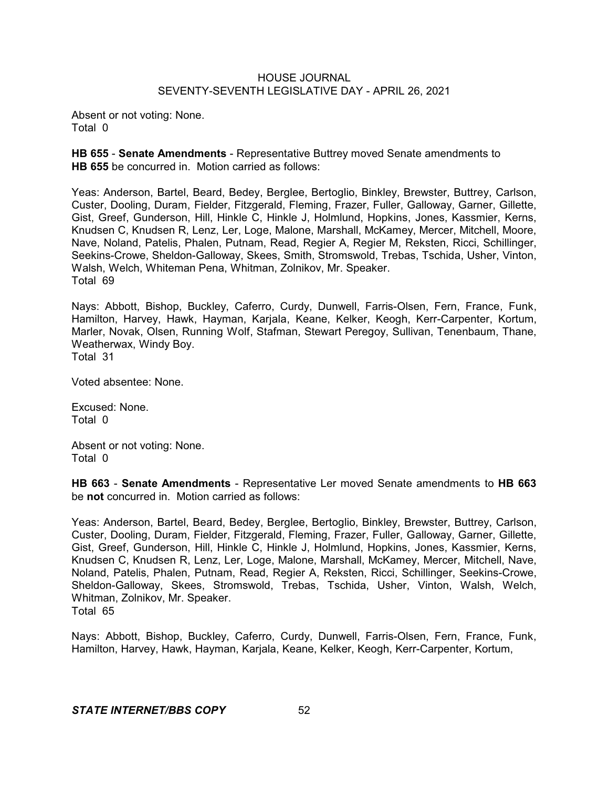Absent or not voting: None. Total 0

**HB 655** - **Senate Amendments** - Representative Buttrey moved Senate amendments to **HB 655** be concurred in. Motion carried as follows:

Yeas: Anderson, Bartel, Beard, Bedey, Berglee, Bertoglio, Binkley, Brewster, Buttrey, Carlson, Custer, Dooling, Duram, Fielder, Fitzgerald, Fleming, Frazer, Fuller, Galloway, Garner, Gillette, Gist, Greef, Gunderson, Hill, Hinkle C, Hinkle J, Holmlund, Hopkins, Jones, Kassmier, Kerns, Knudsen C, Knudsen R, Lenz, Ler, Loge, Malone, Marshall, McKamey, Mercer, Mitchell, Moore, Nave, Noland, Patelis, Phalen, Putnam, Read, Regier A, Regier M, Reksten, Ricci, Schillinger, Seekins-Crowe, Sheldon-Galloway, Skees, Smith, Stromswold, Trebas, Tschida, Usher, Vinton, Walsh, Welch, Whiteman Pena, Whitman, Zolnikov, Mr. Speaker. Total 69

Nays: Abbott, Bishop, Buckley, Caferro, Curdy, Dunwell, Farris-Olsen, Fern, France, Funk, Hamilton, Harvey, Hawk, Hayman, Karjala, Keane, Kelker, Keogh, Kerr-Carpenter, Kortum, Marler, Novak, Olsen, Running Wolf, Stafman, Stewart Peregoy, Sullivan, Tenenbaum, Thane, Weatherwax, Windy Boy. Total 31

Voted absentee: None.

Excused: None. Total 0

Absent or not voting: None. Total 0

**HB 663** - **Senate Amendments** - Representative Ler moved Senate amendments to **HB 663** be **not** concurred in. Motion carried as follows:

Yeas: Anderson, Bartel, Beard, Bedey, Berglee, Bertoglio, Binkley, Brewster, Buttrey, Carlson, Custer, Dooling, Duram, Fielder, Fitzgerald, Fleming, Frazer, Fuller, Galloway, Garner, Gillette, Gist, Greef, Gunderson, Hill, Hinkle C, Hinkle J, Holmlund, Hopkins, Jones, Kassmier, Kerns, Knudsen C, Knudsen R, Lenz, Ler, Loge, Malone, Marshall, McKamey, Mercer, Mitchell, Nave, Noland, Patelis, Phalen, Putnam, Read, Regier A, Reksten, Ricci, Schillinger, Seekins-Crowe, Sheldon-Galloway, Skees, Stromswold, Trebas, Tschida, Usher, Vinton, Walsh, Welch, Whitman, Zolnikov, Mr. Speaker. Total 65

Nays: Abbott, Bishop, Buckley, Caferro, Curdy, Dunwell, Farris-Olsen, Fern, France, Funk, Hamilton, Harvey, Hawk, Hayman, Karjala, Keane, Kelker, Keogh, Kerr-Carpenter, Kortum,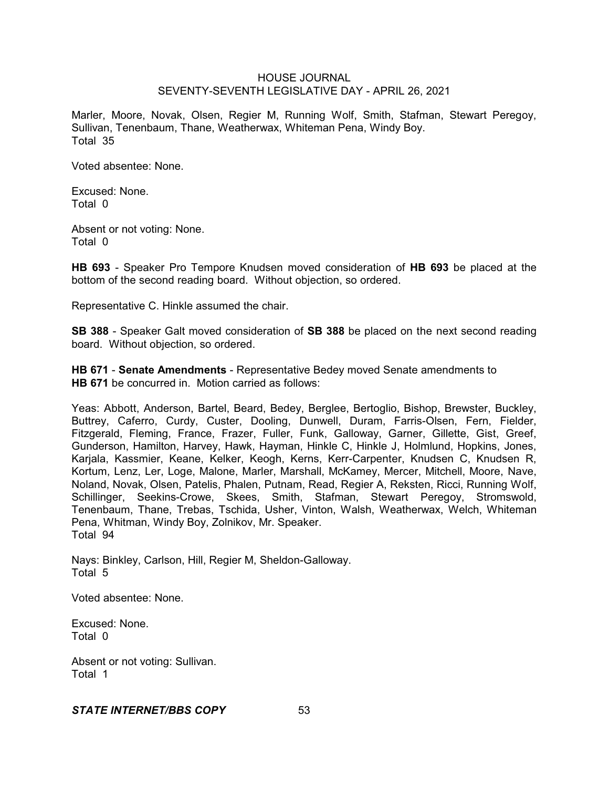Marler, Moore, Novak, Olsen, Regier M, Running Wolf, Smith, Stafman, Stewart Peregoy, Sullivan, Tenenbaum, Thane, Weatherwax, Whiteman Pena, Windy Boy. Total 35

Voted absentee: None.

Excused: None. Total 0

Absent or not voting: None. Total 0

**HB 693** - Speaker Pro Tempore Knudsen moved consideration of **HB 693** be placed at the bottom of the second reading board. Without objection, so ordered.

Representative C. Hinkle assumed the chair.

**SB 388** - Speaker Galt moved consideration of **SB 388** be placed on the next second reading board. Without objection, so ordered.

**HB 671** - **Senate Amendments** - Representative Bedey moved Senate amendments to **HB 671** be concurred in. Motion carried as follows:

Yeas: Abbott, Anderson, Bartel, Beard, Bedey, Berglee, Bertoglio, Bishop, Brewster, Buckley, Buttrey, Caferro, Curdy, Custer, Dooling, Dunwell, Duram, Farris-Olsen, Fern, Fielder, Fitzgerald, Fleming, France, Frazer, Fuller, Funk, Galloway, Garner, Gillette, Gist, Greef, Gunderson, Hamilton, Harvey, Hawk, Hayman, Hinkle C, Hinkle J, Holmlund, Hopkins, Jones, Karjala, Kassmier, Keane, Kelker, Keogh, Kerns, Kerr-Carpenter, Knudsen C, Knudsen R, Kortum, Lenz, Ler, Loge, Malone, Marler, Marshall, McKamey, Mercer, Mitchell, Moore, Nave, Noland, Novak, Olsen, Patelis, Phalen, Putnam, Read, Regier A, Reksten, Ricci, Running Wolf, Schillinger, Seekins-Crowe, Skees, Smith, Stafman, Stewart Peregoy, Stromswold, Tenenbaum, Thane, Trebas, Tschida, Usher, Vinton, Walsh, Weatherwax, Welch, Whiteman Pena, Whitman, Windy Boy, Zolnikov, Mr. Speaker. Total 94

Nays: Binkley, Carlson, Hill, Regier M, Sheldon-Galloway. Total 5

Voted absentee: None.

Excused: None. Total 0

Absent or not voting: Sullivan. Total 1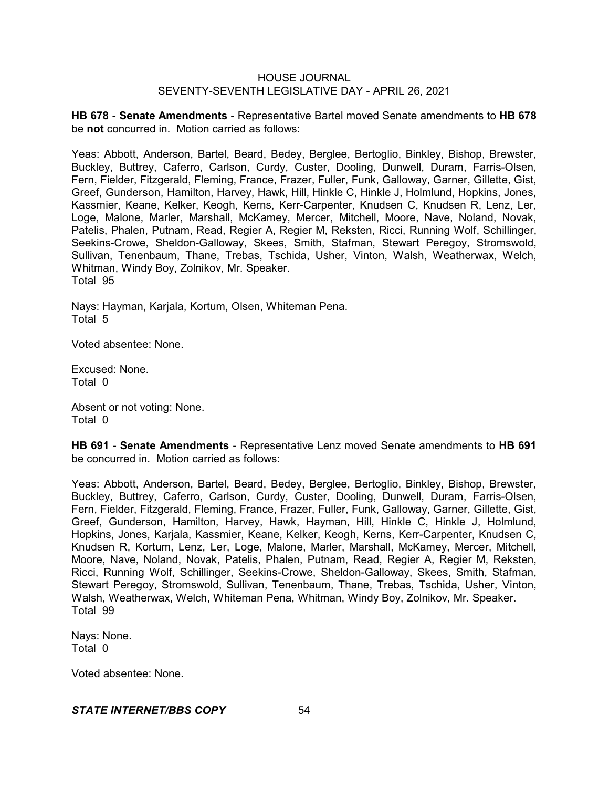**HB 678** - **Senate Amendments** - Representative Bartel moved Senate amendments to **HB 678** be **not** concurred in. Motion carried as follows:

Yeas: Abbott, Anderson, Bartel, Beard, Bedey, Berglee, Bertoglio, Binkley, Bishop, Brewster, Buckley, Buttrey, Caferro, Carlson, Curdy, Custer, Dooling, Dunwell, Duram, Farris-Olsen, Fern, Fielder, Fitzgerald, Fleming, France, Frazer, Fuller, Funk, Galloway, Garner, Gillette, Gist, Greef, Gunderson, Hamilton, Harvey, Hawk, Hill, Hinkle C, Hinkle J, Holmlund, Hopkins, Jones, Kassmier, Keane, Kelker, Keogh, Kerns, Kerr-Carpenter, Knudsen C, Knudsen R, Lenz, Ler, Loge, Malone, Marler, Marshall, McKamey, Mercer, Mitchell, Moore, Nave, Noland, Novak, Patelis, Phalen, Putnam, Read, Regier A, Regier M, Reksten, Ricci, Running Wolf, Schillinger, Seekins-Crowe, Sheldon-Galloway, Skees, Smith, Stafman, Stewart Peregoy, Stromswold, Sullivan, Tenenbaum, Thane, Trebas, Tschida, Usher, Vinton, Walsh, Weatherwax, Welch, Whitman, Windy Boy, Zolnikov, Mr. Speaker. Total 95

Nays: Hayman, Karjala, Kortum, Olsen, Whiteman Pena. Total 5

Voted absentee: None.

Excused: None. Total 0

Absent or not voting: None. Total 0

**HB 691** - **Senate Amendments** - Representative Lenz moved Senate amendments to **HB 691** be concurred in. Motion carried as follows:

Yeas: Abbott, Anderson, Bartel, Beard, Bedey, Berglee, Bertoglio, Binkley, Bishop, Brewster, Buckley, Buttrey, Caferro, Carlson, Curdy, Custer, Dooling, Dunwell, Duram, Farris-Olsen, Fern, Fielder, Fitzgerald, Fleming, France, Frazer, Fuller, Funk, Galloway, Garner, Gillette, Gist, Greef, Gunderson, Hamilton, Harvey, Hawk, Hayman, Hill, Hinkle C, Hinkle J, Holmlund, Hopkins, Jones, Karjala, Kassmier, Keane, Kelker, Keogh, Kerns, Kerr-Carpenter, Knudsen C, Knudsen R, Kortum, Lenz, Ler, Loge, Malone, Marler, Marshall, McKamey, Mercer, Mitchell, Moore, Nave, Noland, Novak, Patelis, Phalen, Putnam, Read, Regier A, Regier M, Reksten, Ricci, Running Wolf, Schillinger, Seekins-Crowe, Sheldon-Galloway, Skees, Smith, Stafman, Stewart Peregoy, Stromswold, Sullivan, Tenenbaum, Thane, Trebas, Tschida, Usher, Vinton, Walsh, Weatherwax, Welch, Whiteman Pena, Whitman, Windy Boy, Zolnikov, Mr. Speaker. Total 99

Nays: None. Total 0

Voted absentee: None.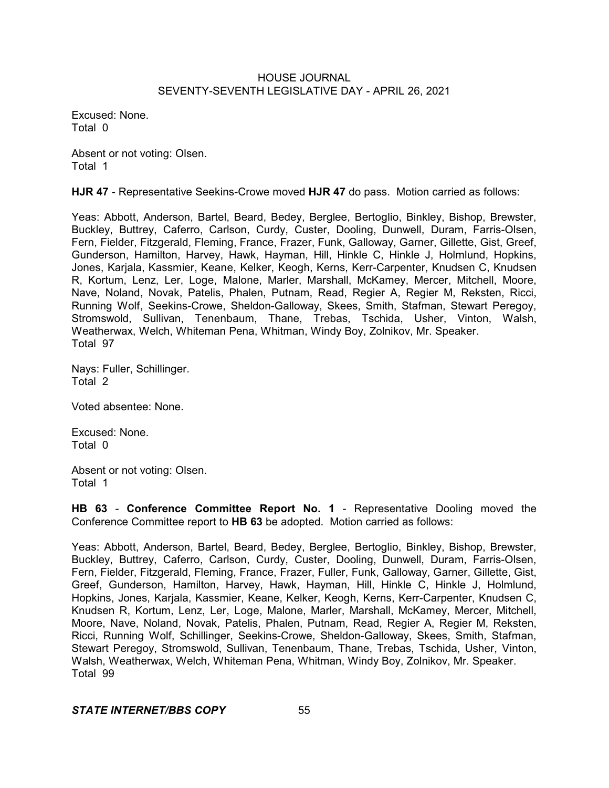Excused: None. Total 0

Absent or not voting: Olsen. Total 1

**HJR 47** - Representative Seekins-Crowe moved **HJR 47** do pass. Motion carried as follows:

Yeas: Abbott, Anderson, Bartel, Beard, Bedey, Berglee, Bertoglio, Binkley, Bishop, Brewster, Buckley, Buttrey, Caferro, Carlson, Curdy, Custer, Dooling, Dunwell, Duram, Farris-Olsen, Fern, Fielder, Fitzgerald, Fleming, France, Frazer, Funk, Galloway, Garner, Gillette, Gist, Greef, Gunderson, Hamilton, Harvey, Hawk, Hayman, Hill, Hinkle C, Hinkle J, Holmlund, Hopkins, Jones, Karjala, Kassmier, Keane, Kelker, Keogh, Kerns, Kerr-Carpenter, Knudsen C, Knudsen R, Kortum, Lenz, Ler, Loge, Malone, Marler, Marshall, McKamey, Mercer, Mitchell, Moore, Nave, Noland, Novak, Patelis, Phalen, Putnam, Read, Regier A, Regier M, Reksten, Ricci, Running Wolf, Seekins-Crowe, Sheldon-Galloway, Skees, Smith, Stafman, Stewart Peregoy, Stromswold, Sullivan, Tenenbaum, Thane, Trebas, Tschida, Usher, Vinton, Walsh, Weatherwax, Welch, Whiteman Pena, Whitman, Windy Boy, Zolnikov, Mr. Speaker. Total 97

Nays: Fuller, Schillinger. Total 2

Voted absentee: None.

Excused: None. Total 0

Absent or not voting: Olsen. Total 1

**HB 63** - **Conference Committee Report No. 1** - Representative Dooling moved the Conference Committee report to **HB 63** be adopted. Motion carried as follows:

Yeas: Abbott, Anderson, Bartel, Beard, Bedey, Berglee, Bertoglio, Binkley, Bishop, Brewster, Buckley, Buttrey, Caferro, Carlson, Curdy, Custer, Dooling, Dunwell, Duram, Farris-Olsen, Fern, Fielder, Fitzgerald, Fleming, France, Frazer, Fuller, Funk, Galloway, Garner, Gillette, Gist, Greef, Gunderson, Hamilton, Harvey, Hawk, Hayman, Hill, Hinkle C, Hinkle J, Holmlund, Hopkins, Jones, Karjala, Kassmier, Keane, Kelker, Keogh, Kerns, Kerr-Carpenter, Knudsen C, Knudsen R, Kortum, Lenz, Ler, Loge, Malone, Marler, Marshall, McKamey, Mercer, Mitchell, Moore, Nave, Noland, Novak, Patelis, Phalen, Putnam, Read, Regier A, Regier M, Reksten, Ricci, Running Wolf, Schillinger, Seekins-Crowe, Sheldon-Galloway, Skees, Smith, Stafman, Stewart Peregoy, Stromswold, Sullivan, Tenenbaum, Thane, Trebas, Tschida, Usher, Vinton, Walsh, Weatherwax, Welch, Whiteman Pena, Whitman, Windy Boy, Zolnikov, Mr. Speaker. Total 99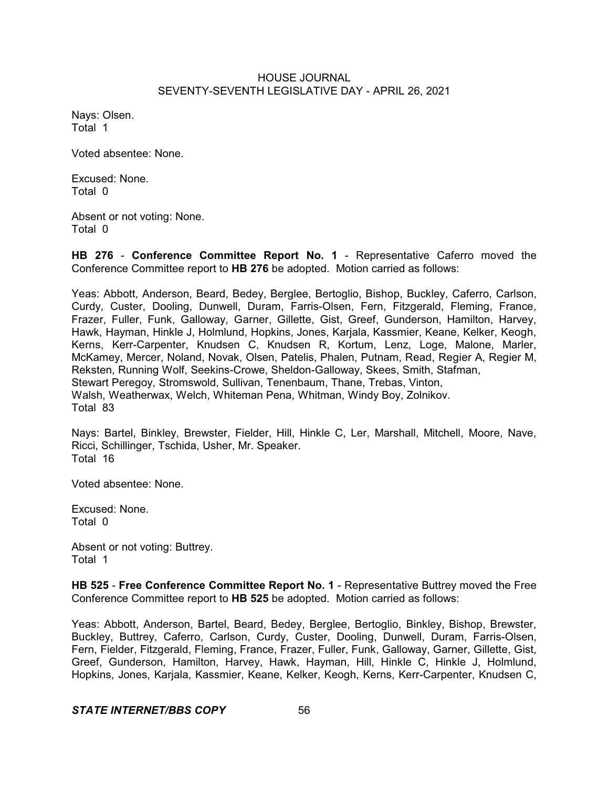Nays: Olsen. Total 1

Voted absentee: None.

Excused: None. Total 0

Absent or not voting: None. Total 0

**HB 276** - **Conference Committee Report No. 1** - Representative Caferro moved the Conference Committee report to **HB 276** be adopted. Motion carried as follows:

Yeas: Abbott, Anderson, Beard, Bedey, Berglee, Bertoglio, Bishop, Buckley, Caferro, Carlson, Curdy, Custer, Dooling, Dunwell, Duram, Farris-Olsen, Fern, Fitzgerald, Fleming, France, Frazer, Fuller, Funk, Galloway, Garner, Gillette, Gist, Greef, Gunderson, Hamilton, Harvey, Hawk, Hayman, Hinkle J, Holmlund, Hopkins, Jones, Karjala, Kassmier, Keane, Kelker, Keogh, Kerns, Kerr-Carpenter, Knudsen C, Knudsen R, Kortum, Lenz, Loge, Malone, Marler, McKamey, Mercer, Noland, Novak, Olsen, Patelis, Phalen, Putnam, Read, Regier A, Regier M, Reksten, Running Wolf, Seekins-Crowe, Sheldon-Galloway, Skees, Smith, Stafman, Stewart Peregoy, Stromswold, Sullivan, Tenenbaum, Thane, Trebas, Vinton, Walsh, Weatherwax, Welch, Whiteman Pena, Whitman, Windy Boy, Zolnikov. Total 83

Nays: Bartel, Binkley, Brewster, Fielder, Hill, Hinkle C, Ler, Marshall, Mitchell, Moore, Nave, Ricci, Schillinger, Tschida, Usher, Mr. Speaker. Total 16

Voted absentee: None.

Excused: None. Total 0

Absent or not voting: Buttrey. Total 1

**HB 525** - **Free Conference Committee Report No. 1** - Representative Buttrey moved the Free Conference Committee report to **HB 525** be adopted. Motion carried as follows:

Yeas: Abbott, Anderson, Bartel, Beard, Bedey, Berglee, Bertoglio, Binkley, Bishop, Brewster, Buckley, Buttrey, Caferro, Carlson, Curdy, Custer, Dooling, Dunwell, Duram, Farris-Olsen, Fern, Fielder, Fitzgerald, Fleming, France, Frazer, Fuller, Funk, Galloway, Garner, Gillette, Gist, Greef, Gunderson, Hamilton, Harvey, Hawk, Hayman, Hill, Hinkle C, Hinkle J, Holmlund, Hopkins, Jones, Karjala, Kassmier, Keane, Kelker, Keogh, Kerns, Kerr-Carpenter, Knudsen C,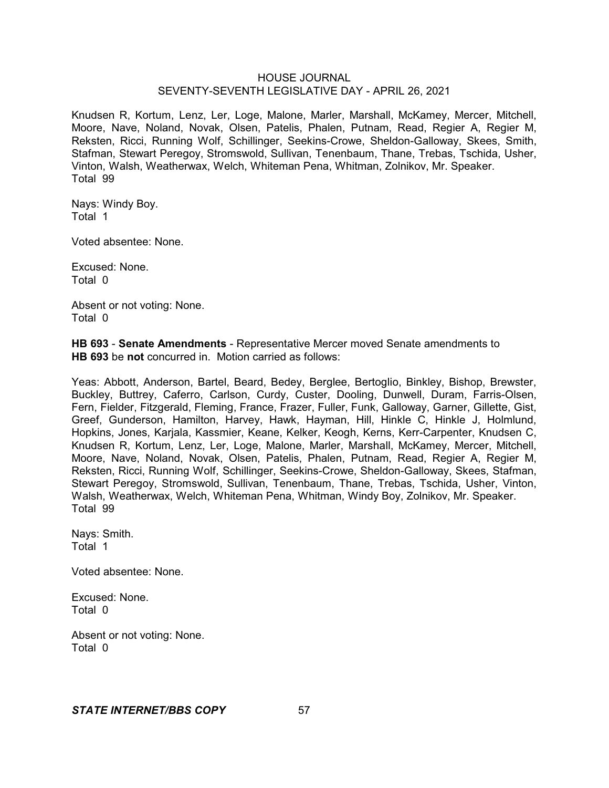Knudsen R, Kortum, Lenz, Ler, Loge, Malone, Marler, Marshall, McKamey, Mercer, Mitchell, Moore, Nave, Noland, Novak, Olsen, Patelis, Phalen, Putnam, Read, Regier A, Regier M, Reksten, Ricci, Running Wolf, Schillinger, Seekins-Crowe, Sheldon-Galloway, Skees, Smith, Stafman, Stewart Peregoy, Stromswold, Sullivan, Tenenbaum, Thane, Trebas, Tschida, Usher, Vinton, Walsh, Weatherwax, Welch, Whiteman Pena, Whitman, Zolnikov, Mr. Speaker. Total 99

Nays: Windy Boy. Total 1

Voted absentee: None.

Excused: None. Total 0

Absent or not voting: None. Total 0

**HB 693** - **Senate Amendments** - Representative Mercer moved Senate amendments to **HB 693** be **not** concurred in. Motion carried as follows:

Yeas: Abbott, Anderson, Bartel, Beard, Bedey, Berglee, Bertoglio, Binkley, Bishop, Brewster, Buckley, Buttrey, Caferro, Carlson, Curdy, Custer, Dooling, Dunwell, Duram, Farris-Olsen, Fern, Fielder, Fitzgerald, Fleming, France, Frazer, Fuller, Funk, Galloway, Garner, Gillette, Gist, Greef, Gunderson, Hamilton, Harvey, Hawk, Hayman, Hill, Hinkle C, Hinkle J, Holmlund, Hopkins, Jones, Karjala, Kassmier, Keane, Kelker, Keogh, Kerns, Kerr-Carpenter, Knudsen C, Knudsen R, Kortum, Lenz, Ler, Loge, Malone, Marler, Marshall, McKamey, Mercer, Mitchell, Moore, Nave, Noland, Novak, Olsen, Patelis, Phalen, Putnam, Read, Regier A, Regier M, Reksten, Ricci, Running Wolf, Schillinger, Seekins-Crowe, Sheldon-Galloway, Skees, Stafman, Stewart Peregoy, Stromswold, Sullivan, Tenenbaum, Thane, Trebas, Tschida, Usher, Vinton, Walsh, Weatherwax, Welch, Whiteman Pena, Whitman, Windy Boy, Zolnikov, Mr. Speaker. Total 99

Nays: Smith. Total 1

Voted absentee: None.

Excused: None. Total 0

Absent or not voting: None. Total 0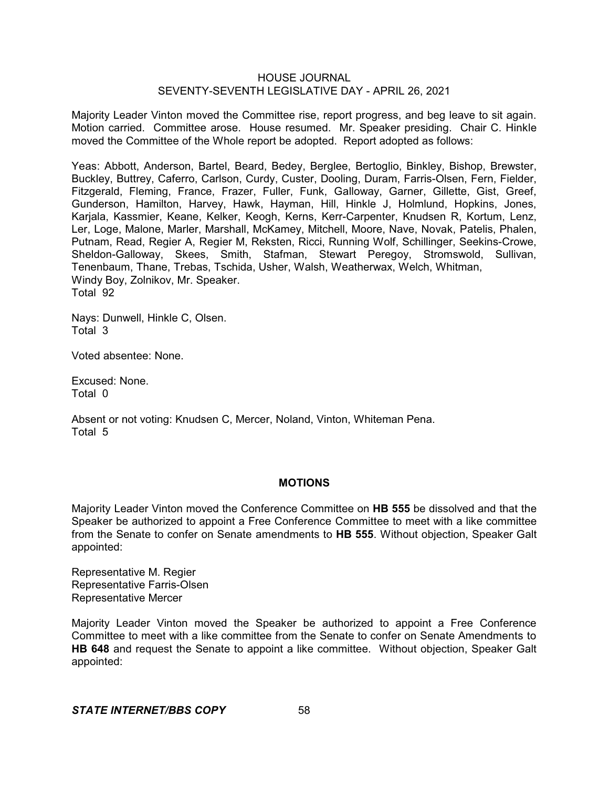Majority Leader Vinton moved the Committee rise, report progress, and beg leave to sit again. Motion carried. Committee arose. House resumed. Mr. Speaker presiding. Chair C. Hinkle moved the Committee of the Whole report be adopted. Report adopted as follows:

Yeas: Abbott, Anderson, Bartel, Beard, Bedey, Berglee, Bertoglio, Binkley, Bishop, Brewster, Buckley, Buttrey, Caferro, Carlson, Curdy, Custer, Dooling, Duram, Farris-Olsen, Fern, Fielder, Fitzgerald, Fleming, France, Frazer, Fuller, Funk, Galloway, Garner, Gillette, Gist, Greef, Gunderson, Hamilton, Harvey, Hawk, Hayman, Hill, Hinkle J, Holmlund, Hopkins, Jones, Karjala, Kassmier, Keane, Kelker, Keogh, Kerns, Kerr-Carpenter, Knudsen R, Kortum, Lenz, Ler, Loge, Malone, Marler, Marshall, McKamey, Mitchell, Moore, Nave, Novak, Patelis, Phalen, Putnam, Read, Regier A, Regier M, Reksten, Ricci, Running Wolf, Schillinger, Seekins-Crowe, Sheldon-Galloway, Skees, Smith, Stafman, Stewart Peregoy, Stromswold, Sullivan, Tenenbaum, Thane, Trebas, Tschida, Usher, Walsh, Weatherwax, Welch, Whitman, Windy Boy, Zolnikov, Mr. Speaker. Total 92

Nays: Dunwell, Hinkle C, Olsen. Total 3

Voted absentee: None.

Excused: None. Total 0

Absent or not voting: Knudsen C, Mercer, Noland, Vinton, Whiteman Pena. Total 5

#### **MOTIONS**

Majority Leader Vinton moved the Conference Committee on **HB 555** be dissolved and that the Speaker be authorized to appoint a Free Conference Committee to meet with a like committee from the Senate to confer on Senate amendments to **HB 555**. Without objection, Speaker Galt appointed:

Representative M. Regier Representative Farris-Olsen Representative Mercer

Majority Leader Vinton moved the Speaker be authorized to appoint a Free Conference Committee to meet with a like committee from the Senate to confer on Senate Amendments to **HB 648** and request the Senate to appoint a like committee. Without objection, Speaker Galt appointed: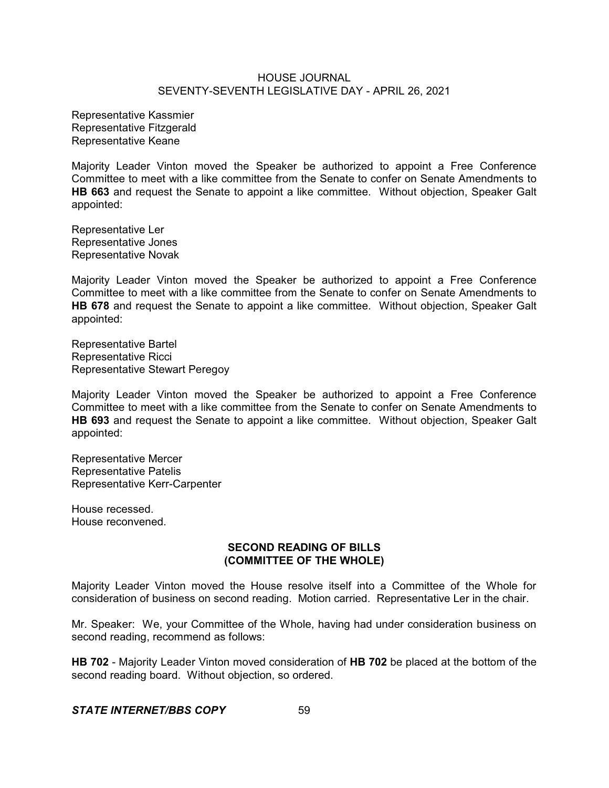Representative Kassmier Representative Fitzgerald Representative Keane

Majority Leader Vinton moved the Speaker be authorized to appoint a Free Conference Committee to meet with a like committee from the Senate to confer on Senate Amendments to **HB 663** and request the Senate to appoint a like committee. Without objection, Speaker Galt appointed:

Representative Ler Representative Jones Representative Novak

Majority Leader Vinton moved the Speaker be authorized to appoint a Free Conference Committee to meet with a like committee from the Senate to confer on Senate Amendments to **HB 678** and request the Senate to appoint a like committee. Without objection, Speaker Galt appointed:

Representative Bartel Representative Ricci Representative Stewart Peregoy

Majority Leader Vinton moved the Speaker be authorized to appoint a Free Conference Committee to meet with a like committee from the Senate to confer on Senate Amendments to **HB 693** and request the Senate to appoint a like committee. Without objection, Speaker Galt appointed:

Representative Mercer Representative Patelis Representative Kerr-Carpenter

House recessed. House reconvened.

## **SECOND READING OF BILLS (COMMITTEE OF THE WHOLE)**

Majority Leader Vinton moved the House resolve itself into a Committee of the Whole for consideration of business on second reading. Motion carried. Representative Ler in the chair.

Mr. Speaker: We, your Committee of the Whole, having had under consideration business on second reading, recommend as follows:

**HB 702** - Majority Leader Vinton moved consideration of **HB 702** be placed at the bottom of the second reading board. Without objection, so ordered.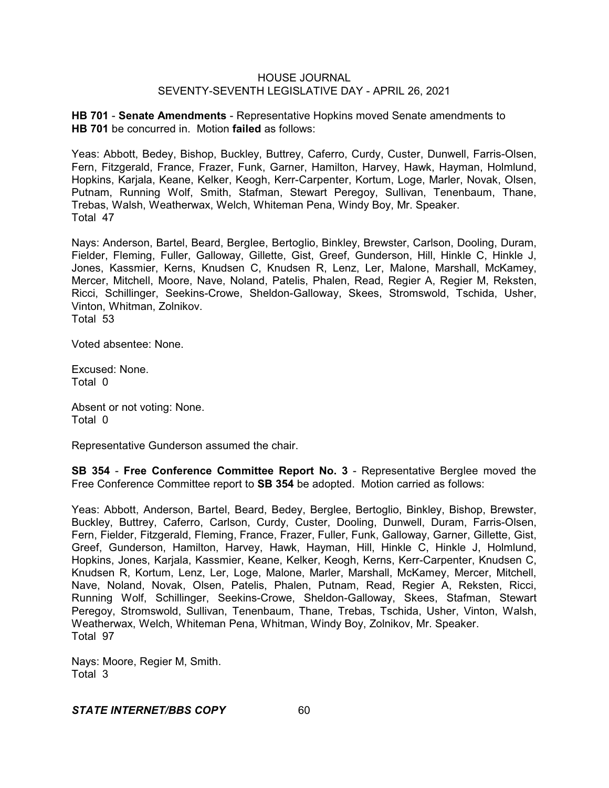**HB 701** - **Senate Amendments** - Representative Hopkins moved Senate amendments to **HB 701** be concurred in. Motion **failed** as follows:

Yeas: Abbott, Bedey, Bishop, Buckley, Buttrey, Caferro, Curdy, Custer, Dunwell, Farris-Olsen, Fern, Fitzgerald, France, Frazer, Funk, Garner, Hamilton, Harvey, Hawk, Hayman, Holmlund, Hopkins, Karjala, Keane, Kelker, Keogh, Kerr-Carpenter, Kortum, Loge, Marler, Novak, Olsen, Putnam, Running Wolf, Smith, Stafman, Stewart Peregoy, Sullivan, Tenenbaum, Thane, Trebas, Walsh, Weatherwax, Welch, Whiteman Pena, Windy Boy, Mr. Speaker. Total 47

Nays: Anderson, Bartel, Beard, Berglee, Bertoglio, Binkley, Brewster, Carlson, Dooling, Duram, Fielder, Fleming, Fuller, Galloway, Gillette, Gist, Greef, Gunderson, Hill, Hinkle C, Hinkle J, Jones, Kassmier, Kerns, Knudsen C, Knudsen R, Lenz, Ler, Malone, Marshall, McKamey, Mercer, Mitchell, Moore, Nave, Noland, Patelis, Phalen, Read, Regier A, Regier M, Reksten, Ricci, Schillinger, Seekins-Crowe, Sheldon-Galloway, Skees, Stromswold, Tschida, Usher, Vinton, Whitman, Zolnikov. Total 53

Voted absentee: None.

Excused: None. Total 0

Absent or not voting: None. Total 0

Representative Gunderson assumed the chair.

**SB 354** - **Free Conference Committee Report No. 3** - Representative Berglee moved the Free Conference Committee report to **SB 354** be adopted. Motion carried as follows:

Yeas: Abbott, Anderson, Bartel, Beard, Bedey, Berglee, Bertoglio, Binkley, Bishop, Brewster, Buckley, Buttrey, Caferro, Carlson, Curdy, Custer, Dooling, Dunwell, Duram, Farris-Olsen, Fern, Fielder, Fitzgerald, Fleming, France, Frazer, Fuller, Funk, Galloway, Garner, Gillette, Gist, Greef, Gunderson, Hamilton, Harvey, Hawk, Hayman, Hill, Hinkle C, Hinkle J, Holmlund, Hopkins, Jones, Karjala, Kassmier, Keane, Kelker, Keogh, Kerns, Kerr-Carpenter, Knudsen C, Knudsen R, Kortum, Lenz, Ler, Loge, Malone, Marler, Marshall, McKamey, Mercer, Mitchell, Nave, Noland, Novak, Olsen, Patelis, Phalen, Putnam, Read, Regier A, Reksten, Ricci, Running Wolf, Schillinger, Seekins-Crowe, Sheldon-Galloway, Skees, Stafman, Stewart Peregoy, Stromswold, Sullivan, Tenenbaum, Thane, Trebas, Tschida, Usher, Vinton, Walsh, Weatherwax, Welch, Whiteman Pena, Whitman, Windy Boy, Zolnikov, Mr. Speaker. Total 97

Nays: Moore, Regier M, Smith. Total 3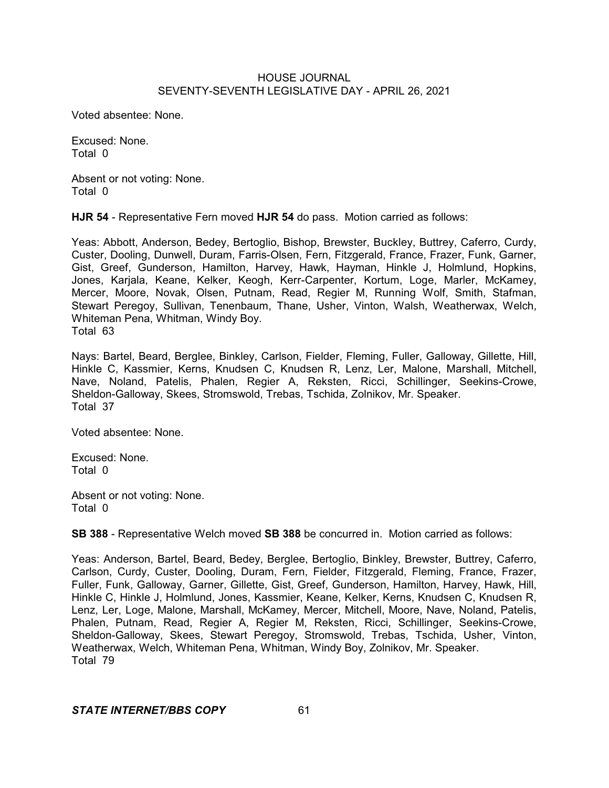Voted absentee: None.

Excused: None. Total 0

Absent or not voting: None. Total 0

**HJR 54** - Representative Fern moved **HJR 54** do pass. Motion carried as follows:

Yeas: Abbott, Anderson, Bedey, Bertoglio, Bishop, Brewster, Buckley, Buttrey, Caferro, Curdy, Custer, Dooling, Dunwell, Duram, Farris-Olsen, Fern, Fitzgerald, France, Frazer, Funk, Garner, Gist, Greef, Gunderson, Hamilton, Harvey, Hawk, Hayman, Hinkle J, Holmlund, Hopkins, Jones, Karjala, Keane, Kelker, Keogh, Kerr-Carpenter, Kortum, Loge, Marler, McKamey, Mercer, Moore, Novak, Olsen, Putnam, Read, Regier M, Running Wolf, Smith, Stafman, Stewart Peregoy, Sullivan, Tenenbaum, Thane, Usher, Vinton, Walsh, Weatherwax, Welch, Whiteman Pena, Whitman, Windy Boy. Total 63

Nays: Bartel, Beard, Berglee, Binkley, Carlson, Fielder, Fleming, Fuller, Galloway, Gillette, Hill, Hinkle C, Kassmier, Kerns, Knudsen C, Knudsen R, Lenz, Ler, Malone, Marshall, Mitchell, Nave, Noland, Patelis, Phalen, Regier A, Reksten, Ricci, Schillinger, Seekins-Crowe, Sheldon-Galloway, Skees, Stromswold, Trebas, Tschida, Zolnikov, Mr. Speaker. Total 37

Voted absentee: None.

Excused: None. Total 0

Absent or not voting: None. Total 0

**SB 388** - Representative Welch moved **SB 388** be concurred in. Motion carried as follows:

Yeas: Anderson, Bartel, Beard, Bedey, Berglee, Bertoglio, Binkley, Brewster, Buttrey, Caferro, Carlson, Curdy, Custer, Dooling, Duram, Fern, Fielder, Fitzgerald, Fleming, France, Frazer, Fuller, Funk, Galloway, Garner, Gillette, Gist, Greef, Gunderson, Hamilton, Harvey, Hawk, Hill, Hinkle C, Hinkle J, Holmlund, Jones, Kassmier, Keane, Kelker, Kerns, Knudsen C, Knudsen R, Lenz, Ler, Loge, Malone, Marshall, McKamey, Mercer, Mitchell, Moore, Nave, Noland, Patelis, Phalen, Putnam, Read, Regier A, Regier M, Reksten, Ricci, Schillinger, Seekins-Crowe, Sheldon-Galloway, Skees, Stewart Peregoy, Stromswold, Trebas, Tschida, Usher, Vinton, Weatherwax, Welch, Whiteman Pena, Whitman, Windy Boy, Zolnikov, Mr. Speaker. Total 79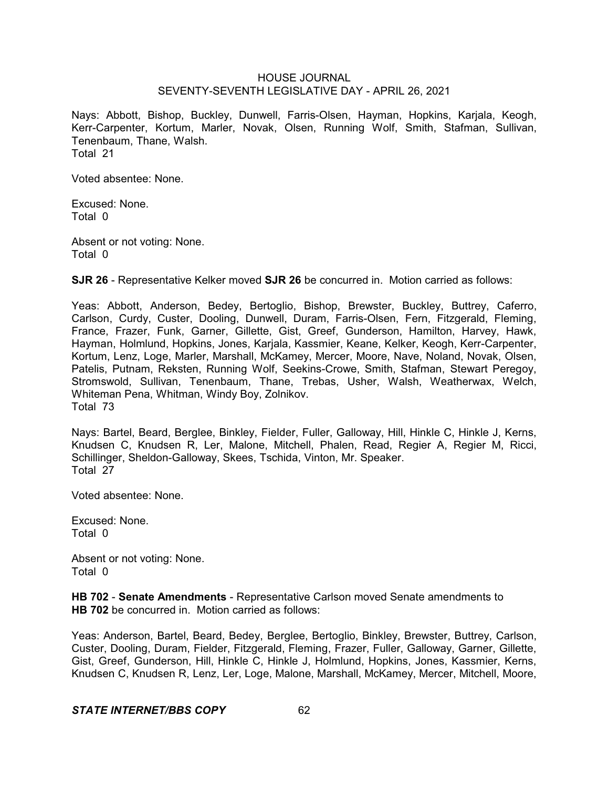Nays: Abbott, Bishop, Buckley, Dunwell, Farris-Olsen, Hayman, Hopkins, Karjala, Keogh, Kerr-Carpenter, Kortum, Marler, Novak, Olsen, Running Wolf, Smith, Stafman, Sullivan, Tenenbaum, Thane, Walsh. Total 21

Voted absentee: None.

Excused: None. Total 0

Absent or not voting: None. Total 0

**SJR 26** - Representative Kelker moved **SJR 26** be concurred in. Motion carried as follows:

Yeas: Abbott, Anderson, Bedey, Bertoglio, Bishop, Brewster, Buckley, Buttrey, Caferro, Carlson, Curdy, Custer, Dooling, Dunwell, Duram, Farris-Olsen, Fern, Fitzgerald, Fleming, France, Frazer, Funk, Garner, Gillette, Gist, Greef, Gunderson, Hamilton, Harvey, Hawk, Hayman, Holmlund, Hopkins, Jones, Karjala, Kassmier, Keane, Kelker, Keogh, Kerr-Carpenter, Kortum, Lenz, Loge, Marler, Marshall, McKamey, Mercer, Moore, Nave, Noland, Novak, Olsen, Patelis, Putnam, Reksten, Running Wolf, Seekins-Crowe, Smith, Stafman, Stewart Peregoy, Stromswold, Sullivan, Tenenbaum, Thane, Trebas, Usher, Walsh, Weatherwax, Welch, Whiteman Pena, Whitman, Windy Boy, Zolnikov. Total 73

Nays: Bartel, Beard, Berglee, Binkley, Fielder, Fuller, Galloway, Hill, Hinkle C, Hinkle J, Kerns, Knudsen C, Knudsen R, Ler, Malone, Mitchell, Phalen, Read, Regier A, Regier M, Ricci, Schillinger, Sheldon-Galloway, Skees, Tschida, Vinton, Mr. Speaker. Total 27

Voted absentee: None.

Excused: None. Total 0

Absent or not voting: None. Total 0

**HB 702** - **Senate Amendments** - Representative Carlson moved Senate amendments to **HB 702** be concurred in. Motion carried as follows:

Yeas: Anderson, Bartel, Beard, Bedey, Berglee, Bertoglio, Binkley, Brewster, Buttrey, Carlson, Custer, Dooling, Duram, Fielder, Fitzgerald, Fleming, Frazer, Fuller, Galloway, Garner, Gillette, Gist, Greef, Gunderson, Hill, Hinkle C, Hinkle J, Holmlund, Hopkins, Jones, Kassmier, Kerns, Knudsen C, Knudsen R, Lenz, Ler, Loge, Malone, Marshall, McKamey, Mercer, Mitchell, Moore,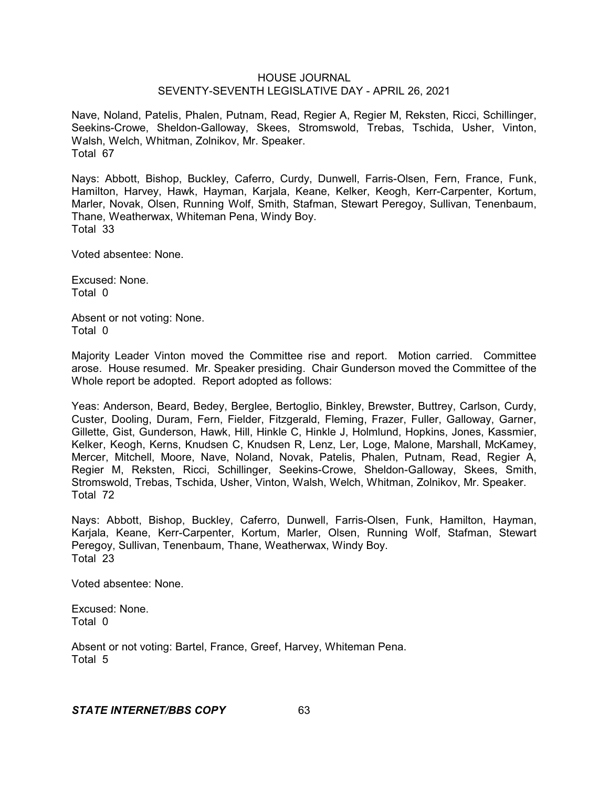Nave, Noland, Patelis, Phalen, Putnam, Read, Regier A, Regier M, Reksten, Ricci, Schillinger, Seekins-Crowe, Sheldon-Galloway, Skees, Stromswold, Trebas, Tschida, Usher, Vinton, Walsh, Welch, Whitman, Zolnikov, Mr. Speaker. Total 67

Nays: Abbott, Bishop, Buckley, Caferro, Curdy, Dunwell, Farris-Olsen, Fern, France, Funk, Hamilton, Harvey, Hawk, Hayman, Karjala, Keane, Kelker, Keogh, Kerr-Carpenter, Kortum, Marler, Novak, Olsen, Running Wolf, Smith, Stafman, Stewart Peregoy, Sullivan, Tenenbaum, Thane, Weatherwax, Whiteman Pena, Windy Boy. Total 33

Voted absentee: None.

Excused: None. Total 0

Absent or not voting: None. Total 0

Majority Leader Vinton moved the Committee rise and report. Motion carried. Committee arose. House resumed. Mr. Speaker presiding. Chair Gunderson moved the Committee of the Whole report be adopted. Report adopted as follows:

Yeas: Anderson, Beard, Bedey, Berglee, Bertoglio, Binkley, Brewster, Buttrey, Carlson, Curdy, Custer, Dooling, Duram, Fern, Fielder, Fitzgerald, Fleming, Frazer, Fuller, Galloway, Garner, Gillette, Gist, Gunderson, Hawk, Hill, Hinkle C, Hinkle J, Holmlund, Hopkins, Jones, Kassmier, Kelker, Keogh, Kerns, Knudsen C, Knudsen R, Lenz, Ler, Loge, Malone, Marshall, McKamey, Mercer, Mitchell, Moore, Nave, Noland, Novak, Patelis, Phalen, Putnam, Read, Regier A, Regier M, Reksten, Ricci, Schillinger, Seekins-Crowe, Sheldon-Galloway, Skees, Smith, Stromswold, Trebas, Tschida, Usher, Vinton, Walsh, Welch, Whitman, Zolnikov, Mr. Speaker. Total 72

Nays: Abbott, Bishop, Buckley, Caferro, Dunwell, Farris-Olsen, Funk, Hamilton, Hayman, Karjala, Keane, Kerr-Carpenter, Kortum, Marler, Olsen, Running Wolf, Stafman, Stewart Peregoy, Sullivan, Tenenbaum, Thane, Weatherwax, Windy Boy. Total 23

Voted absentee: None.

Excused: None. Total 0

Absent or not voting: Bartel, France, Greef, Harvey, Whiteman Pena. Total 5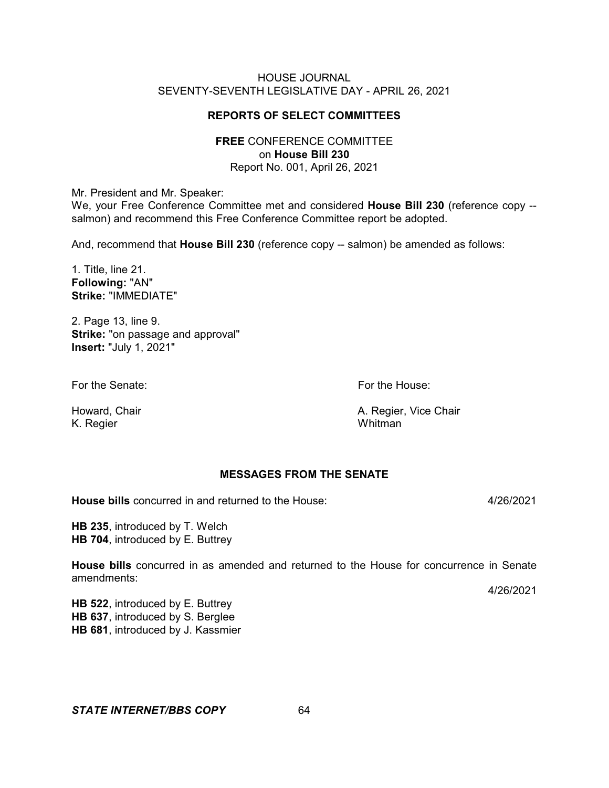## **REPORTS OF SELECT COMMITTEES**

## **FREE** CONFERENCE COMMITTEE on **House Bill 230** Report No. 001, April 26, 2021

Mr. President and Mr. Speaker:

We, your Free Conference Committee met and considered **House Bill 230** (reference copy - salmon) and recommend this Free Conference Committee report be adopted.

And, recommend that **House Bill 230** (reference copy -- salmon) be amended as follows:

1. Title, line 21. **Following:** "AN" **Strike:** "IMMEDIATE"

2. Page 13, line 9. **Strike:** "on passage and approval" **Insert:** "July 1, 2021"

For the Senate: The Senate: For the House:

K. Regier

Howard, Chair **A. Regier, Vice Chair** A. Regier, Vice Chair A. Regier, Vice Chair

## **MESSAGES FROM THE SENATE**

**House bills** concurred in and returned to the House: 4/26/2021

**HB 235**, introduced by T. Welch **HB 704**, introduced by E. Buttrey

**House bills** concurred in as amended and returned to the House for concurrence in Senate amendments:

4/26/2021

**HB 522**, introduced by E. Buttrey **HB 637**, introduced by S. Berglee **HB 681**, introduced by J. Kassmier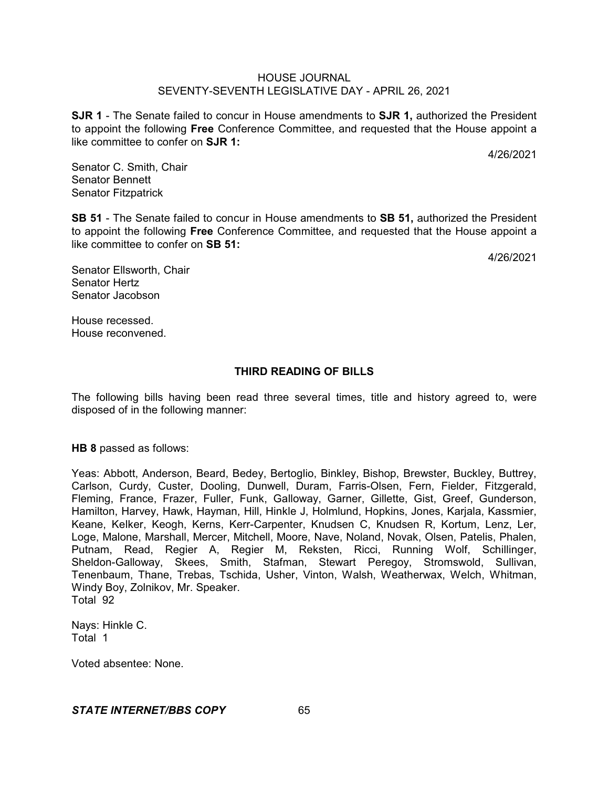**SJR 1** - The Senate failed to concur in House amendments to **SJR 1,** authorized the President to appoint the following **Free** Conference Committee, and requested that the House appoint a like committee to confer on **SJR 1:**

4/26/2021

Senator C. Smith, Chair Senator Bennett Senator Fitzpatrick

**SB 51** - The Senate failed to concur in House amendments to **SB 51,** authorized the President to appoint the following **Free** Conference Committee, and requested that the House appoint a like committee to confer on **SB 51:**

4/26/2021

Senator Ellsworth, Chair Senator Hertz Senator Jacobson

House recessed. House reconvened.

# **THIRD READING OF BILLS**

The following bills having been read three several times, title and history agreed to, were disposed of in the following manner:

**HB 8** passed as follows:

Yeas: Abbott, Anderson, Beard, Bedey, Bertoglio, Binkley, Bishop, Brewster, Buckley, Buttrey, Carlson, Curdy, Custer, Dooling, Dunwell, Duram, Farris-Olsen, Fern, Fielder, Fitzgerald, Fleming, France, Frazer, Fuller, Funk, Galloway, Garner, Gillette, Gist, Greef, Gunderson, Hamilton, Harvey, Hawk, Hayman, Hill, Hinkle J, Holmlund, Hopkins, Jones, Karjala, Kassmier, Keane, Kelker, Keogh, Kerns, Kerr-Carpenter, Knudsen C, Knudsen R, Kortum, Lenz, Ler, Loge, Malone, Marshall, Mercer, Mitchell, Moore, Nave, Noland, Novak, Olsen, Patelis, Phalen, Putnam, Read, Regier A, Regier M, Reksten, Ricci, Running Wolf, Schillinger, Sheldon-Galloway, Skees, Smith, Stafman, Stewart Peregoy, Stromswold, Sullivan, Tenenbaum, Thane, Trebas, Tschida, Usher, Vinton, Walsh, Weatherwax, Welch, Whitman, Windy Boy, Zolnikov, Mr. Speaker. Total 92

Nays: Hinkle C. Total 1

Voted absentee: None.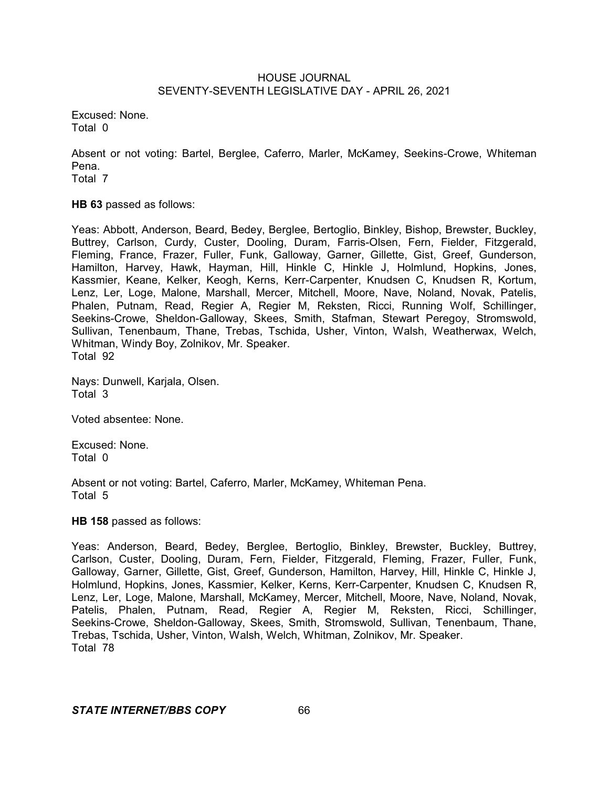Excused: None. Total 0

Absent or not voting: Bartel, Berglee, Caferro, Marler, McKamey, Seekins-Crowe, Whiteman Pena. Total 7

**HB 63** passed as follows:

Yeas: Abbott, Anderson, Beard, Bedey, Berglee, Bertoglio, Binkley, Bishop, Brewster, Buckley, Buttrey, Carlson, Curdy, Custer, Dooling, Duram, Farris-Olsen, Fern, Fielder, Fitzgerald, Fleming, France, Frazer, Fuller, Funk, Galloway, Garner, Gillette, Gist, Greef, Gunderson, Hamilton, Harvey, Hawk, Hayman, Hill, Hinkle C, Hinkle J, Holmlund, Hopkins, Jones, Kassmier, Keane, Kelker, Keogh, Kerns, Kerr-Carpenter, Knudsen C, Knudsen R, Kortum, Lenz, Ler, Loge, Malone, Marshall, Mercer, Mitchell, Moore, Nave, Noland, Novak, Patelis, Phalen, Putnam, Read, Regier A, Regier M, Reksten, Ricci, Running Wolf, Schillinger, Seekins-Crowe, Sheldon-Galloway, Skees, Smith, Stafman, Stewart Peregoy, Stromswold, Sullivan, Tenenbaum, Thane, Trebas, Tschida, Usher, Vinton, Walsh, Weatherwax, Welch, Whitman, Windy Boy, Zolnikov, Mr. Speaker. Total 92

Nays: Dunwell, Karjala, Olsen. Total 3

Voted absentee: None.

Excused: None. Total 0

Absent or not voting: Bartel, Caferro, Marler, McKamey, Whiteman Pena. Total 5

#### **HB 158** passed as follows:

Yeas: Anderson, Beard, Bedey, Berglee, Bertoglio, Binkley, Brewster, Buckley, Buttrey, Carlson, Custer, Dooling, Duram, Fern, Fielder, Fitzgerald, Fleming, Frazer, Fuller, Funk, Galloway, Garner, Gillette, Gist, Greef, Gunderson, Hamilton, Harvey, Hill, Hinkle C, Hinkle J, Holmlund, Hopkins, Jones, Kassmier, Kelker, Kerns, Kerr-Carpenter, Knudsen C, Knudsen R, Lenz, Ler, Loge, Malone, Marshall, McKamey, Mercer, Mitchell, Moore, Nave, Noland, Novak, Patelis, Phalen, Putnam, Read, Regier A, Regier M, Reksten, Ricci, Schillinger, Seekins-Crowe, Sheldon-Galloway, Skees, Smith, Stromswold, Sullivan, Tenenbaum, Thane, Trebas, Tschida, Usher, Vinton, Walsh, Welch, Whitman, Zolnikov, Mr. Speaker. Total 78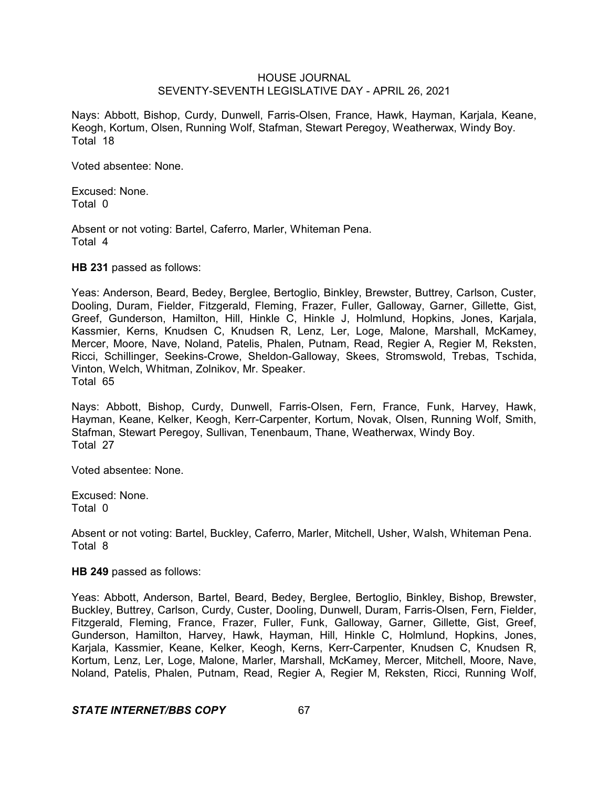Nays: Abbott, Bishop, Curdy, Dunwell, Farris-Olsen, France, Hawk, Hayman, Karjala, Keane, Keogh, Kortum, Olsen, Running Wolf, Stafman, Stewart Peregoy, Weatherwax, Windy Boy. Total 18

Voted absentee: None.

Excused: None. Total 0

Absent or not voting: Bartel, Caferro, Marler, Whiteman Pena. Total 4

**HB 231** passed as follows:

Yeas: Anderson, Beard, Bedey, Berglee, Bertoglio, Binkley, Brewster, Buttrey, Carlson, Custer, Dooling, Duram, Fielder, Fitzgerald, Fleming, Frazer, Fuller, Galloway, Garner, Gillette, Gist, Greef, Gunderson, Hamilton, Hill, Hinkle C, Hinkle J, Holmlund, Hopkins, Jones, Karjala, Kassmier, Kerns, Knudsen C, Knudsen R, Lenz, Ler, Loge, Malone, Marshall, McKamey, Mercer, Moore, Nave, Noland, Patelis, Phalen, Putnam, Read, Regier A, Regier M, Reksten, Ricci, Schillinger, Seekins-Crowe, Sheldon-Galloway, Skees, Stromswold, Trebas, Tschida, Vinton, Welch, Whitman, Zolnikov, Mr. Speaker. Total 65

Nays: Abbott, Bishop, Curdy, Dunwell, Farris-Olsen, Fern, France, Funk, Harvey, Hawk, Hayman, Keane, Kelker, Keogh, Kerr-Carpenter, Kortum, Novak, Olsen, Running Wolf, Smith, Stafman, Stewart Peregoy, Sullivan, Tenenbaum, Thane, Weatherwax, Windy Boy. Total 27

Voted absentee: None.

Excused: None. Total 0

Absent or not voting: Bartel, Buckley, Caferro, Marler, Mitchell, Usher, Walsh, Whiteman Pena. Total 8

#### **HB 249** passed as follows:

Yeas: Abbott, Anderson, Bartel, Beard, Bedey, Berglee, Bertoglio, Binkley, Bishop, Brewster, Buckley, Buttrey, Carlson, Curdy, Custer, Dooling, Dunwell, Duram, Farris-Olsen, Fern, Fielder, Fitzgerald, Fleming, France, Frazer, Fuller, Funk, Galloway, Garner, Gillette, Gist, Greef, Gunderson, Hamilton, Harvey, Hawk, Hayman, Hill, Hinkle C, Holmlund, Hopkins, Jones, Karjala, Kassmier, Keane, Kelker, Keogh, Kerns, Kerr-Carpenter, Knudsen C, Knudsen R, Kortum, Lenz, Ler, Loge, Malone, Marler, Marshall, McKamey, Mercer, Mitchell, Moore, Nave, Noland, Patelis, Phalen, Putnam, Read, Regier A, Regier M, Reksten, Ricci, Running Wolf,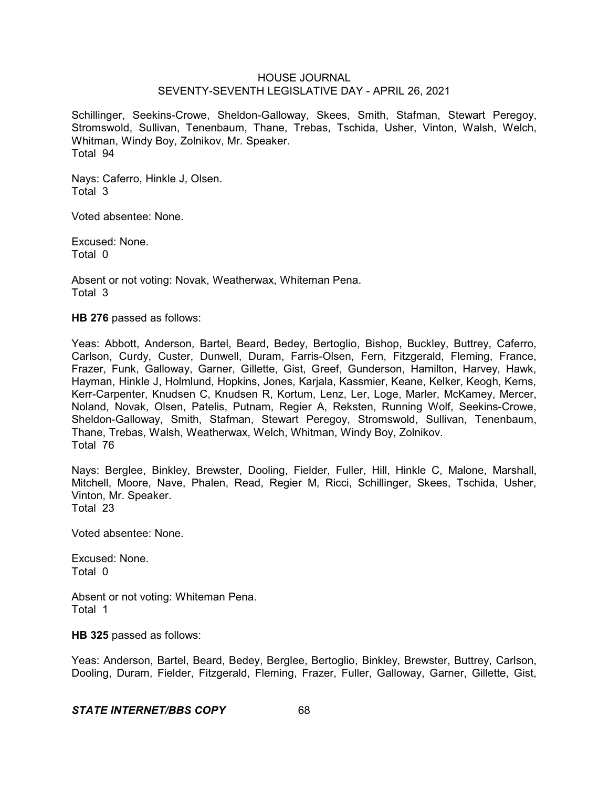Schillinger, Seekins-Crowe, Sheldon-Galloway, Skees, Smith, Stafman, Stewart Peregoy, Stromswold, Sullivan, Tenenbaum, Thane, Trebas, Tschida, Usher, Vinton, Walsh, Welch, Whitman, Windy Boy, Zolnikov, Mr. Speaker. Total 94

Nays: Caferro, Hinkle J, Olsen. Total 3

Voted absentee: None.

Excused: None. Total 0

Absent or not voting: Novak, Weatherwax, Whiteman Pena. Total 3

**HB 276** passed as follows:

Yeas: Abbott, Anderson, Bartel, Beard, Bedey, Bertoglio, Bishop, Buckley, Buttrey, Caferro, Carlson, Curdy, Custer, Dunwell, Duram, Farris-Olsen, Fern, Fitzgerald, Fleming, France, Frazer, Funk, Galloway, Garner, Gillette, Gist, Greef, Gunderson, Hamilton, Harvey, Hawk, Hayman, Hinkle J, Holmlund, Hopkins, Jones, Karjala, Kassmier, Keane, Kelker, Keogh, Kerns, Kerr-Carpenter, Knudsen C, Knudsen R, Kortum, Lenz, Ler, Loge, Marler, McKamey, Mercer, Noland, Novak, Olsen, Patelis, Putnam, Regier A, Reksten, Running Wolf, Seekins-Crowe, Sheldon-Galloway, Smith, Stafman, Stewart Peregoy, Stromswold, Sullivan, Tenenbaum, Thane, Trebas, Walsh, Weatherwax, Welch, Whitman, Windy Boy, Zolnikov. Total 76

Nays: Berglee, Binkley, Brewster, Dooling, Fielder, Fuller, Hill, Hinkle C, Malone, Marshall, Mitchell, Moore, Nave, Phalen, Read, Regier M, Ricci, Schillinger, Skees, Tschida, Usher, Vinton, Mr. Speaker. Total 23

Voted absentee: None.

Excused: None. Total 0

Absent or not voting: Whiteman Pena. Total 1

**HB 325** passed as follows:

Yeas: Anderson, Bartel, Beard, Bedey, Berglee, Bertoglio, Binkley, Brewster, Buttrey, Carlson, Dooling, Duram, Fielder, Fitzgerald, Fleming, Frazer, Fuller, Galloway, Garner, Gillette, Gist,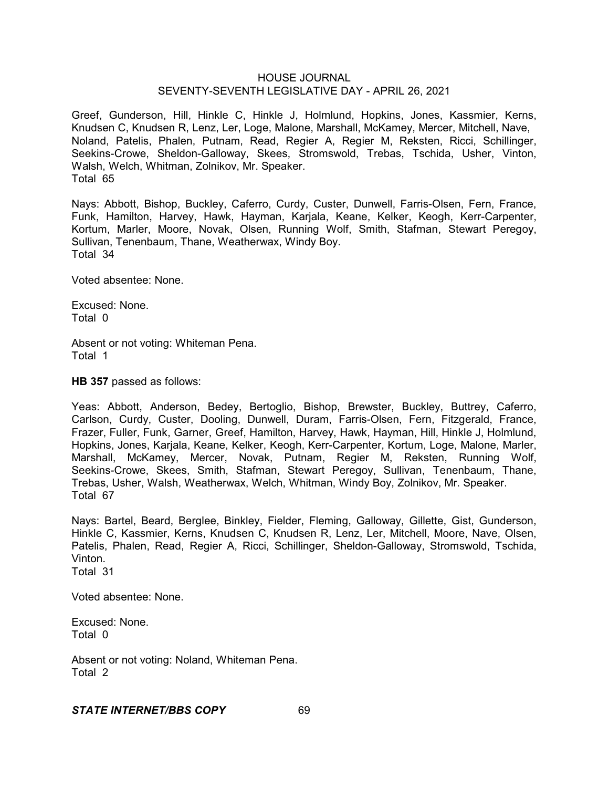Greef, Gunderson, Hill, Hinkle C, Hinkle J, Holmlund, Hopkins, Jones, Kassmier, Kerns, Knudsen C, Knudsen R, Lenz, Ler, Loge, Malone, Marshall, McKamey, Mercer, Mitchell, Nave, Noland, Patelis, Phalen, Putnam, Read, Regier A, Regier M, Reksten, Ricci, Schillinger, Seekins-Crowe, Sheldon-Galloway, Skees, Stromswold, Trebas, Tschida, Usher, Vinton, Walsh, Welch, Whitman, Zolnikov, Mr. Speaker. Total 65

Nays: Abbott, Bishop, Buckley, Caferro, Curdy, Custer, Dunwell, Farris-Olsen, Fern, France, Funk, Hamilton, Harvey, Hawk, Hayman, Karjala, Keane, Kelker, Keogh, Kerr-Carpenter, Kortum, Marler, Moore, Novak, Olsen, Running Wolf, Smith, Stafman, Stewart Peregoy, Sullivan, Tenenbaum, Thane, Weatherwax, Windy Boy. Total 34

Voted absentee: None.

Excused: None. Total 0

Absent or not voting: Whiteman Pena. Total 1

**HB 357** passed as follows:

Yeas: Abbott, Anderson, Bedey, Bertoglio, Bishop, Brewster, Buckley, Buttrey, Caferro, Carlson, Curdy, Custer, Dooling, Dunwell, Duram, Farris-Olsen, Fern, Fitzgerald, France, Frazer, Fuller, Funk, Garner, Greef, Hamilton, Harvey, Hawk, Hayman, Hill, Hinkle J, Holmlund, Hopkins, Jones, Karjala, Keane, Kelker, Keogh, Kerr-Carpenter, Kortum, Loge, Malone, Marler, Marshall, McKamey, Mercer, Novak, Putnam, Regier M, Reksten, Running Wolf, Seekins-Crowe, Skees, Smith, Stafman, Stewart Peregoy, Sullivan, Tenenbaum, Thane, Trebas, Usher, Walsh, Weatherwax, Welch, Whitman, Windy Boy, Zolnikov, Mr. Speaker. Total 67

Nays: Bartel, Beard, Berglee, Binkley, Fielder, Fleming, Galloway, Gillette, Gist, Gunderson, Hinkle C, Kassmier, Kerns, Knudsen C, Knudsen R, Lenz, Ler, Mitchell, Moore, Nave, Olsen, Patelis, Phalen, Read, Regier A, Ricci, Schillinger, Sheldon-Galloway, Stromswold, Tschida, Vinton. Total 31

Voted absentee: None.

Excused: None. Total 0

Absent or not voting: Noland, Whiteman Pena. Total 2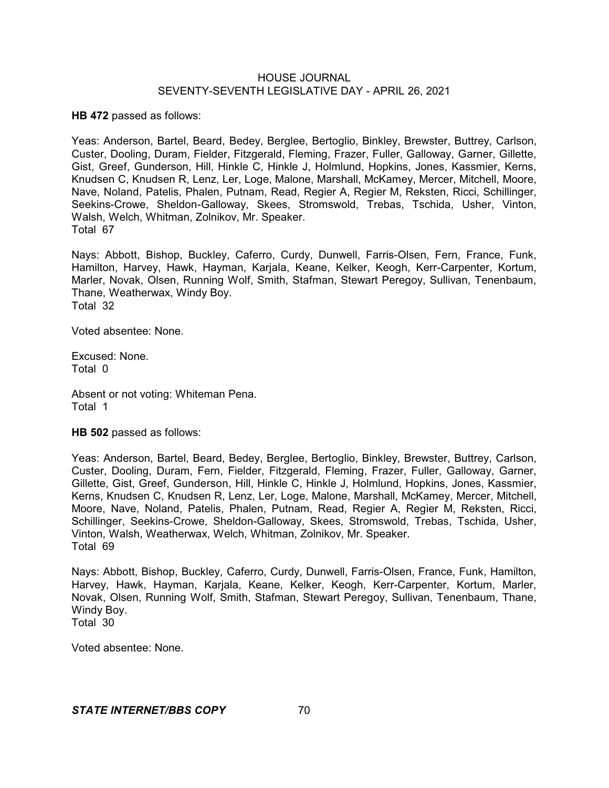**HB 472** passed as follows:

Yeas: Anderson, Bartel, Beard, Bedey, Berglee, Bertoglio, Binkley, Brewster, Buttrey, Carlson, Custer, Dooling, Duram, Fielder, Fitzgerald, Fleming, Frazer, Fuller, Galloway, Garner, Gillette, Gist, Greef, Gunderson, Hill, Hinkle C, Hinkle J, Holmlund, Hopkins, Jones, Kassmier, Kerns, Knudsen C, Knudsen R, Lenz, Ler, Loge, Malone, Marshall, McKamey, Mercer, Mitchell, Moore, Nave, Noland, Patelis, Phalen, Putnam, Read, Regier A, Regier M, Reksten, Ricci, Schillinger, Seekins-Crowe, Sheldon-Galloway, Skees, Stromswold, Trebas, Tschida, Usher, Vinton, Walsh, Welch, Whitman, Zolnikov, Mr. Speaker. Total 67

Nays: Abbott, Bishop, Buckley, Caferro, Curdy, Dunwell, Farris-Olsen, Fern, France, Funk, Hamilton, Harvey, Hawk, Hayman, Karjala, Keane, Kelker, Keogh, Kerr-Carpenter, Kortum, Marler, Novak, Olsen, Running Wolf, Smith, Stafman, Stewart Peregoy, Sullivan, Tenenbaum, Thane, Weatherwax, Windy Boy. Total 32

Voted absentee: None.

Excused: None. Total 0

Absent or not voting: Whiteman Pena. Total 1

**HB 502** passed as follows:

Yeas: Anderson, Bartel, Beard, Bedey, Berglee, Bertoglio, Binkley, Brewster, Buttrey, Carlson, Custer, Dooling, Duram, Fern, Fielder, Fitzgerald, Fleming, Frazer, Fuller, Galloway, Garner, Gillette, Gist, Greef, Gunderson, Hill, Hinkle C, Hinkle J, Holmlund, Hopkins, Jones, Kassmier, Kerns, Knudsen C, Knudsen R, Lenz, Ler, Loge, Malone, Marshall, McKamey, Mercer, Mitchell, Moore, Nave, Noland, Patelis, Phalen, Putnam, Read, Regier A, Regier M, Reksten, Ricci, Schillinger, Seekins-Crowe, Sheldon-Galloway, Skees, Stromswold, Trebas, Tschida, Usher, Vinton, Walsh, Weatherwax, Welch, Whitman, Zolnikov, Mr. Speaker. Total 69

Nays: Abbott, Bishop, Buckley, Caferro, Curdy, Dunwell, Farris-Olsen, France, Funk, Hamilton, Harvey, Hawk, Hayman, Karjala, Keane, Kelker, Keogh, Kerr-Carpenter, Kortum, Marler, Novak, Olsen, Running Wolf, Smith, Stafman, Stewart Peregoy, Sullivan, Tenenbaum, Thane, Windy Boy. Total 30

Voted absentee: None.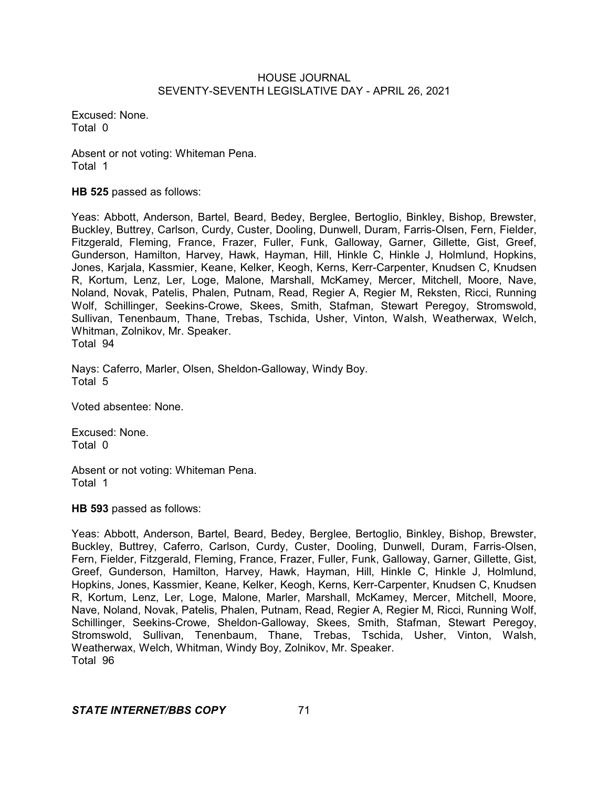Excused: None. Total 0

Absent or not voting: Whiteman Pena. Total 1

**HB 525** passed as follows:

Yeas: Abbott, Anderson, Bartel, Beard, Bedey, Berglee, Bertoglio, Binkley, Bishop, Brewster, Buckley, Buttrey, Carlson, Curdy, Custer, Dooling, Dunwell, Duram, Farris-Olsen, Fern, Fielder, Fitzgerald, Fleming, France, Frazer, Fuller, Funk, Galloway, Garner, Gillette, Gist, Greef, Gunderson, Hamilton, Harvey, Hawk, Hayman, Hill, Hinkle C, Hinkle J, Holmlund, Hopkins, Jones, Karjala, Kassmier, Keane, Kelker, Keogh, Kerns, Kerr-Carpenter, Knudsen C, Knudsen R, Kortum, Lenz, Ler, Loge, Malone, Marshall, McKamey, Mercer, Mitchell, Moore, Nave, Noland, Novak, Patelis, Phalen, Putnam, Read, Regier A, Regier M, Reksten, Ricci, Running Wolf, Schillinger, Seekins-Crowe, Skees, Smith, Stafman, Stewart Peregoy, Stromswold, Sullivan, Tenenbaum, Thane, Trebas, Tschida, Usher, Vinton, Walsh, Weatherwax, Welch, Whitman, Zolnikov, Mr. Speaker. Total 94

Nays: Caferro, Marler, Olsen, Sheldon-Galloway, Windy Boy. Total 5

Voted absentee: None.

Excused: None. Total 0

Absent or not voting: Whiteman Pena. Total 1

**HB 593** passed as follows:

Yeas: Abbott, Anderson, Bartel, Beard, Bedey, Berglee, Bertoglio, Binkley, Bishop, Brewster, Buckley, Buttrey, Caferro, Carlson, Curdy, Custer, Dooling, Dunwell, Duram, Farris-Olsen, Fern, Fielder, Fitzgerald, Fleming, France, Frazer, Fuller, Funk, Galloway, Garner, Gillette, Gist, Greef, Gunderson, Hamilton, Harvey, Hawk, Hayman, Hill, Hinkle C, Hinkle J, Holmlund, Hopkins, Jones, Kassmier, Keane, Kelker, Keogh, Kerns, Kerr-Carpenter, Knudsen C, Knudsen R, Kortum, Lenz, Ler, Loge, Malone, Marler, Marshall, McKamey, Mercer, Mitchell, Moore, Nave, Noland, Novak, Patelis, Phalen, Putnam, Read, Regier A, Regier M, Ricci, Running Wolf, Schillinger, Seekins-Crowe, Sheldon-Galloway, Skees, Smith, Stafman, Stewart Peregoy, Stromswold, Sullivan, Tenenbaum, Thane, Trebas, Tschida, Usher, Vinton, Walsh, Weatherwax, Welch, Whitman, Windy Boy, Zolnikov, Mr. Speaker. Total 96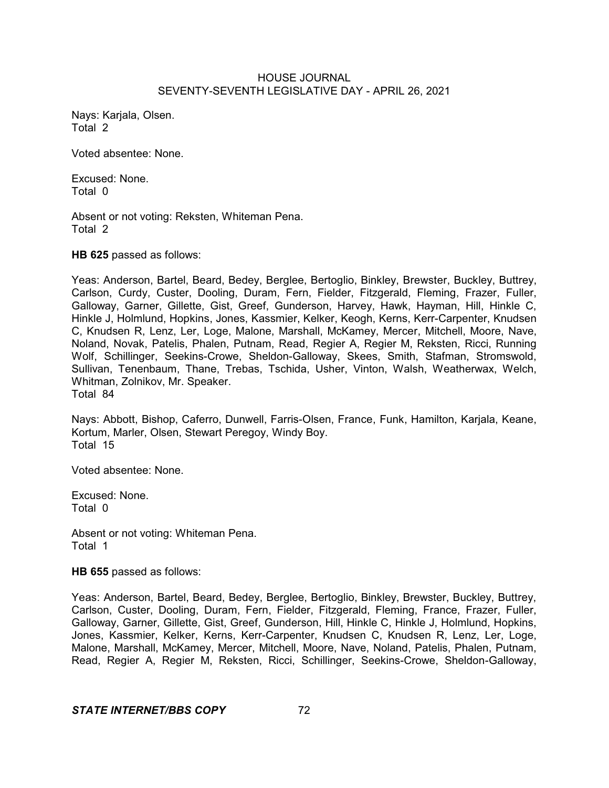Nays: Karjala, Olsen. Total 2

Voted absentee: None.

Excused: None. Total 0

Absent or not voting: Reksten, Whiteman Pena. Total 2

**HB 625** passed as follows:

Yeas: Anderson, Bartel, Beard, Bedey, Berglee, Bertoglio, Binkley, Brewster, Buckley, Buttrey, Carlson, Curdy, Custer, Dooling, Duram, Fern, Fielder, Fitzgerald, Fleming, Frazer, Fuller, Galloway, Garner, Gillette, Gist, Greef, Gunderson, Harvey, Hawk, Hayman, Hill, Hinkle C, Hinkle J, Holmlund, Hopkins, Jones, Kassmier, Kelker, Keogh, Kerns, Kerr-Carpenter, Knudsen C, Knudsen R, Lenz, Ler, Loge, Malone, Marshall, McKamey, Mercer, Mitchell, Moore, Nave, Noland, Novak, Patelis, Phalen, Putnam, Read, Regier A, Regier M, Reksten, Ricci, Running Wolf, Schillinger, Seekins-Crowe, Sheldon-Galloway, Skees, Smith, Stafman, Stromswold, Sullivan, Tenenbaum, Thane, Trebas, Tschida, Usher, Vinton, Walsh, Weatherwax, Welch, Whitman, Zolnikov, Mr. Speaker. Total 84

Nays: Abbott, Bishop, Caferro, Dunwell, Farris-Olsen, France, Funk, Hamilton, Karjala, Keane, Kortum, Marler, Olsen, Stewart Peregoy, Windy Boy. Total 15

Voted absentee: None.

Excused: None. Total 0

Absent or not voting: Whiteman Pena. Total 1

**HB 655** passed as follows:

Yeas: Anderson, Bartel, Beard, Bedey, Berglee, Bertoglio, Binkley, Brewster, Buckley, Buttrey, Carlson, Custer, Dooling, Duram, Fern, Fielder, Fitzgerald, Fleming, France, Frazer, Fuller, Galloway, Garner, Gillette, Gist, Greef, Gunderson, Hill, Hinkle C, Hinkle J, Holmlund, Hopkins, Jones, Kassmier, Kelker, Kerns, Kerr-Carpenter, Knudsen C, Knudsen R, Lenz, Ler, Loge, Malone, Marshall, McKamey, Mercer, Mitchell, Moore, Nave, Noland, Patelis, Phalen, Putnam, Read, Regier A, Regier M, Reksten, Ricci, Schillinger, Seekins-Crowe, Sheldon-Galloway,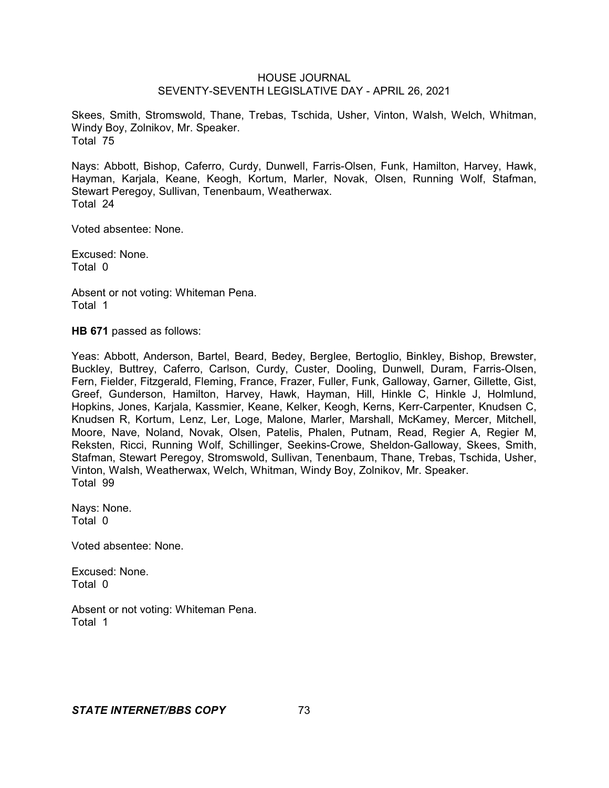Skees, Smith, Stromswold, Thane, Trebas, Tschida, Usher, Vinton, Walsh, Welch, Whitman, Windy Boy, Zolnikov, Mr. Speaker. Total 75

Nays: Abbott, Bishop, Caferro, Curdy, Dunwell, Farris-Olsen, Funk, Hamilton, Harvey, Hawk, Hayman, Karjala, Keane, Keogh, Kortum, Marler, Novak, Olsen, Running Wolf, Stafman, Stewart Peregoy, Sullivan, Tenenbaum, Weatherwax. Total 24

Voted absentee: None.

Excused: None. Total 0

Absent or not voting: Whiteman Pena. Total 1

**HB 671** passed as follows:

Yeas: Abbott, Anderson, Bartel, Beard, Bedey, Berglee, Bertoglio, Binkley, Bishop, Brewster, Buckley, Buttrey, Caferro, Carlson, Curdy, Custer, Dooling, Dunwell, Duram, Farris-Olsen, Fern, Fielder, Fitzgerald, Fleming, France, Frazer, Fuller, Funk, Galloway, Garner, Gillette, Gist, Greef, Gunderson, Hamilton, Harvey, Hawk, Hayman, Hill, Hinkle C, Hinkle J, Holmlund, Hopkins, Jones, Karjala, Kassmier, Keane, Kelker, Keogh, Kerns, Kerr-Carpenter, Knudsen C, Knudsen R, Kortum, Lenz, Ler, Loge, Malone, Marler, Marshall, McKamey, Mercer, Mitchell, Moore, Nave, Noland, Novak, Olsen, Patelis, Phalen, Putnam, Read, Regier A, Regier M, Reksten, Ricci, Running Wolf, Schillinger, Seekins-Crowe, Sheldon-Galloway, Skees, Smith, Stafman, Stewart Peregoy, Stromswold, Sullivan, Tenenbaum, Thane, Trebas, Tschida, Usher, Vinton, Walsh, Weatherwax, Welch, Whitman, Windy Boy, Zolnikov, Mr. Speaker. Total 99

Nays: None. Total 0

Voted absentee: None.

Excused: None. Total 0

Absent or not voting: Whiteman Pena. Total 1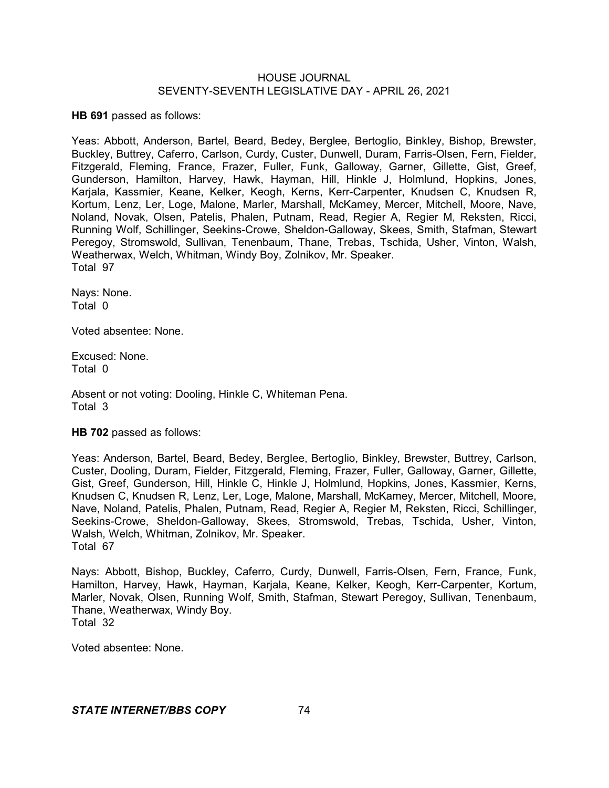**HB 691** passed as follows:

Yeas: Abbott, Anderson, Bartel, Beard, Bedey, Berglee, Bertoglio, Binkley, Bishop, Brewster, Buckley, Buttrey, Caferro, Carlson, Curdy, Custer, Dunwell, Duram, Farris-Olsen, Fern, Fielder, Fitzgerald, Fleming, France, Frazer, Fuller, Funk, Galloway, Garner, Gillette, Gist, Greef, Gunderson, Hamilton, Harvey, Hawk, Hayman, Hill, Hinkle J, Holmlund, Hopkins, Jones, Karjala, Kassmier, Keane, Kelker, Keogh, Kerns, Kerr-Carpenter, Knudsen C, Knudsen R, Kortum, Lenz, Ler, Loge, Malone, Marler, Marshall, McKamey, Mercer, Mitchell, Moore, Nave, Noland, Novak, Olsen, Patelis, Phalen, Putnam, Read, Regier A, Regier M, Reksten, Ricci, Running Wolf, Schillinger, Seekins-Crowe, Sheldon-Galloway, Skees, Smith, Stafman, Stewart Peregoy, Stromswold, Sullivan, Tenenbaum, Thane, Trebas, Tschida, Usher, Vinton, Walsh, Weatherwax, Welch, Whitman, Windy Boy, Zolnikov, Mr. Speaker. Total 97

Nays: None. Total 0

Voted absentee: None.

Excused: None. Total 0

Absent or not voting: Dooling, Hinkle C, Whiteman Pena. Total 3

**HB 702** passed as follows:

Yeas: Anderson, Bartel, Beard, Bedey, Berglee, Bertoglio, Binkley, Brewster, Buttrey, Carlson, Custer, Dooling, Duram, Fielder, Fitzgerald, Fleming, Frazer, Fuller, Galloway, Garner, Gillette, Gist, Greef, Gunderson, Hill, Hinkle C, Hinkle J, Holmlund, Hopkins, Jones, Kassmier, Kerns, Knudsen C, Knudsen R, Lenz, Ler, Loge, Malone, Marshall, McKamey, Mercer, Mitchell, Moore, Nave, Noland, Patelis, Phalen, Putnam, Read, Regier A, Regier M, Reksten, Ricci, Schillinger, Seekins-Crowe, Sheldon-Galloway, Skees, Stromswold, Trebas, Tschida, Usher, Vinton, Walsh, Welch, Whitman, Zolnikov, Mr. Speaker. Total 67

Nays: Abbott, Bishop, Buckley, Caferro, Curdy, Dunwell, Farris-Olsen, Fern, France, Funk, Hamilton, Harvey, Hawk, Hayman, Karjala, Keane, Kelker, Keogh, Kerr-Carpenter, Kortum, Marler, Novak, Olsen, Running Wolf, Smith, Stafman, Stewart Peregoy, Sullivan, Tenenbaum, Thane, Weatherwax, Windy Boy. Total 32

Voted absentee: None.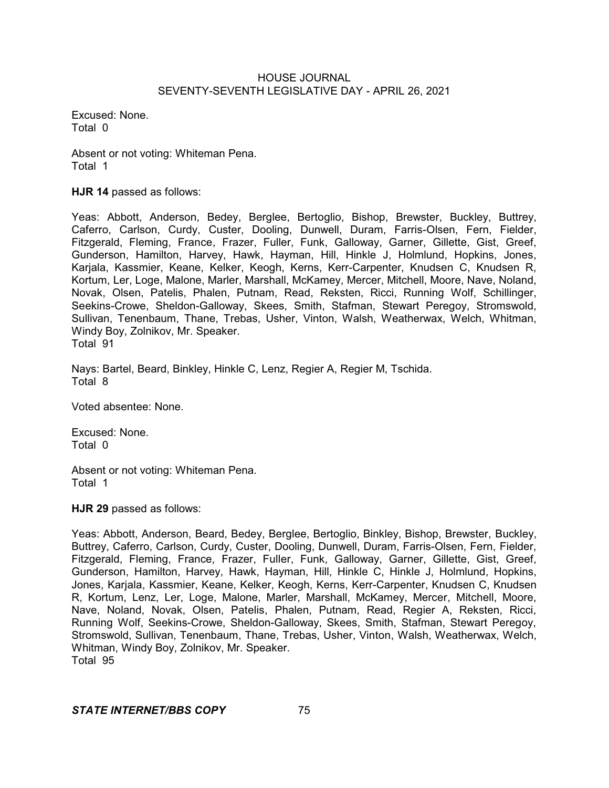Excused: None. Total 0

Absent or not voting: Whiteman Pena. Total 1

**HJR 14** passed as follows:

Yeas: Abbott, Anderson, Bedey, Berglee, Bertoglio, Bishop, Brewster, Buckley, Buttrey, Caferro, Carlson, Curdy, Custer, Dooling, Dunwell, Duram, Farris-Olsen, Fern, Fielder, Fitzgerald, Fleming, France, Frazer, Fuller, Funk, Galloway, Garner, Gillette, Gist, Greef, Gunderson, Hamilton, Harvey, Hawk, Hayman, Hill, Hinkle J, Holmlund, Hopkins, Jones, Karjala, Kassmier, Keane, Kelker, Keogh, Kerns, Kerr-Carpenter, Knudsen C, Knudsen R, Kortum, Ler, Loge, Malone, Marler, Marshall, McKamey, Mercer, Mitchell, Moore, Nave, Noland, Novak, Olsen, Patelis, Phalen, Putnam, Read, Reksten, Ricci, Running Wolf, Schillinger, Seekins-Crowe, Sheldon-Galloway, Skees, Smith, Stafman, Stewart Peregoy, Stromswold, Sullivan, Tenenbaum, Thane, Trebas, Usher, Vinton, Walsh, Weatherwax, Welch, Whitman, Windy Boy, Zolnikov, Mr. Speaker. Total 91

Nays: Bartel, Beard, Binkley, Hinkle C, Lenz, Regier A, Regier M, Tschida. Total 8

Voted absentee: None.

Excused: None. Total 0

Absent or not voting: Whiteman Pena. Total 1

**HJR 29** passed as follows:

Yeas: Abbott, Anderson, Beard, Bedey, Berglee, Bertoglio, Binkley, Bishop, Brewster, Buckley, Buttrey, Caferro, Carlson, Curdy, Custer, Dooling, Dunwell, Duram, Farris-Olsen, Fern, Fielder, Fitzgerald, Fleming, France, Frazer, Fuller, Funk, Galloway, Garner, Gillette, Gist, Greef, Gunderson, Hamilton, Harvey, Hawk, Hayman, Hill, Hinkle C, Hinkle J, Holmlund, Hopkins, Jones, Karjala, Kassmier, Keane, Kelker, Keogh, Kerns, Kerr-Carpenter, Knudsen C, Knudsen R, Kortum, Lenz, Ler, Loge, Malone, Marler, Marshall, McKamey, Mercer, Mitchell, Moore, Nave, Noland, Novak, Olsen, Patelis, Phalen, Putnam, Read, Regier A, Reksten, Ricci, Running Wolf, Seekins-Crowe, Sheldon-Galloway, Skees, Smith, Stafman, Stewart Peregoy, Stromswold, Sullivan, Tenenbaum, Thane, Trebas, Usher, Vinton, Walsh, Weatherwax, Welch, Whitman, Windy Boy, Zolnikov, Mr. Speaker. Total 95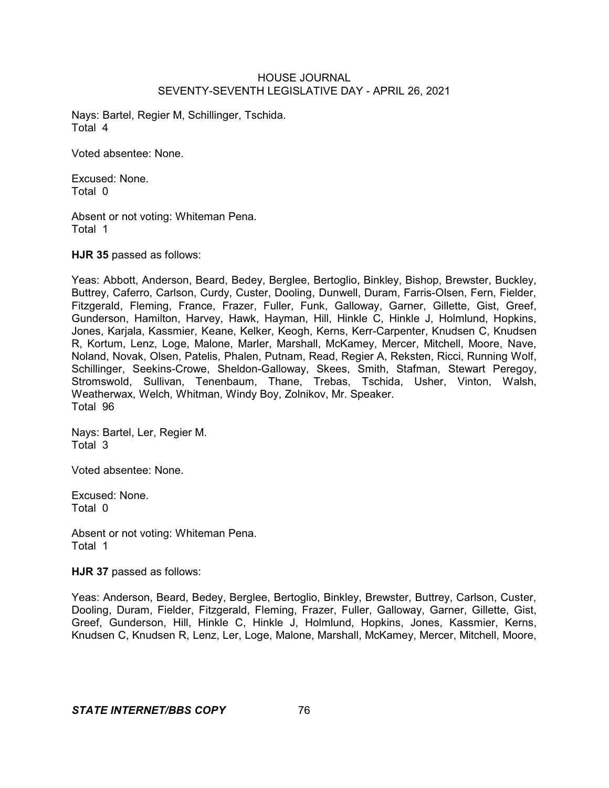Nays: Bartel, Regier M, Schillinger, Tschida. Total 4

Voted absentee: None.

Excused: None. Total 0

Absent or not voting: Whiteman Pena. Total 1

**HJR 35** passed as follows:

Yeas: Abbott, Anderson, Beard, Bedey, Berglee, Bertoglio, Binkley, Bishop, Brewster, Buckley, Buttrey, Caferro, Carlson, Curdy, Custer, Dooling, Dunwell, Duram, Farris-Olsen, Fern, Fielder, Fitzgerald, Fleming, France, Frazer, Fuller, Funk, Galloway, Garner, Gillette, Gist, Greef, Gunderson, Hamilton, Harvey, Hawk, Hayman, Hill, Hinkle C, Hinkle J, Holmlund, Hopkins, Jones, Karjala, Kassmier, Keane, Kelker, Keogh, Kerns, Kerr-Carpenter, Knudsen C, Knudsen R, Kortum, Lenz, Loge, Malone, Marler, Marshall, McKamey, Mercer, Mitchell, Moore, Nave, Noland, Novak, Olsen, Patelis, Phalen, Putnam, Read, Regier A, Reksten, Ricci, Running Wolf, Schillinger, Seekins-Crowe, Sheldon-Galloway, Skees, Smith, Stafman, Stewart Peregoy, Stromswold, Sullivan, Tenenbaum, Thane, Trebas, Tschida, Usher, Vinton, Walsh, Weatherwax, Welch, Whitman, Windy Boy, Zolnikov, Mr. Speaker. Total 96

Nays: Bartel, Ler, Regier M. Total 3

Voted absentee: None.

Excused: None. Total 0

Absent or not voting: Whiteman Pena. Total 1

**HJR 37** passed as follows:

Yeas: Anderson, Beard, Bedey, Berglee, Bertoglio, Binkley, Brewster, Buttrey, Carlson, Custer, Dooling, Duram, Fielder, Fitzgerald, Fleming, Frazer, Fuller, Galloway, Garner, Gillette, Gist, Greef, Gunderson, Hill, Hinkle C, Hinkle J, Holmlund, Hopkins, Jones, Kassmier, Kerns, Knudsen C, Knudsen R, Lenz, Ler, Loge, Malone, Marshall, McKamey, Mercer, Mitchell, Moore,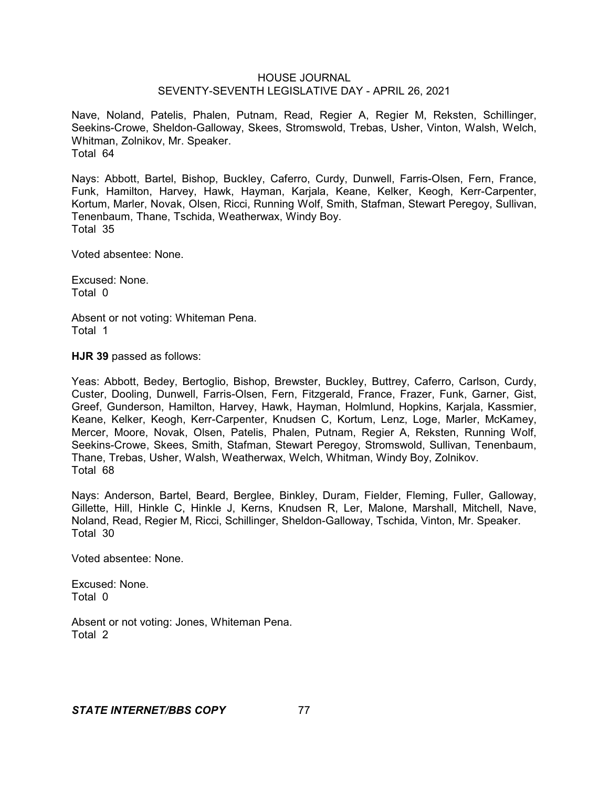Nave, Noland, Patelis, Phalen, Putnam, Read, Regier A, Regier M, Reksten, Schillinger, Seekins-Crowe, Sheldon-Galloway, Skees, Stromswold, Trebas, Usher, Vinton, Walsh, Welch, Whitman, Zolnikov, Mr. Speaker. Total 64

Nays: Abbott, Bartel, Bishop, Buckley, Caferro, Curdy, Dunwell, Farris-Olsen, Fern, France, Funk, Hamilton, Harvey, Hawk, Hayman, Karjala, Keane, Kelker, Keogh, Kerr-Carpenter, Kortum, Marler, Novak, Olsen, Ricci, Running Wolf, Smith, Stafman, Stewart Peregoy, Sullivan, Tenenbaum, Thane, Tschida, Weatherwax, Windy Boy. Total 35

Voted absentee: None.

Excused: None. Total 0

Absent or not voting: Whiteman Pena. Total 1

**HJR 39** passed as follows:

Yeas: Abbott, Bedey, Bertoglio, Bishop, Brewster, Buckley, Buttrey, Caferro, Carlson, Curdy, Custer, Dooling, Dunwell, Farris-Olsen, Fern, Fitzgerald, France, Frazer, Funk, Garner, Gist, Greef, Gunderson, Hamilton, Harvey, Hawk, Hayman, Holmlund, Hopkins, Karjala, Kassmier, Keane, Kelker, Keogh, Kerr-Carpenter, Knudsen C, Kortum, Lenz, Loge, Marler, McKamey, Mercer, Moore, Novak, Olsen, Patelis, Phalen, Putnam, Regier A, Reksten, Running Wolf, Seekins-Crowe, Skees, Smith, Stafman, Stewart Peregoy, Stromswold, Sullivan, Tenenbaum, Thane, Trebas, Usher, Walsh, Weatherwax, Welch, Whitman, Windy Boy, Zolnikov. Total 68

Nays: Anderson, Bartel, Beard, Berglee, Binkley, Duram, Fielder, Fleming, Fuller, Galloway, Gillette, Hill, Hinkle C, Hinkle J, Kerns, Knudsen R, Ler, Malone, Marshall, Mitchell, Nave, Noland, Read, Regier M, Ricci, Schillinger, Sheldon-Galloway, Tschida, Vinton, Mr. Speaker. Total 30

Voted absentee: None.

Excused: None. Total 0

Absent or not voting: Jones, Whiteman Pena. Total 2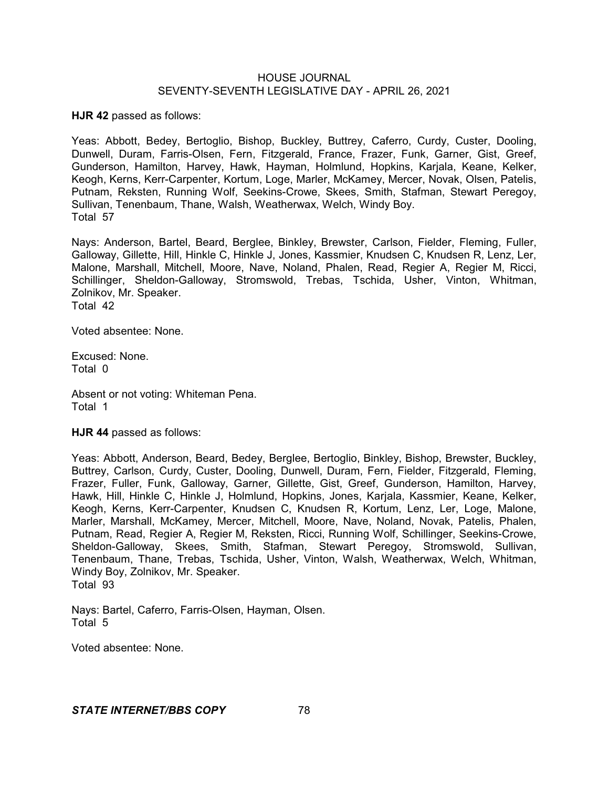**HJR 42** passed as follows:

Yeas: Abbott, Bedey, Bertoglio, Bishop, Buckley, Buttrey, Caferro, Curdy, Custer, Dooling, Dunwell, Duram, Farris-Olsen, Fern, Fitzgerald, France, Frazer, Funk, Garner, Gist, Greef, Gunderson, Hamilton, Harvey, Hawk, Hayman, Holmlund, Hopkins, Karjala, Keane, Kelker, Keogh, Kerns, Kerr-Carpenter, Kortum, Loge, Marler, McKamey, Mercer, Novak, Olsen, Patelis, Putnam, Reksten, Running Wolf, Seekins-Crowe, Skees, Smith, Stafman, Stewart Peregoy, Sullivan, Tenenbaum, Thane, Walsh, Weatherwax, Welch, Windy Boy. Total 57

Nays: Anderson, Bartel, Beard, Berglee, Binkley, Brewster, Carlson, Fielder, Fleming, Fuller, Galloway, Gillette, Hill, Hinkle C, Hinkle J, Jones, Kassmier, Knudsen C, Knudsen R, Lenz, Ler, Malone, Marshall, Mitchell, Moore, Nave, Noland, Phalen, Read, Regier A, Regier M, Ricci, Schillinger, Sheldon-Galloway, Stromswold, Trebas, Tschida, Usher, Vinton, Whitman, Zolnikov, Mr. Speaker. Total 42

Voted absentee: None.

Excused: None. Total 0

Absent or not voting: Whiteman Pena. Total 1

**HJR 44** passed as follows:

Yeas: Abbott, Anderson, Beard, Bedey, Berglee, Bertoglio, Binkley, Bishop, Brewster, Buckley, Buttrey, Carlson, Curdy, Custer, Dooling, Dunwell, Duram, Fern, Fielder, Fitzgerald, Fleming, Frazer, Fuller, Funk, Galloway, Garner, Gillette, Gist, Greef, Gunderson, Hamilton, Harvey, Hawk, Hill, Hinkle C, Hinkle J, Holmlund, Hopkins, Jones, Karjala, Kassmier, Keane, Kelker, Keogh, Kerns, Kerr-Carpenter, Knudsen C, Knudsen R, Kortum, Lenz, Ler, Loge, Malone, Marler, Marshall, McKamey, Mercer, Mitchell, Moore, Nave, Noland, Novak, Patelis, Phalen, Putnam, Read, Regier A, Regier M, Reksten, Ricci, Running Wolf, Schillinger, Seekins-Crowe, Sheldon-Galloway, Skees, Smith, Stafman, Stewart Peregoy, Stromswold, Sullivan, Tenenbaum, Thane, Trebas, Tschida, Usher, Vinton, Walsh, Weatherwax, Welch, Whitman, Windy Boy, Zolnikov, Mr. Speaker. Total 93

Nays: Bartel, Caferro, Farris-Olsen, Hayman, Olsen. Total 5

Voted absentee: None.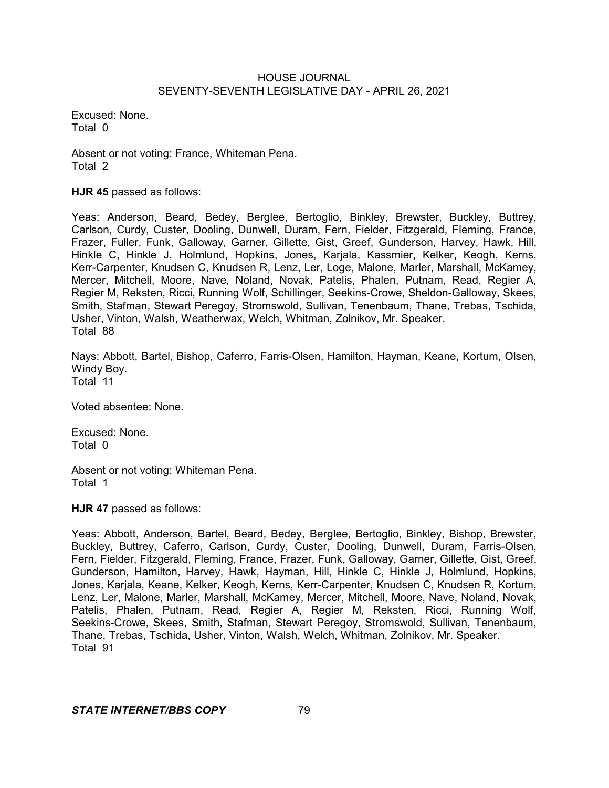Excused: None. Total 0

Absent or not voting: France, Whiteman Pena. Total 2

**HJR 45** passed as follows:

Yeas: Anderson, Beard, Bedey, Berglee, Bertoglio, Binkley, Brewster, Buckley, Buttrey, Carlson, Curdy, Custer, Dooling, Dunwell, Duram, Fern, Fielder, Fitzgerald, Fleming, France, Frazer, Fuller, Funk, Galloway, Garner, Gillette, Gist, Greef, Gunderson, Harvey, Hawk, Hill, Hinkle C, Hinkle J, Holmlund, Hopkins, Jones, Karjala, Kassmier, Kelker, Keogh, Kerns, Kerr-Carpenter, Knudsen C, Knudsen R, Lenz, Ler, Loge, Malone, Marler, Marshall, McKamey, Mercer, Mitchell, Moore, Nave, Noland, Novak, Patelis, Phalen, Putnam, Read, Regier A, Regier M, Reksten, Ricci, Running Wolf, Schillinger, Seekins-Crowe, Sheldon-Galloway, Skees, Smith, Stafman, Stewart Peregoy, Stromswold, Sullivan, Tenenbaum, Thane, Trebas, Tschida, Usher, Vinton, Walsh, Weatherwax, Welch, Whitman, Zolnikov, Mr. Speaker. Total 88

Nays: Abbott, Bartel, Bishop, Caferro, Farris-Olsen, Hamilton, Hayman, Keane, Kortum, Olsen, Windy Boy. Total 11

Voted absentee: None.

Excused: None. Total 0

Absent or not voting: Whiteman Pena. Total 1

**HJR 47** passed as follows:

Yeas: Abbott, Anderson, Bartel, Beard, Bedey, Berglee, Bertoglio, Binkley, Bishop, Brewster, Buckley, Buttrey, Caferro, Carlson, Curdy, Custer, Dooling, Dunwell, Duram, Farris-Olsen, Fern, Fielder, Fitzgerald, Fleming, France, Frazer, Funk, Galloway, Garner, Gillette, Gist, Greef, Gunderson, Hamilton, Harvey, Hawk, Hayman, Hill, Hinkle C, Hinkle J, Holmlund, Hopkins, Jones, Karjala, Keane, Kelker, Keogh, Kerns, Kerr-Carpenter, Knudsen C, Knudsen R, Kortum, Lenz, Ler, Malone, Marler, Marshall, McKamey, Mercer, Mitchell, Moore, Nave, Noland, Novak, Patelis, Phalen, Putnam, Read, Regier A, Regier M, Reksten, Ricci, Running Wolf, Seekins-Crowe, Skees, Smith, Stafman, Stewart Peregoy, Stromswold, Sullivan, Tenenbaum, Thane, Trebas, Tschida, Usher, Vinton, Walsh, Welch, Whitman, Zolnikov, Mr. Speaker. Total 91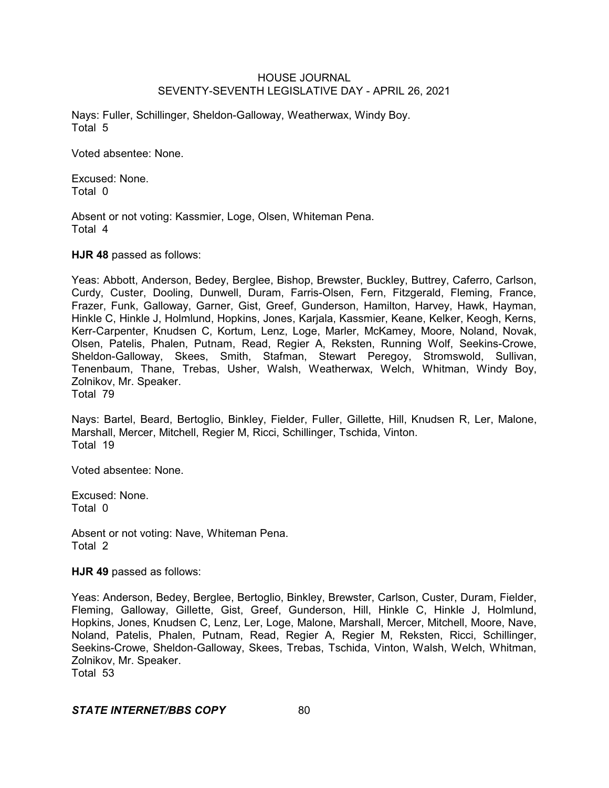Nays: Fuller, Schillinger, Sheldon-Galloway, Weatherwax, Windy Boy. Total 5

Voted absentee: None.

Excused: None. Total 0

Absent or not voting: Kassmier, Loge, Olsen, Whiteman Pena. Total 4

**HJR 48** passed as follows:

Yeas: Abbott, Anderson, Bedey, Berglee, Bishop, Brewster, Buckley, Buttrey, Caferro, Carlson, Curdy, Custer, Dooling, Dunwell, Duram, Farris-Olsen, Fern, Fitzgerald, Fleming, France, Frazer, Funk, Galloway, Garner, Gist, Greef, Gunderson, Hamilton, Harvey, Hawk, Hayman, Hinkle C, Hinkle J, Holmlund, Hopkins, Jones, Karjala, Kassmier, Keane, Kelker, Keogh, Kerns, Kerr-Carpenter, Knudsen C, Kortum, Lenz, Loge, Marler, McKamey, Moore, Noland, Novak, Olsen, Patelis, Phalen, Putnam, Read, Regier A, Reksten, Running Wolf, Seekins-Crowe, Sheldon-Galloway, Skees, Smith, Stafman, Stewart Peregoy, Stromswold, Sullivan, Tenenbaum, Thane, Trebas, Usher, Walsh, Weatherwax, Welch, Whitman, Windy Boy, Zolnikov, Mr. Speaker. Total 79

Nays: Bartel, Beard, Bertoglio, Binkley, Fielder, Fuller, Gillette, Hill, Knudsen R, Ler, Malone, Marshall, Mercer, Mitchell, Regier M, Ricci, Schillinger, Tschida, Vinton. Total 19

Voted absentee: None.

Excused: None. Total 0

Absent or not voting: Nave, Whiteman Pena. Total 2

**HJR 49** passed as follows:

Yeas: Anderson, Bedey, Berglee, Bertoglio, Binkley, Brewster, Carlson, Custer, Duram, Fielder, Fleming, Galloway, Gillette, Gist, Greef, Gunderson, Hill, Hinkle C, Hinkle J, Holmlund, Hopkins, Jones, Knudsen C, Lenz, Ler, Loge, Malone, Marshall, Mercer, Mitchell, Moore, Nave, Noland, Patelis, Phalen, Putnam, Read, Regier A, Regier M, Reksten, Ricci, Schillinger, Seekins-Crowe, Sheldon-Galloway, Skees, Trebas, Tschida, Vinton, Walsh, Welch, Whitman, Zolnikov, Mr. Speaker. Total 53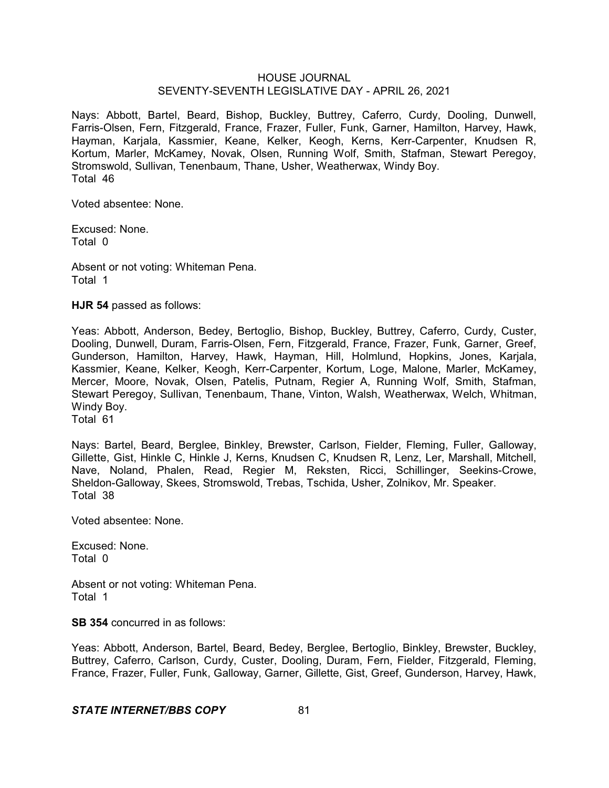Nays: Abbott, Bartel, Beard, Bishop, Buckley, Buttrey, Caferro, Curdy, Dooling, Dunwell, Farris-Olsen, Fern, Fitzgerald, France, Frazer, Fuller, Funk, Garner, Hamilton, Harvey, Hawk, Hayman, Karjala, Kassmier, Keane, Kelker, Keogh, Kerns, Kerr-Carpenter, Knudsen R, Kortum, Marler, McKamey, Novak, Olsen, Running Wolf, Smith, Stafman, Stewart Peregoy, Stromswold, Sullivan, Tenenbaum, Thane, Usher, Weatherwax, Windy Boy. Total 46

Voted absentee: None.

Excused: None. Total 0

Absent or not voting: Whiteman Pena. Total 1

**HJR 54** passed as follows:

Yeas: Abbott, Anderson, Bedey, Bertoglio, Bishop, Buckley, Buttrey, Caferro, Curdy, Custer, Dooling, Dunwell, Duram, Farris-Olsen, Fern, Fitzgerald, France, Frazer, Funk, Garner, Greef, Gunderson, Hamilton, Harvey, Hawk, Hayman, Hill, Holmlund, Hopkins, Jones, Karjala, Kassmier, Keane, Kelker, Keogh, Kerr-Carpenter, Kortum, Loge, Malone, Marler, McKamey, Mercer, Moore, Novak, Olsen, Patelis, Putnam, Regier A, Running Wolf, Smith, Stafman, Stewart Peregoy, Sullivan, Tenenbaum, Thane, Vinton, Walsh, Weatherwax, Welch, Whitman, Windy Boy.

Total 61

Nays: Bartel, Beard, Berglee, Binkley, Brewster, Carlson, Fielder, Fleming, Fuller, Galloway, Gillette, Gist, Hinkle C, Hinkle J, Kerns, Knudsen C, Knudsen R, Lenz, Ler, Marshall, Mitchell, Nave, Noland, Phalen, Read, Regier M, Reksten, Ricci, Schillinger, Seekins-Crowe, Sheldon-Galloway, Skees, Stromswold, Trebas, Tschida, Usher, Zolnikov, Mr. Speaker. Total 38

Voted absentee: None.

Excused: None. Total 0

Absent or not voting: Whiteman Pena. Total 1

**SB 354** concurred in as follows:

Yeas: Abbott, Anderson, Bartel, Beard, Bedey, Berglee, Bertoglio, Binkley, Brewster, Buckley, Buttrey, Caferro, Carlson, Curdy, Custer, Dooling, Duram, Fern, Fielder, Fitzgerald, Fleming, France, Frazer, Fuller, Funk, Galloway, Garner, Gillette, Gist, Greef, Gunderson, Harvey, Hawk,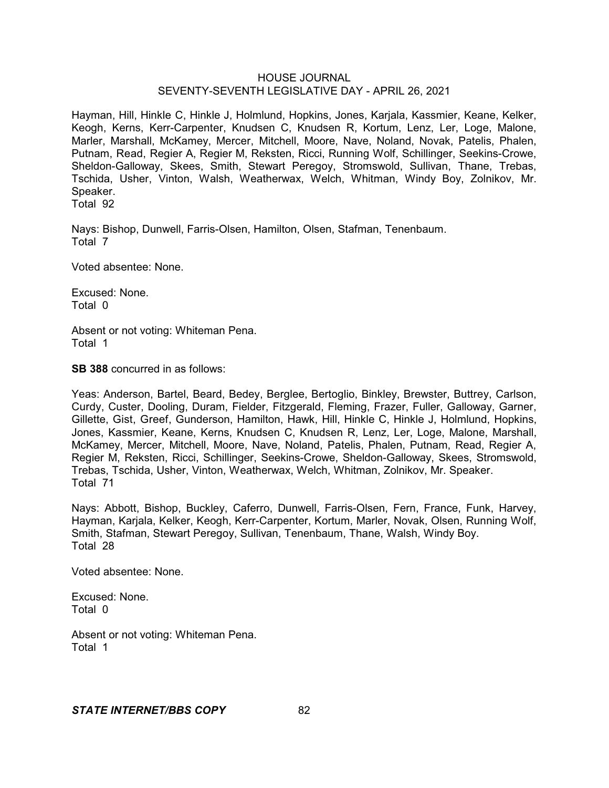Hayman, Hill, Hinkle C, Hinkle J, Holmlund, Hopkins, Jones, Karjala, Kassmier, Keane, Kelker, Keogh, Kerns, Kerr-Carpenter, Knudsen C, Knudsen R, Kortum, Lenz, Ler, Loge, Malone, Marler, Marshall, McKamey, Mercer, Mitchell, Moore, Nave, Noland, Novak, Patelis, Phalen, Putnam, Read, Regier A, Regier M, Reksten, Ricci, Running Wolf, Schillinger, Seekins-Crowe, Sheldon-Galloway, Skees, Smith, Stewart Peregoy, Stromswold, Sullivan, Thane, Trebas, Tschida, Usher, Vinton, Walsh, Weatherwax, Welch, Whitman, Windy Boy, Zolnikov, Mr. Speaker.

Total 92

Nays: Bishop, Dunwell, Farris-Olsen, Hamilton, Olsen, Stafman, Tenenbaum. Total 7

Voted absentee: None.

Excused: None. Total 0

Absent or not voting: Whiteman Pena. Total 1

**SB 388** concurred in as follows:

Yeas: Anderson, Bartel, Beard, Bedey, Berglee, Bertoglio, Binkley, Brewster, Buttrey, Carlson, Curdy, Custer, Dooling, Duram, Fielder, Fitzgerald, Fleming, Frazer, Fuller, Galloway, Garner, Gillette, Gist, Greef, Gunderson, Hamilton, Hawk, Hill, Hinkle C, Hinkle J, Holmlund, Hopkins, Jones, Kassmier, Keane, Kerns, Knudsen C, Knudsen R, Lenz, Ler, Loge, Malone, Marshall, McKamey, Mercer, Mitchell, Moore, Nave, Noland, Patelis, Phalen, Putnam, Read, Regier A, Regier M, Reksten, Ricci, Schillinger, Seekins-Crowe, Sheldon-Galloway, Skees, Stromswold, Trebas, Tschida, Usher, Vinton, Weatherwax, Welch, Whitman, Zolnikov, Mr. Speaker. Total 71

Nays: Abbott, Bishop, Buckley, Caferro, Dunwell, Farris-Olsen, Fern, France, Funk, Harvey, Hayman, Karjala, Kelker, Keogh, Kerr-Carpenter, Kortum, Marler, Novak, Olsen, Running Wolf, Smith, Stafman, Stewart Peregoy, Sullivan, Tenenbaum, Thane, Walsh, Windy Boy. Total 28

Voted absentee: None.

Excused: None. Total 0

Absent or not voting: Whiteman Pena. Total 1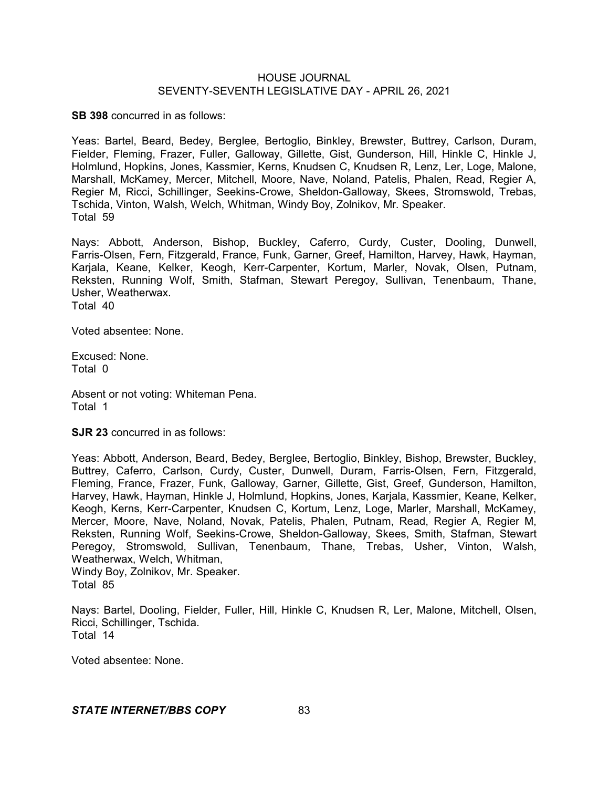**SB 398** concurred in as follows:

Yeas: Bartel, Beard, Bedey, Berglee, Bertoglio, Binkley, Brewster, Buttrey, Carlson, Duram, Fielder, Fleming, Frazer, Fuller, Galloway, Gillette, Gist, Gunderson, Hill, Hinkle C, Hinkle J, Holmlund, Hopkins, Jones, Kassmier, Kerns, Knudsen C, Knudsen R, Lenz, Ler, Loge, Malone, Marshall, McKamey, Mercer, Mitchell, Moore, Nave, Noland, Patelis, Phalen, Read, Regier A, Regier M, Ricci, Schillinger, Seekins-Crowe, Sheldon-Galloway, Skees, Stromswold, Trebas, Tschida, Vinton, Walsh, Welch, Whitman, Windy Boy, Zolnikov, Mr. Speaker. Total 59

Nays: Abbott, Anderson, Bishop, Buckley, Caferro, Curdy, Custer, Dooling, Dunwell, Farris-Olsen, Fern, Fitzgerald, France, Funk, Garner, Greef, Hamilton, Harvey, Hawk, Hayman, Karjala, Keane, Kelker, Keogh, Kerr-Carpenter, Kortum, Marler, Novak, Olsen, Putnam, Reksten, Running Wolf, Smith, Stafman, Stewart Peregoy, Sullivan, Tenenbaum, Thane, Usher, Weatherwax. Total 40

Voted absentee: None.

Excused: None. Total 0

Absent or not voting: Whiteman Pena. Total 1

**SJR 23** concurred in as follows:

Yeas: Abbott, Anderson, Beard, Bedey, Berglee, Bertoglio, Binkley, Bishop, Brewster, Buckley, Buttrey, Caferro, Carlson, Curdy, Custer, Dunwell, Duram, Farris-Olsen, Fern, Fitzgerald, Fleming, France, Frazer, Funk, Galloway, Garner, Gillette, Gist, Greef, Gunderson, Hamilton, Harvey, Hawk, Hayman, Hinkle J, Holmlund, Hopkins, Jones, Karjala, Kassmier, Keane, Kelker, Keogh, Kerns, Kerr-Carpenter, Knudsen C, Kortum, Lenz, Loge, Marler, Marshall, McKamey, Mercer, Moore, Nave, Noland, Novak, Patelis, Phalen, Putnam, Read, Regier A, Regier M, Reksten, Running Wolf, Seekins-Crowe, Sheldon-Galloway, Skees, Smith, Stafman, Stewart Peregoy, Stromswold, Sullivan, Tenenbaum, Thane, Trebas, Usher, Vinton, Walsh, Weatherwax, Welch, Whitman, Windy Boy, Zolnikov, Mr. Speaker.

Total 85

Nays: Bartel, Dooling, Fielder, Fuller, Hill, Hinkle C, Knudsen R, Ler, Malone, Mitchell, Olsen, Ricci, Schillinger, Tschida. Total 14

Voted absentee: None.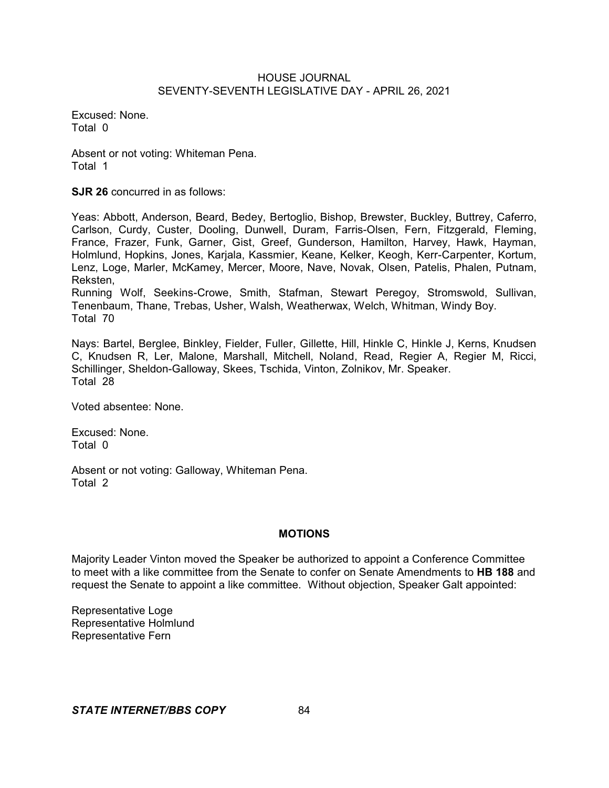Excused: None. Total 0

Absent or not voting: Whiteman Pena. Total 1

**SJR 26** concurred in as follows:

Yeas: Abbott, Anderson, Beard, Bedey, Bertoglio, Bishop, Brewster, Buckley, Buttrey, Caferro, Carlson, Curdy, Custer, Dooling, Dunwell, Duram, Farris-Olsen, Fern, Fitzgerald, Fleming, France, Frazer, Funk, Garner, Gist, Greef, Gunderson, Hamilton, Harvey, Hawk, Hayman, Holmlund, Hopkins, Jones, Karjala, Kassmier, Keane, Kelker, Keogh, Kerr-Carpenter, Kortum, Lenz, Loge, Marler, McKamey, Mercer, Moore, Nave, Novak, Olsen, Patelis, Phalen, Putnam, Reksten,

Running Wolf, Seekins-Crowe, Smith, Stafman, Stewart Peregoy, Stromswold, Sullivan, Tenenbaum, Thane, Trebas, Usher, Walsh, Weatherwax, Welch, Whitman, Windy Boy. Total 70

Nays: Bartel, Berglee, Binkley, Fielder, Fuller, Gillette, Hill, Hinkle C, Hinkle J, Kerns, Knudsen C, Knudsen R, Ler, Malone, Marshall, Mitchell, Noland, Read, Regier A, Regier M, Ricci, Schillinger, Sheldon-Galloway, Skees, Tschida, Vinton, Zolnikov, Mr. Speaker. Total 28

Voted absentee: None.

Excused: None. Total 0

Absent or not voting: Galloway, Whiteman Pena. Total 2

## **MOTIONS**

Majority Leader Vinton moved the Speaker be authorized to appoint a Conference Committee to meet with a like committee from the Senate to confer on Senate Amendments to **HB 188** and request the Senate to appoint a like committee. Without objection, Speaker Galt appointed:

Representative Loge Representative Holmlund Representative Fern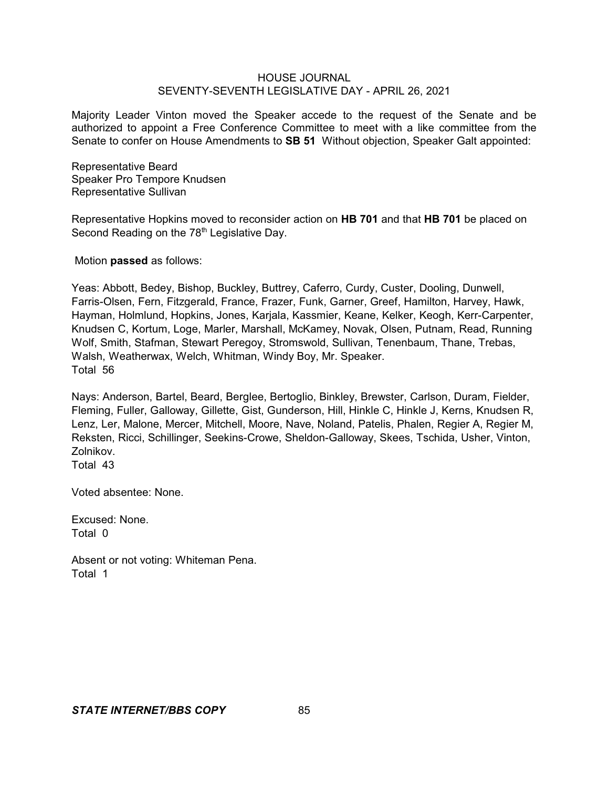Majority Leader Vinton moved the Speaker accede to the request of the Senate and be authorized to appoint a Free Conference Committee to meet with a like committee from the Senate to confer on House Amendments to **SB 51** Without objection, Speaker Galt appointed:

Representative Beard Speaker Pro Tempore Knudsen Representative Sullivan

Representative Hopkins moved to reconsider action on **HB 701** and that **HB 701** be placed on Second Reading on the 78<sup>th</sup> Legislative Day.

Motion **passed** as follows:

Yeas: Abbott, Bedey, Bishop, Buckley, Buttrey, Caferro, Curdy, Custer, Dooling, Dunwell, Farris-Olsen, Fern, Fitzgerald, France, Frazer, Funk, Garner, Greef, Hamilton, Harvey, Hawk, Hayman, Holmlund, Hopkins, Jones, Karjala, Kassmier, Keane, Kelker, Keogh, Kerr-Carpenter, Knudsen C, Kortum, Loge, Marler, Marshall, McKamey, Novak, Olsen, Putnam, Read, Running Wolf, Smith, Stafman, Stewart Peregoy, Stromswold, Sullivan, Tenenbaum, Thane, Trebas, Walsh, Weatherwax, Welch, Whitman, Windy Boy, Mr. Speaker. Total 56

Nays: Anderson, Bartel, Beard, Berglee, Bertoglio, Binkley, Brewster, Carlson, Duram, Fielder, Fleming, Fuller, Galloway, Gillette, Gist, Gunderson, Hill, Hinkle C, Hinkle J, Kerns, Knudsen R, Lenz, Ler, Malone, Mercer, Mitchell, Moore, Nave, Noland, Patelis, Phalen, Regier A, Regier M, Reksten, Ricci, Schillinger, Seekins-Crowe, Sheldon-Galloway, Skees, Tschida, Usher, Vinton, Zolnikov.

Total 43

Voted absentee: None.

Excused: None. Total 0

Absent or not voting: Whiteman Pena. Total 1